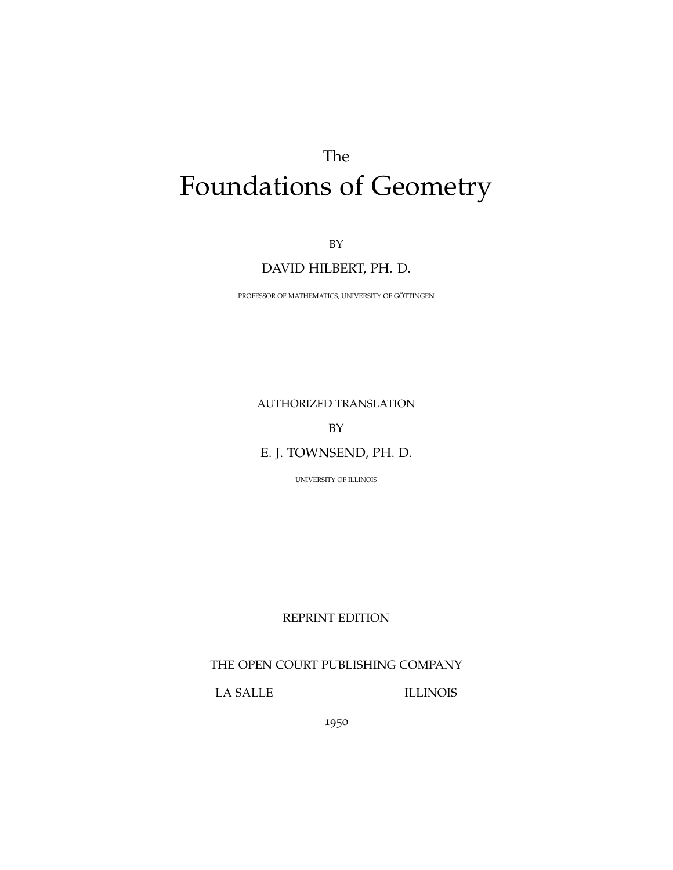# The Foundations of Geometry

BY

# DAVID HILBERT, PH. D.

PROFESSOR OF MATHEMATICS, UNIVERSITY OF GÖTTINGEN

AUTHORIZED TRANSLATION

BY

# E. J. TOWNSEND, PH. D.

UNIVERSITY OF ILLINOIS

## REPRINT EDITION

# THE OPEN COURT PUBLISHING COMPANY

LA SALLE ILLINOIS

1950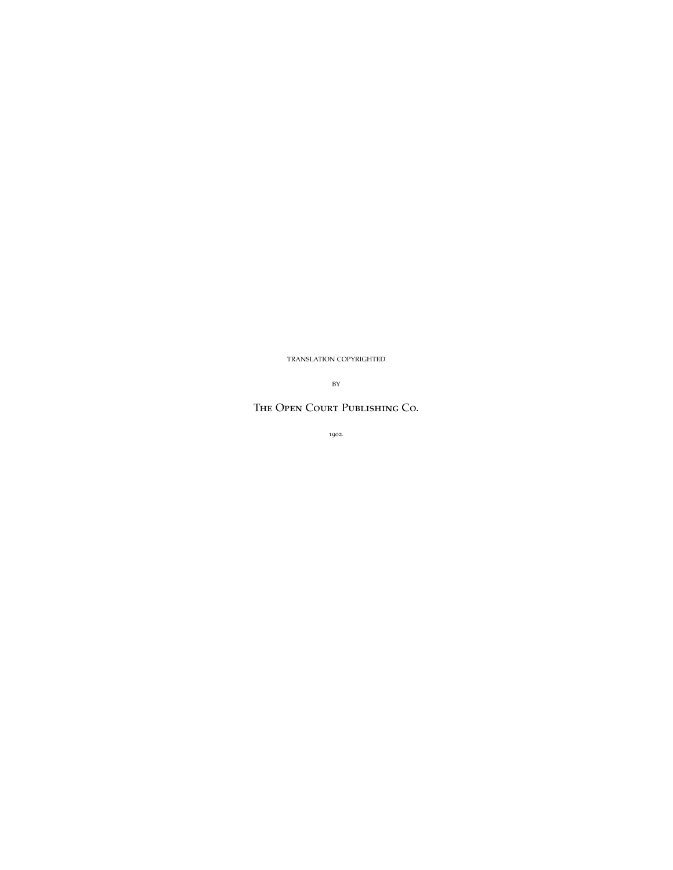TRANSLATION COPYRIGHTED

BY

### The Open Court Publishing Co.

1902.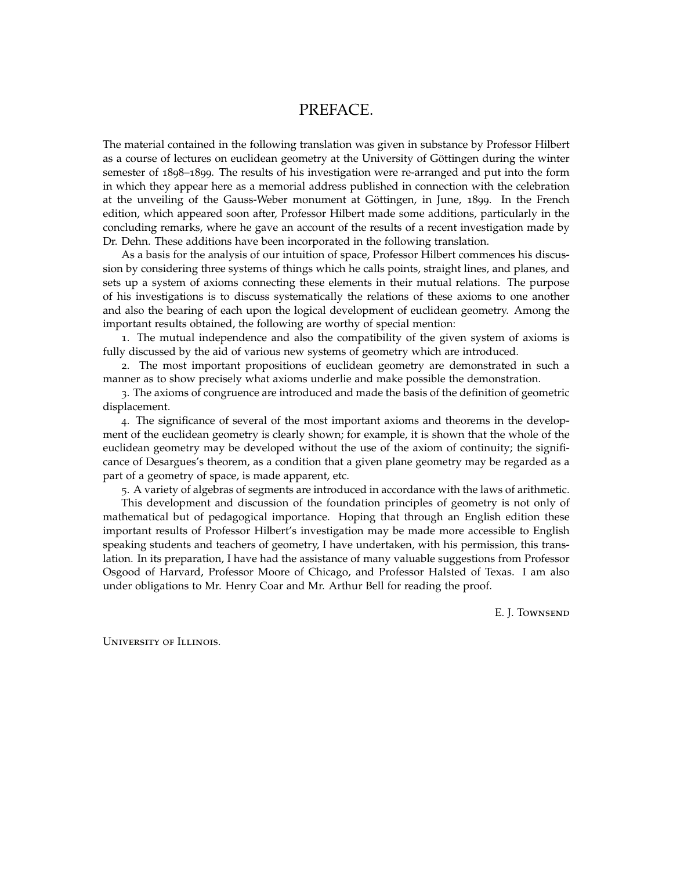# PREFACE.

The material contained in the following translation was given in substance by Professor Hilbert as a course of lectures on euclidean geometry at the University of Göttingen during the winter semester of 1898–1899. The results of his investigation were re-arranged and put into the form in which they appear here as a memorial address published in connection with the celebration at the unveiling of the Gauss-Weber monument at Göttingen, in June, 1899. In the French edition, which appeared soon after, Professor Hilbert made some additions, particularly in the concluding remarks, where he gave an account of the results of a recent investigation made by Dr. Dehn. These additions have been incorporated in the following translation.

As a basis for the analysis of our intuition of space, Professor Hilbert commences his discussion by considering three systems of things which he calls points, straight lines, and planes, and sets up a system of axioms connecting these elements in their mutual relations. The purpose of his investigations is to discuss systematically the relations of these axioms to one another and also the bearing of each upon the logical development of euclidean geometry. Among the important results obtained, the following are worthy of special mention:

1. The mutual independence and also the compatibility of the given system of axioms is fully discussed by the aid of various new systems of geometry which are introduced.

2. The most important propositions of euclidean geometry are demonstrated in such a manner as to show precisely what axioms underlie and make possible the demonstration.

3. The axioms of congruence are introduced and made the basis of the definition of geometric displacement.

4. The significance of several of the most important axioms and theorems in the development of the euclidean geometry is clearly shown; for example, it is shown that the whole of the euclidean geometry may be developed without the use of the axiom of continuity; the significance of Desargues's theorem, as a condition that a given plane geometry may be regarded as a part of a geometry of space, is made apparent, etc.

5. A variety of algebras of segments are introduced in accordance with the laws of arithmetic.

This development and discussion of the foundation principles of geometry is not only of mathematical but of pedagogical importance. Hoping that through an English edition these important results of Professor Hilbert's investigation may be made more accessible to English speaking students and teachers of geometry, I have undertaken, with his permission, this translation. In its preparation, I have had the assistance of many valuable suggestions from Professor Osgood of Harvard, Professor Moore of Chicago, and Professor Halsted of Texas. I am also under obligations to Mr. Henry Coar and Mr. Arthur Bell for reading the proof.

E. J. Townsend

University of Illinois.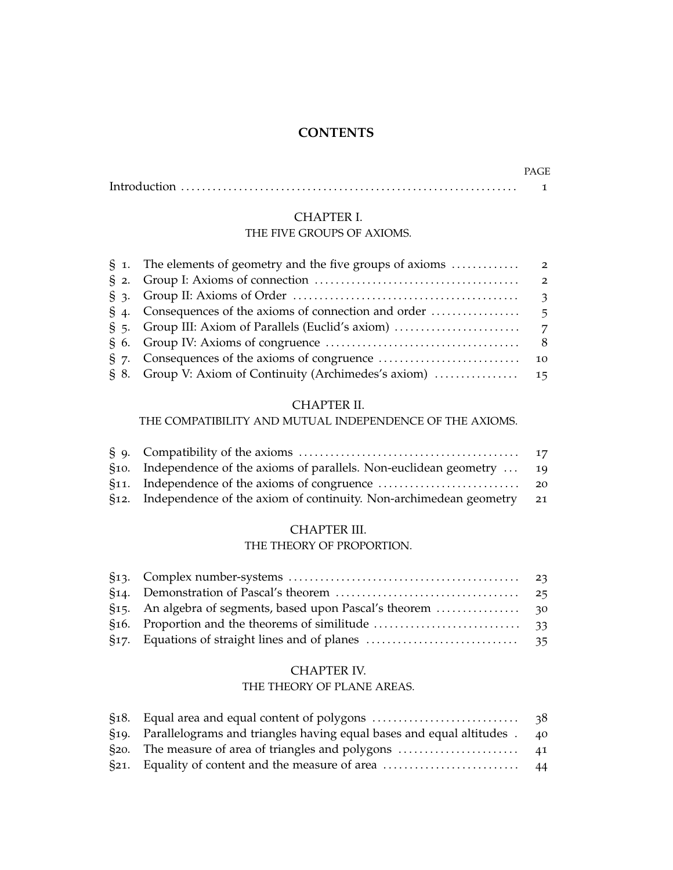# **CONTENTS**

### CHAPTER I.

### THE FIVE GROUPS OF AXIOMS.

# CHAPTER II.

# THE COMPATIBILITY AND MUTUAL INDEPENDENCE OF THE AXIOMS.

| S <sub>10</sub> . Independence of the axioms of parallels. Non-euclidean geometry $\dots$ 19 |  |
|----------------------------------------------------------------------------------------------|--|
|                                                                                              |  |
| $\S$ 12. Independence of the axiom of continuity. Non-archimedean geometry 21                |  |

### CHAPTER III.

# THE THEORY OF PROPORTION.

# CHAPTER IV.

### THE THEORY OF PLANE AREAS.

| §19. Parallelograms and triangles having equal bases and equal altitudes . 40 |  |
|-------------------------------------------------------------------------------|--|
|                                                                               |  |
|                                                                               |  |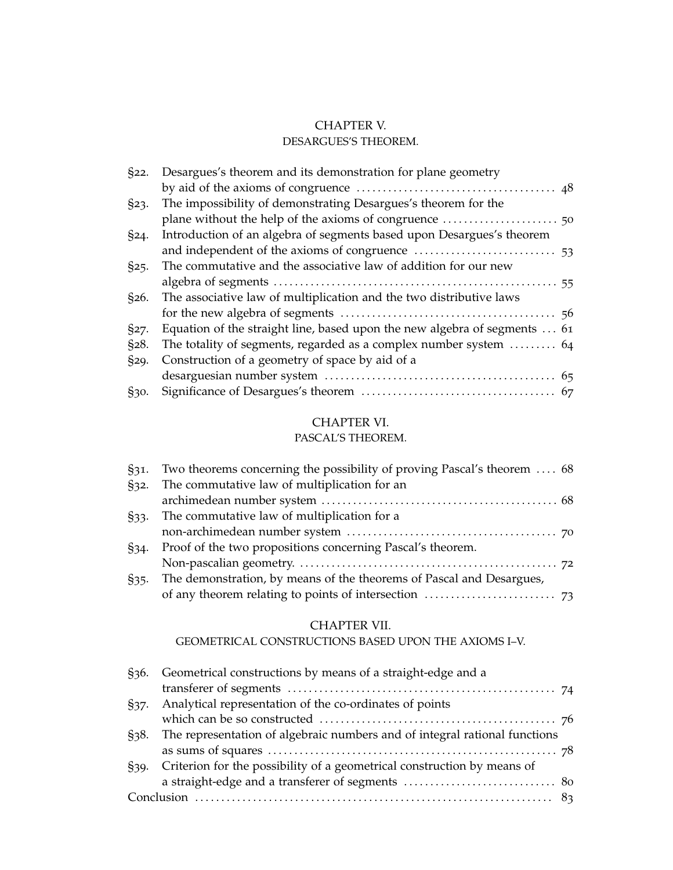## CHAPTER V. DESARGUES'S THEOREM.

| $\S$ 22.            | Desargues's theorem and its demonstration for plane geometry              |  |
|---------------------|---------------------------------------------------------------------------|--|
|                     |                                                                           |  |
| §23.                | The impossibility of demonstrating Desargues's theorem for the            |  |
|                     |                                                                           |  |
| $\S$ <sup>24.</sup> | Introduction of an algebra of segments based upon Desargues's theorem     |  |
|                     |                                                                           |  |
| §25.                | The commutative and the associative law of addition for our new           |  |
|                     |                                                                           |  |
| \$26.               | The associative law of multiplication and the two distributive laws       |  |
|                     |                                                                           |  |
| $\S27.$             | Equation of the straight line, based upon the new algebra of segments  61 |  |
| \$28.               | The totality of segments, regarded as a complex number system  64         |  |
| §29.                | Construction of a geometry of space by aid of a                           |  |
|                     |                                                                           |  |
| §30.                |                                                                           |  |

# CHAPTER VI.

# PASCAL'S THEOREM.

| Two theorems concerning the possibility of proving Pascal's theorem  68 |
|-------------------------------------------------------------------------|
| The commutative law of multiplication for an                            |
|                                                                         |
| The commutative law of multiplication for a                             |
|                                                                         |
| Proof of the two propositions concerning Pascal's theorem.              |
|                                                                         |
| The demonstration, by means of the theorems of Pascal and Desargues,    |
|                                                                         |
|                                                                         |

### CHAPTER VII.

# GEOMETRICAL CONSTRUCTIONS BASED UPON THE AXIOMS I–V.

|       | §36. Geometrical constructions by means of a straight-edge and a             |  |
|-------|------------------------------------------------------------------------------|--|
|       |                                                                              |  |
|       | §37. Analytical representation of the co-ordinates of points                 |  |
|       |                                                                              |  |
| \$38. | The representation of algebraic numbers and of integral rational functions   |  |
|       |                                                                              |  |
|       | §39. Criterion for the possibility of a geometrical construction by means of |  |
|       |                                                                              |  |
|       |                                                                              |  |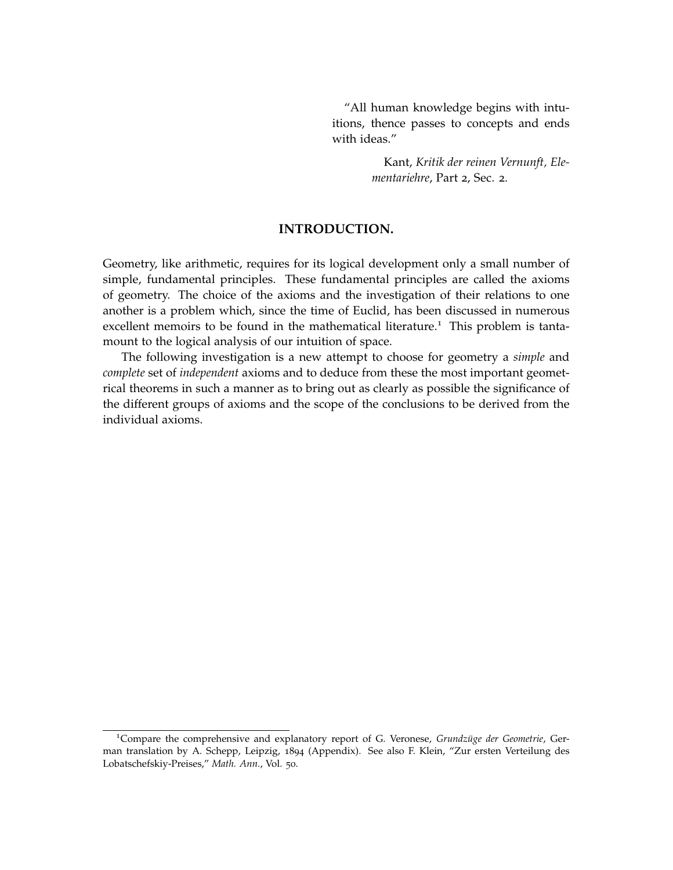"All human knowledge begins with intuitions, thence passes to concepts and ends with ideas."

> Kant, *Kritik der reinen Vernunft, Elementariehre*, Part 2, Sec. 2.

### **INTRODUCTION.**

Geometry, like arithmetic, requires for its logical development only a small number of simple, fundamental principles. These fundamental principles are called the axioms of geometry. The choice of the axioms and the investigation of their relations to one another is a problem which, since the time of Euclid, has been discussed in numerous excellent memoirs to be found in the mathematical literature.<sup>1</sup> This problem is tantamount to the logical analysis of our intuition of space.

The following investigation is a new attempt to choose for geometry a *simple* and *complete* set of *independent* axioms and to deduce from these the most important geometrical theorems in such a manner as to bring out as clearly as possible the significance of the different groups of axioms and the scope of the conclusions to be derived from the individual axioms.

<sup>1</sup>Compare the comprehensive and explanatory report of G. Veronese, *Grundzüge der Geometrie*, German translation by A. Schepp, Leipzig, 1894 (Appendix). See also F. Klein, "Zur ersten Verteilung des Lobatschefskiy-Preises," *Math. Ann.*, Vol. 50.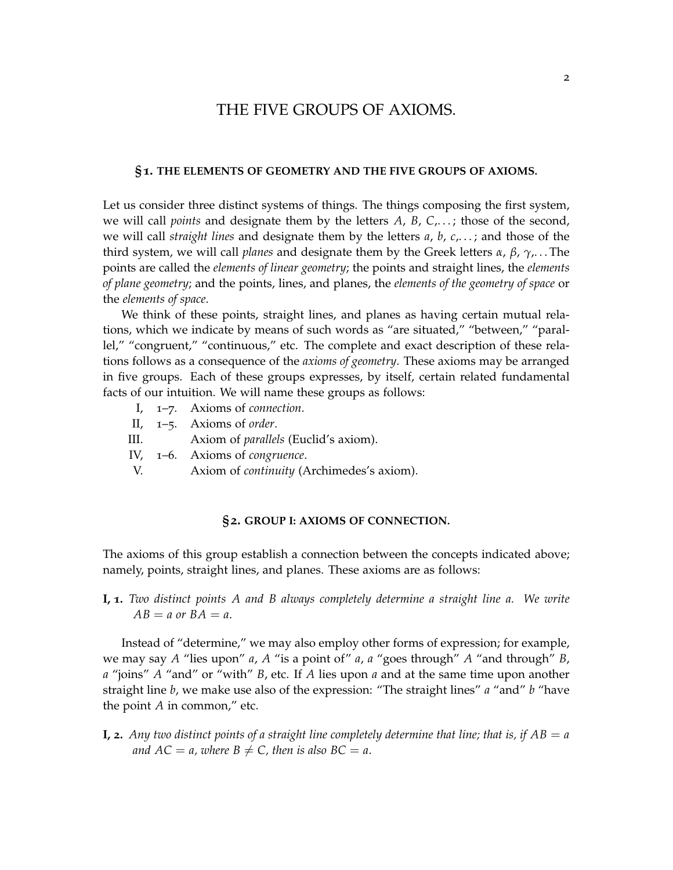# THE FIVE GROUPS OF AXIOMS.

#### **§1. THE ELEMENTS OF GEOMETRY AND THE FIVE GROUPS OF AXIOMS.**

Let us consider three distinct systems of things. The things composing the first system, we will call *points* and designate them by the letters *A*, *B*, *C*,. . . ; those of the second, we will call *straight lines* and designate them by the letters *a*, *b*, *c*,. . . ; and those of the third system, we will call *planes* and designate them by the Greek letters *α*, *β*, *γ*,. . . The points are called the *elements of linear geometry*; the points and straight lines, the *elements of plane geometry*; and the points, lines, and planes, the *elements of the geometry of space* or the *elements of space*.

We think of these points, straight lines, and planes as having certain mutual relations, which we indicate by means of such words as "are situated," "between," "parallel," "congruent," "continuous," etc. The complete and exact description of these relations follows as a consequence of the *axioms of geometry*. These axioms may be arranged in five groups. Each of these groups expresses, by itself, certain related fundamental facts of our intuition. We will name these groups as follows:

- I, 1–7. Axioms of *connection*.
- II, 1–5. Axioms of *order*.
- III. Axiom of *parallels* (Euclid's axiom).
- IV, 1–6. Axioms of *congruence*.
- V. Axiom of *continuity* (Archimedes's axiom).

#### **§2. GROUP I: AXIOMS OF CONNECTION.**

The axioms of this group establish a connection between the concepts indicated above; namely, points, straight lines, and planes. These axioms are as follows:

**I, 1.** *Two distinct points A and B always completely determine a straight line a. We write*  $AB = a$  or  $BA = a$ .

Instead of "determine," we may also employ other forms of expression; for example, we may say *A* "lies upon" *a*, *A* "is a point of" *a*, *a* "goes through" *A* "and through" *B*, *a* "joins" *A* "and" or "with" *B*, etc. If *A* lies upon *a* and at the same time upon another straight line *b*, we make use also of the expression: "The straight lines" *a* "and" *b* "have the point  $A$  in common," etc.

**I, 2.** *Any two distinct points of a straight line completely determine that line; that is, if*  $AB = a$ *and*  $AC = a$ , where  $B \neq C$ , then is also  $BC = a$ .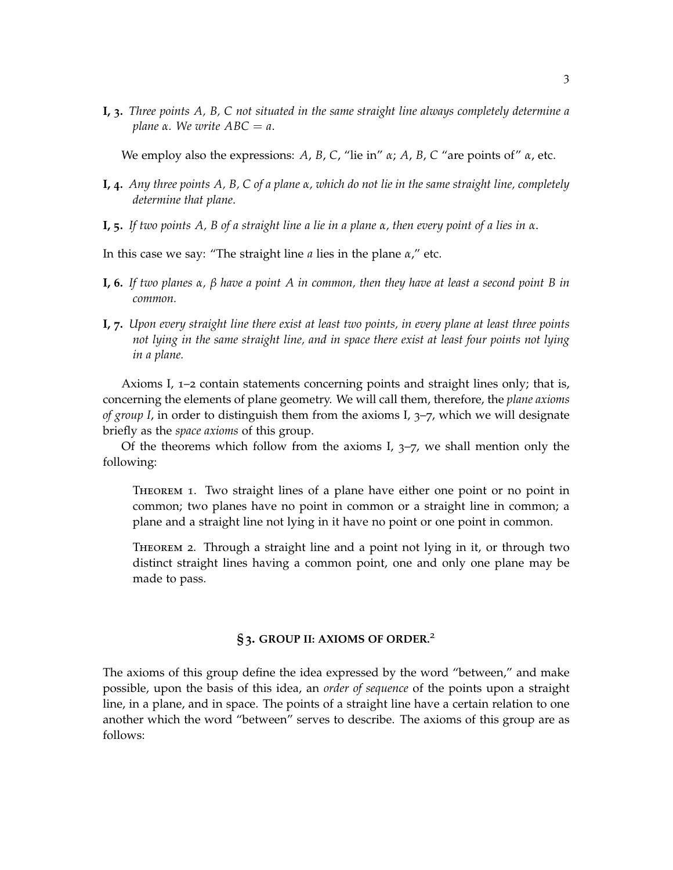**I, 3.** *Three points A, B, C not situated in the same straight line always completely determine a plane α. We write ABC* = *a*.

We employ also the expressions: *A*, *B*, *C*, "lie in" *α*; *A*, *B*, *C* "are points of" *α*, etc.

- **I, 4.** *Any three points A, B, C of a plane α, which do not lie in the same straight line, completely determine that plane*.
- **I, 5.** *If two points A, B of a straight line a lie in a plane α, then every point of a lies in α*.

In this case we say: "The straight line *a* lies in the plane *α*," etc.

- **I, 6.** *If two planes α, β have a point A in common, then they have at least a second point B in common.*
- **I, 7.** *Upon every straight line there exist at least two points, in every plane at least three points not lying in the same straight line, and in space there exist at least four points not lying in a plane.*

Axioms I, 1–2 contain statements concerning points and straight lines only; that is, concerning the elements of plane geometry. We will call them, therefore, the *plane axioms of group I*, in order to distinguish them from the axioms I, 3–7, which we will designate briefly as the *space axioms* of this group.

Of the theorems which follow from the axioms I,  $3$ -7, we shall mention only the following:

THEOREM 1. Two straight lines of a plane have either one point or no point in common; two planes have no point in common or a straight line in common; a plane and a straight line not lying in it have no point or one point in common.

Theorem 2. Through a straight line and a point not lying in it, or through two distinct straight lines having a common point, one and only one plane may be made to pass.

### **§3. GROUP II: AXIOMS OF ORDER.**<sup>2</sup>

The axioms of this group define the idea expressed by the word "between," and make possible, upon the basis of this idea, an *order of sequence* of the points upon a straight line, in a plane, and in space. The points of a straight line have a certain relation to one another which the word "between" serves to describe. The axioms of this group are as follows: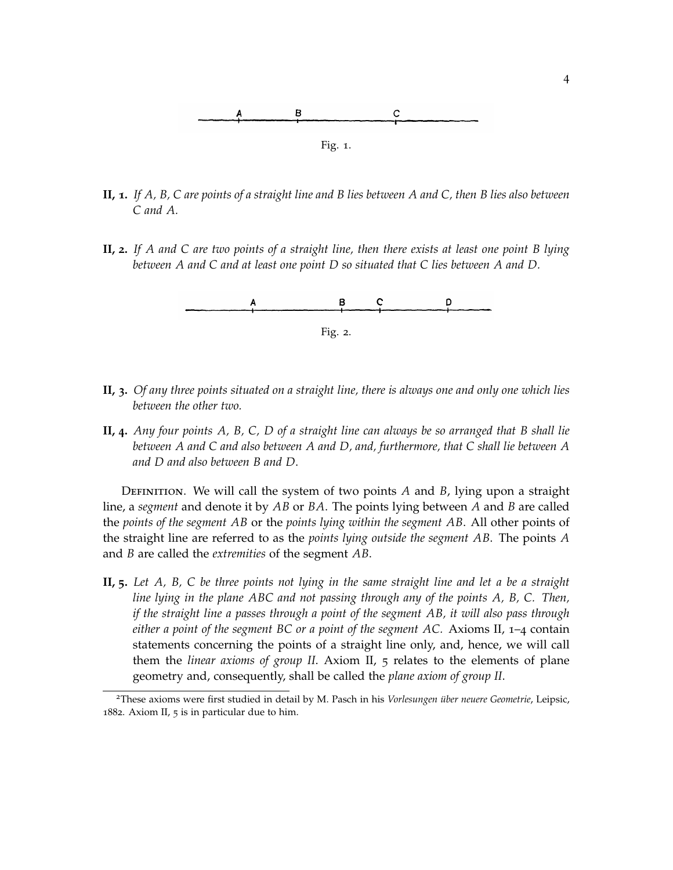

- **II, 1.** *If A, B, C are points of a straight line and B lies between A and C, then B lies also between C and A.*
- **II, 2.** *If A and C are two points of a straight line, then there exists at least one point B lying between A and C and at least one point D so situated that C lies between A and D.*



- **II, 3.** *Of any three points situated on a straight line, there is always one and only one which lies between the other two.*
- **II, 4.** *Any four points A, B, C, D of a straight line can always be so arranged that B shall lie between A and C and also between A and D, and, furthermore, that C shall lie between A and D and also between B and D*.

DEFINITION. We will call the system of two points *A* and *B*, lying upon a straight line, a *segment* and denote it by *AB* or *BA*. The points lying between *A* and *B* are called the *points of the segment AB* or the *points lying within the segment AB*. All other points of the straight line are referred to as the *points lying outside the segment AB*. The points *A* and *B* are called the *extremities* of the segment *AB*.

**II, 5.** *Let A, B, C be three points not lying in the same straight line and let a be a straight line lying in the plane ABC and not passing through any of the points A, B, C. Then, if the straight line a passes through a point of the segment AB, it will also pass through either a point of the segment BC or a point of the segment AC.* Axioms II, 1–4 contain statements concerning the points of a straight line only, and, hence, we will call them the *linear axioms of group II*. Axiom II, 5 relates to the elements of plane geometry and, consequently, shall be called the *plane axiom of group II*.

<sup>2</sup>These axioms were first studied in detail by M. Pasch in his *Vorlesungen über neuere Geometrie*, Leipsic, 1882. Axiom II, 5 is in particular due to him.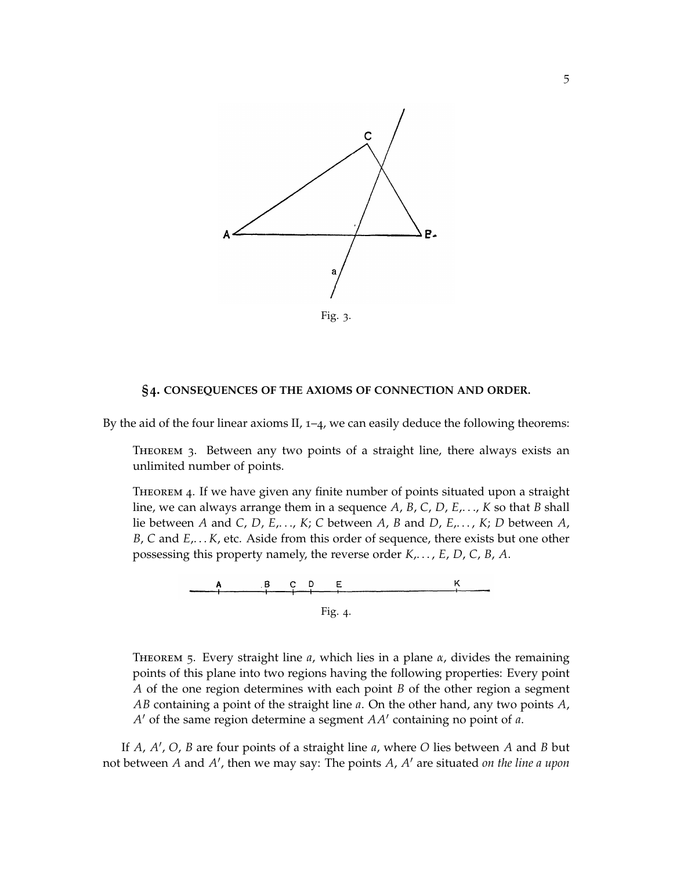

Fig. 3.

#### **§4. CONSEQUENCES OF THE AXIOMS OF CONNECTION AND ORDER.**

By the aid of the four linear axioms  $II$ ,  $1-4$ , we can easily deduce the following theorems:

Theorem 3. Between any two points of a straight line, there always exists an unlimited number of points.

Theorem 4. If we have given any finite number of points situated upon a straight line, we can always arrange them in a sequence *A*, *B*, *C*, *D*, *E*,. . ., *K* so that *B* shall lie between *A* and *C*, *D*, *E*,. . ., *K*; *C* between *A*, *B* and *D*, *E*,. . . , *K*; *D* between *A*, *B*, *C* and *E*,. . . *K*, etc. Aside from this order of sequence, there exists but one other possessing this property namely, the reverse order *K*,. . . , *E*, *D*, *C*, *B*, *A*.



Theorem 5. Every straight line *a*, which lies in a plane *α*, divides the remaining points of this plane into two regions having the following properties: Every point *A* of the one region determines with each point *B* of the other region a segment *AB* containing a point of the straight line *a*. On the other hand, any two points *A*, *A'* of the same region determine a segment *AA'* containing no point of *a*.

If *A*, *A* 0 , *O*, *B* are four points of a straight line *a*, where *O* lies between *A* and *B* but not between *A* and *A'*, then we may say: The points *A*, *A'* are situated *on the line a upon*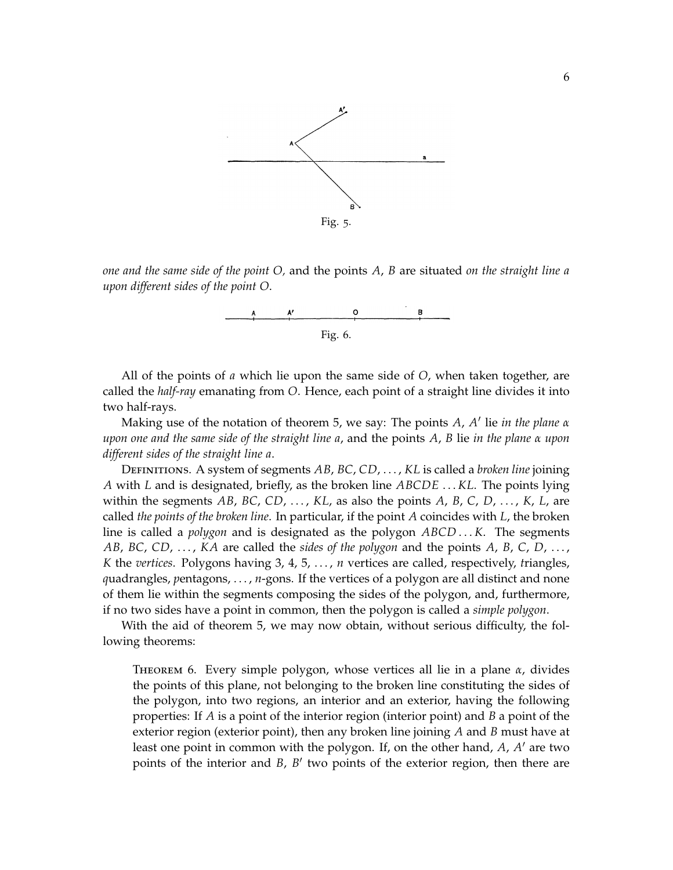

*one and the same side of the point O,* and the points *A*, *B* are situated *on the straight line a upon different sides of the point O*.



All of the points of *a* which lie upon the same side of *O*, when taken together, are called the *half-ray* emanating from *O*. Hence, each point of a straight line divides it into two half-rays.

Making use of the notation of theorem 5, we say: The points *A*, *A'* lie *in the plane α upon one and the same side of the straight line a*, and the points *A*, *B* lie *in the plane α upon different sides of the straight line a*.

Definitions. A system of segments *AB*, *BC*, *CD*, . . . , *KL* is called a *broken line* joining *A* with *L* and is designated, briefly, as the broken line *ABCDE* . . . *KL*. The points lying within the segments *AB*, *BC*, *CD*, . . . , *KL*, as also the points *A*, *B*, *C*, *D*, . . . , *K*, *L*, are called *the points of the broken line*. In particular, if the point *A* coincides with *L*, the broken line is called a *polygon* and is designated as the polygon *ABCD* . . *K*. The segments *AB*, *BC*, *CD*, . . . , *KA* are called the *sides of the polygon* and the points *A*, *B*, *C*, *D*, . . . , *K* the *vertices*. Polygons having 3, 4, 5, . . . , *n* vertices are called, respectively, *t*riangles, *q*uadrangles, *p*entagons, . . . , *n*-gons. If the vertices of a polygon are all distinct and none of them lie within the segments composing the sides of the polygon, and, furthermore, if no two sides have a point in common, then the polygon is called a *simple polygon*.

With the aid of theorem 5, we may now obtain, without serious difficulty, the following theorems:

Theorem 6. Every simple polygon, whose vertices all lie in a plane *α*, divides the points of this plane, not belonging to the broken line constituting the sides of the polygon, into two regions, an interior and an exterior, having the following properties: If *A* is a point of the interior region (interior point) and *B* a point of the exterior region (exterior point), then any broken line joining *A* and *B* must have at least one point in common with the polygon. If, on the other hand, A, A' are two points of the interior and *B*, *B*<sup>'</sup> two points of the exterior region, then there are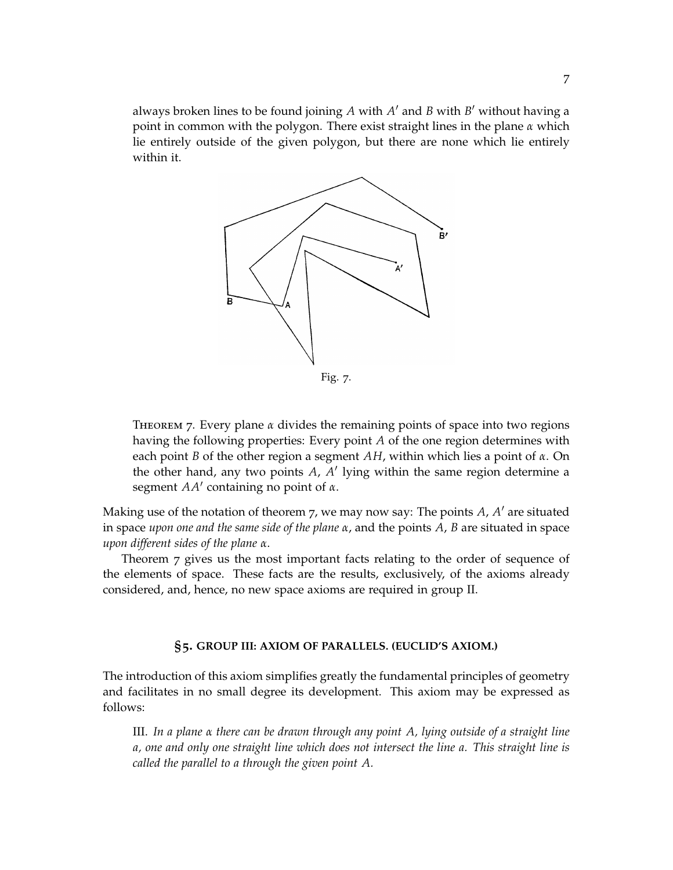always broken lines to be found joining A with A' and B with B' without having a point in common with the polygon. There exist straight lines in the plane *α* which lie entirely outside of the given polygon, but there are none which lie entirely within it.



Theorem 7. Every plane *α* divides the remaining points of space into two regions having the following properties: Every point *A* of the one region determines with each point *B* of the other region a segment *AH*, within which lies a point of *α*. On the other hand, any two points  $A$ ,  $A'$  lying within the same region determine a segment *AA*<sup>0</sup> containing no point of *α*.

Making use of the notation of theorem 7, we may now say: The points A, A' are situated in space *upon one and the same side of the plane α*, and the points *A*, *B* are situated in space *upon different sides of the plane α*.

Theorem 7 gives us the most important facts relating to the order of sequence of the elements of space. These facts are the results, exclusively, of the axioms already considered, and, hence, no new space axioms are required in group II.

### **§5. GROUP III: AXIOM OF PARALLELS. (EUCLID'S AXIOM.)**

The introduction of this axiom simplifies greatly the fundamental principles of geometry and facilitates in no small degree its development. This axiom may be expressed as follows:

III. *In a plane α there can be drawn through any point A, lying outside of a straight line a, one and only one straight line which does not intersect the line a. This straight line is called the parallel to a through the given point A.*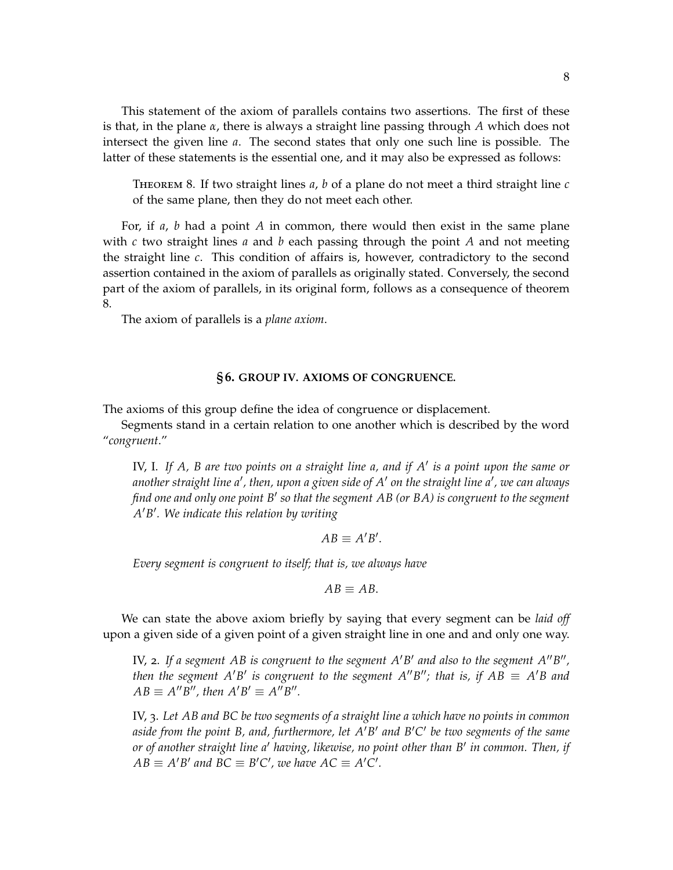This statement of the axiom of parallels contains two assertions. The first of these is that, in the plane *α*, there is always a straight line passing through *A* which does not intersect the given line *a*. The second states that only one such line is possible. The latter of these statements is the essential one, and it may also be expressed as follows:

Theorem 8. If two straight lines *a*, *b* of a plane do not meet a third straight line *c* of the same plane, then they do not meet each other.

For, if *a*, *b* had a point *A* in common, there would then exist in the same plane with *c* two straight lines *a* and *b* each passing through the point *A* and not meeting the straight line *c*. This condition of affairs is, however, contradictory to the second assertion contained in the axiom of parallels as originally stated. Conversely, the second part of the axiom of parallels, in its original form, follows as a consequence of theorem 8.

The axiom of parallels is a *plane axiom*.

#### **§6. GROUP IV. AXIOMS OF CONGRUENCE.**

The axioms of this group define the idea of congruence or displacement.

Segments stand in a certain relation to one another which is described by the word "*congruent*."

IV, I. If A, B are two points on a straight line a, and if A' is a point upon the same or another straight line a' , then, upon a given side of A' on the straight line a' , we can always *find one and only one point B*<sup>0</sup> *so that the segment AB (or BA) is congruent to the segment A* 0*B* 0 *. We indicate this relation by writing*

$$
AB \equiv A'B'.
$$

*Every segment is congruent to itself; that is, we always have*

$$
AB\equiv AB.
$$

We can state the above axiom briefly by saying that every segment can be *laid off* upon a given side of a given point of a given straight line in one and and only one way.

IV, 2. If a segment AB is congruent to the segment A'B' and also to the segment A<sup>n</sup>B", *then the segment A'B' is congruent to the segment A"B"; that is, if*  $AB \equiv A'B$  *and*  $AB \equiv A''B''$ , then  $A'B' \equiv A''B''$ .

IV, 3. *Let AB and BC be two segments of a straight line a which have no points in common* aside from the point B, and, furthermore, let A'B' and B'C' be two segments of the same *or of another straight line a*<sup>0</sup> *having, likewise, no point other than B*<sup>0</sup> *in common. Then, if*  $AB \equiv A'B'$  and  $BC \equiv B'C'$ , we have  $AC \equiv A'C'$ .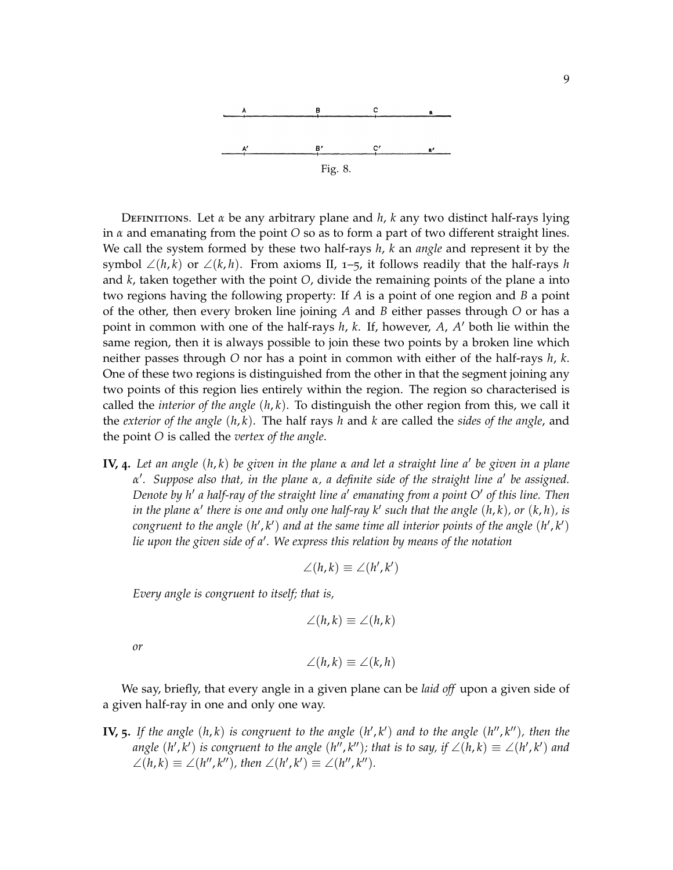

Definitions. Let *α* be any arbitrary plane and *h*, *k* any two distinct half-rays lying in *α* and emanating from the point *O* so as to form a part of two different straight lines. We call the system formed by these two half-rays *h*, *k* an *angle* and represent it by the symbol  $\angle(h,k)$  or  $\angle(k,h)$ . From axioms II, 1–5, it follows readily that the half-rays *h* and *k*, taken together with the point *O*, divide the remaining points of the plane a into two regions having the following property: If *A* is a point of one region and *B* a point of the other, then every broken line joining *A* and *B* either passes through *O* or has a point in common with one of the half-rays *h*, *k*. If, however, *A*, *A'* both lie within the same region, then it is always possible to join these two points by a broken line which neither passes through *O* nor has a point in common with either of the half-rays *h*, *k*. One of these two regions is distinguished from the other in that the segment joining any two points of this region lies entirely within the region. The region so characterised is called the *interior of the angle* (*h*, *k*). To distinguish the other region from this, we call it the *exterior of the angle* (*h*, *k*). The half rays *h* and *k* are called the *sides of the angle*, and the point *O* is called the *vertex of the angle*.

**IV, 4.** *Let an angle* (*h*, *k*) *be given in the plane α and let a straight line a*<sup>0</sup> *be given in a plane α* 0 *. Suppose also that, in the plane α, a definite side of the straight line a*<sup>0</sup> *be assigned. Denote by h*<sup>0</sup> *a half-ray of the straight line a*<sup>0</sup> *emanating from a point O*<sup>0</sup> *of this line. Then in the plane α' there is one and only one half-ray k' such that the angle*  $(h, k)$ *, or*  $(k, h)$ *, is* congruent to the angle  $(h',k')$  and at the same time all interior points of the angle  $(h',k')$ lie upon the given side of a'. We express this relation by means of the notation

$$
\angle(h,k) \equiv \angle(h',k')
$$

*Every angle is congruent to itself; that is,*

$$
\angle(h,k) \equiv \angle(h,k)
$$

*or*

$$
\angle(h,k) \equiv \angle(k,h)
$$

We say, briefly, that every angle in a given plane can be *laid off* upon a given side of a given half-ray in one and only one way.

**IV, 5.** If the angle  $(h, k)$  is congruent to the angle  $(h', k')$  and to the angle  $(h'', k'')$ , then the *angle*  $(h', k')$  *is congruent to the angle*  $(h'', k'')$ ; *that is to say, if* ∠(*h*, *k*) ≡ ∠(*h'*, *k'*) *and*  $\angle(h, k) \equiv \angle(h'', k''), \text{ then } \angle(h', k') \equiv \angle(h'', k'').$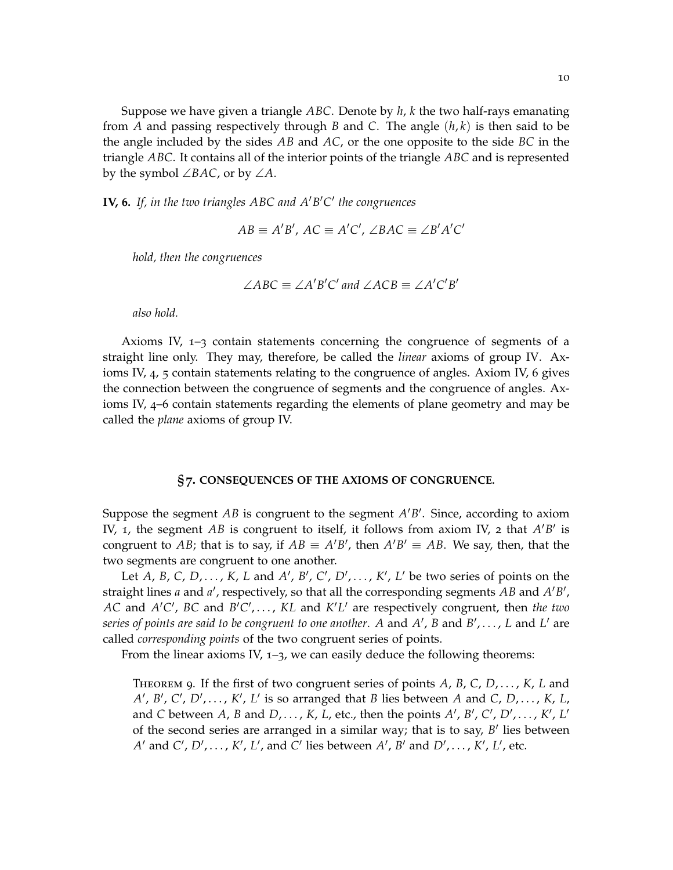Suppose we have given a triangle *ABC*. Denote by *h*, *k* the two half-rays emanating from *A* and passing respectively through *B* and *C*. The angle (*h*, *k*) is then said to be the angle included by the sides *AB* and *AC*, or the one opposite to the side *BC* in the triangle *ABC*. It contains all of the interior points of the triangle *ABC* and is represented by the symbol ∠*BAC*, or by ∠*A*.

**IV, 6.** If, in the two triangles ABC and A'B'C' the congruences

$$
AB \equiv A'B', AC \equiv A'C', \angle BAC \equiv \angle B'A'C'
$$

*hold, then the congruences*

$$
\angle ABC \equiv \angle A'B'C' \text{ and } \angle ACB \equiv \angle A'C'B'
$$

*also hold.*

Axioms IV, 1–3 contain statements concerning the congruence of segments of a straight line only. They may, therefore, be called the *linear* axioms of group IV. Axioms IV, 4, 5 contain statements relating to the congruence of angles. Axiom IV, 6 gives the connection between the congruence of segments and the congruence of angles. Axioms IV, 4–6 contain statements regarding the elements of plane geometry and may be called the *plane* axioms of group IV.

#### **§7. CONSEQUENCES OF THE AXIOMS OF CONGRUENCE.**

Suppose the segment  $AB$  is congruent to the segment  $A'B'$ . Since, according to axiom IV, 1, the segment AB is congruent to itself, it follows from axiom IV, 2 that A'B' is congruent to *AB*; that is to say, if  $AB \equiv A'B'$ , then  $A'B' \equiv AB$ . We say, then, that the two segments are congruent to one another.

Let *A*, *B*, *C*, *D*, ..., *K*, *L* and *A'*, *B'*, *C'*, *D'*, ..., *K'*, *L'* be two series of points on the straight lines *a* and *a'*, respectively, so that all the corresponding segments *AB* and *A'B'*, *AC* and *A*<sup>'</sup>*C*', *BC* and *B*<sup>'</sup>*C*',..., *KL* and *K*<sup>'</sup>*L*' are respectively congruent, then *the two* series of points are said to be congruent to one another. A and A', B and B',..., L and L' are called *corresponding points* of the two congruent series of points.

From the linear axioms IV,  $1-\frac{3}{2}$ , we can easily deduce the following theorems:

Theorem 9. If the first of two congruent series of points *A*, *B*, *C*, *D*, . . . , *K*, *L* and *A'*, *B'*, *C'*, *D'*,..., *K'*, *L'* is so arranged that *B* lies between *A* and *C*, *D*,..., *K*, *L*, and *C* between *A*, *B* and *D*, ..., *K*, *L*, etc., then the points *A'*, *B'*, *C'*, *D'*, ..., *K'*, *L'* of the second series are arranged in a similar way; that is to say, B' lies between *A'* and *C'*, *D'*,..., *K'*, *L'*, and *C'* lies between *A'*, *B'* and *D'*,..., *K'*, *L'*, etc.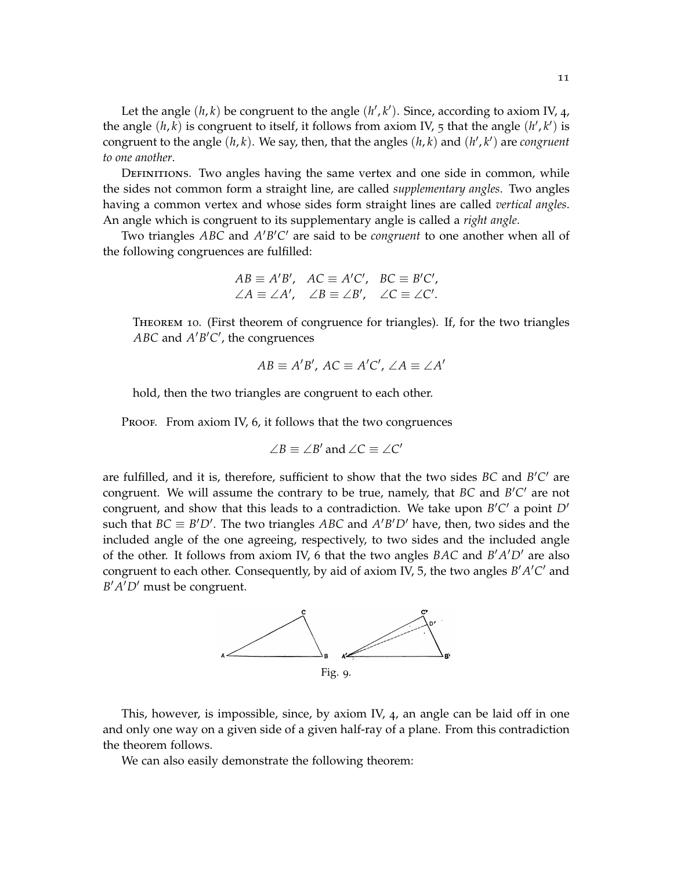Let the angle  $(h, k)$  be congruent to the angle  $(h', k')$ . Since, according to axiom IV, 4, the angle  $(h, k)$  is congruent to itself, it follows from axiom IV, 5 that the angle  $(h', k')$  is congruent to the angle  $(h, k)$ . We say, then, that the angles  $(h, k)$  and  $(h', k')$  are *congruent to one another*.

DEFINITIONS. Two angles having the same vertex and one side in common, while the sides not common form a straight line, are called *supplementary angles*. Two angles having a common vertex and whose sides form straight lines are called *vertical angles*. An angle which is congruent to its supplementary angle is called a *right angle*.

Two triangles ABC and A'B'C' are said to be *congruent* to one another when all of the following congruences are fulfilled:

$$
AB \equiv A'B', AC \equiv A'C', BC \equiv B'C',
$$
  

$$
\angle A \equiv \angle A', \angle B \equiv \angle B', \angle C \equiv \angle C'.
$$

Theorem 10. (First theorem of congruence for triangles). If, for the two triangles ABC and  $A'B'C'$ , the congruences

$$
AB \equiv A'B', AC \equiv A'C', \angle A \equiv \angle A'
$$

hold, then the two triangles are congruent to each other.

PROOF. From axiom IV,  $6$ , it follows that the two congruences

$$
\angle B \equiv \angle B'
$$
 and  $\angle C \equiv \angle C'$ 

are fulfilled, and it is, therefore, sufficient to show that the two sides *BC* and *B'C'* are congruent. We will assume the contrary to be true, namely, that *BC* and *B'C'* are not congruent, and show that this leads to a contradiction. We take upon  $B'C'$  a point  $D'$ such that  $BC \equiv B'D'$ . The two triangles ABC and  $A'B'D'$  have, then, two sides and the included angle of the one agreeing, respectively, to two sides and the included angle of the other. It follows from axiom IV, 6 that the two angles *BAC* and *B'A'D'* are also congruent to each other. Consequently, by aid of axiom IV, 5, the two angles  $B'A'C'$  and *B*<sup> $'A$ </sup>*D*<sup> $'$ </sup> must be congruent.



This, however, is impossible, since, by axiom IV,  $\mu$ , an angle can be laid off in one and only one way on a given side of a given half-ray of a plane. From this contradiction the theorem follows.

We can also easily demonstrate the following theorem: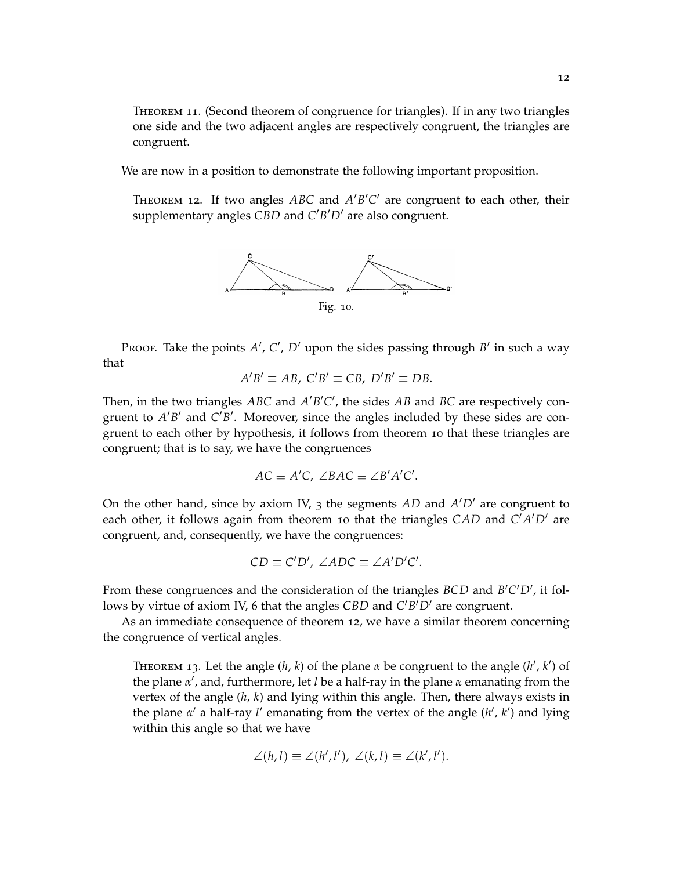Theorem 11. (Second theorem of congruence for triangles). If in any two triangles one side and the two adjacent angles are respectively congruent, the triangles are congruent.

We are now in a position to demonstrate the following important proposition.

THEOREM 12. If two angles ABC and  $A'B'C'$  are congruent to each other, their supplementary angles *CBD* and *C'B'D'* are also congruent.



Proof. Take the points A', C', D' upon the sides passing through B' in such a way that

$$
A'B' \equiv AB, C'B' \equiv CB, D'B' \equiv DB.
$$

Then, in the two triangles *ABC* and *A'B'C'*, the sides *AB* and *BC* are respectively congruent to  $A'B'$  and  $C'B'$ . Moreover, since the angles included by these sides are congruent to each other by hypothesis, it follows from theorem 10 that these triangles are congruent; that is to say, we have the congruences

$$
AC \equiv A'C
$$
,  $\angle BAC \equiv \angle B'A'C'$ .

On the other hand, since by axiom IV, 3 the segments *AD* and *A'D'* are congruent to each other, it follows again from theorem 10 that the triangles *CAD* and *C'A'D'* are congruent, and, consequently, we have the congruences:

$$
CD \equiv C'D', \angle ADC \equiv \angle A'D'C'.
$$

From these congruences and the consideration of the triangles *BCD* and *B'C'D'*, it follows by virtue of axiom IV, 6 that the angles *CBD* and *C'B<sup>'</sup>D'* are congruent.

As an immediate consequence of theorem 12, we have a similar theorem concerning the congruence of vertical angles.

THEOREM 13. Let the angle  $(h, k)$  of the plane  $\alpha$  be congruent to the angle  $(h', k')$  of the plane *α'*, and, furthermore, let *l* be a half-ray in the plane *α* emanating from the vertex of the angle (*h*, *k*) and lying within this angle. Then, there always exists in the plane *α'* a half-ray *l'* emanating from the vertex of the angle (*h', k'*) and lying within this angle so that we have

$$
\angle(h,l) \equiv \angle(h',l'), \angle(k,l) \equiv \angle(k',l').
$$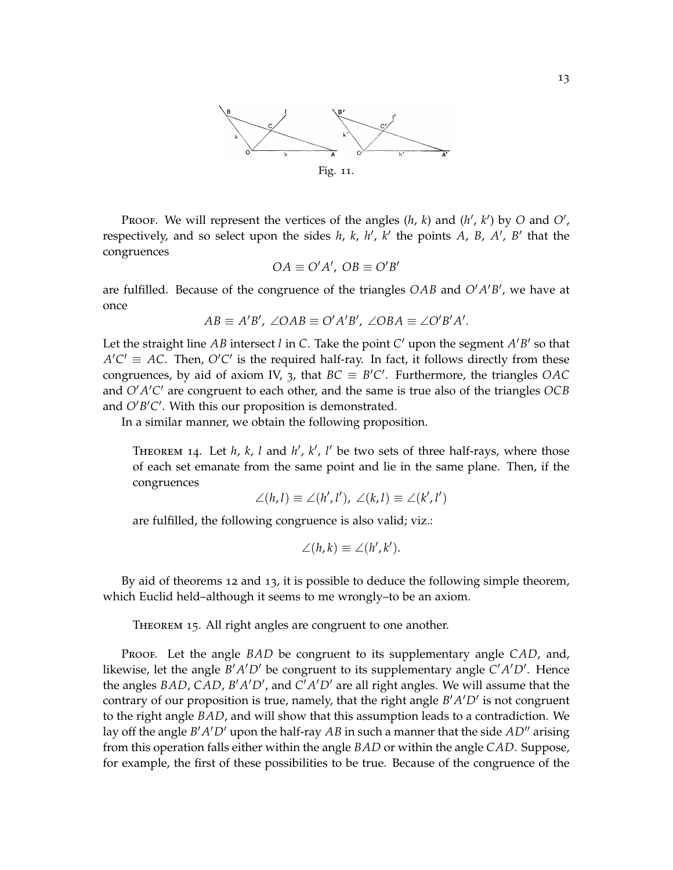

Proof. We will represent the vertices of the angles  $(h, k)$  and  $(h', k')$  by *O* and *O'*, respectively, and so select upon the sides  $h$ ,  $k$ ,  $h'$ ,  $k'$  the points  $A$ ,  $B$ ,  $A'$ ,  $B'$  that the congruences

$$
OA \equiv O'A', OB \equiv O'B'
$$

are fulfilled. Because of the congruence of the triangles *OAB* and *O'A'B'*, we have at once

$$
AB \equiv A'B', \ \angle OAB \equiv O'A'B', \ \angle OBA \equiv \angle O'B'A'.
$$

Let the straight line  $AB$  intersect  $l$  in  $C$ . Take the point  $C'$  upon the segment  $A'B'$  so that  $A'C' \equiv AC$ . Then,  $O'C'$  is the required half-ray. In fact, it follows directly from these congruences, by aid of axiom IV, 3, that  $BC \equiv B'C'$ . Furthermore, the triangles  $OAC$ and  $O'A'C'$  are congruent to each other, and the same is true also of the triangles *OCB* and  $O'B'C'$ . With this our proposition is demonstrated.

In a similar manner, we obtain the following proposition.

THEOREM 14. Let *h*, *k*, *l* and *h'*, *k'*, *l'* be two sets of three half-rays, where those of each set emanate from the same point and lie in the same plane. Then, if the congruences

$$
\angle(h,l) \equiv \angle(h',l'), \angle(k,l) \equiv \angle(k',l')
$$

are fulfilled, the following congruence is also valid; viz.:

$$
\angle(h,k) \equiv \angle(h',k').
$$

By aid of theorems 12 and 13, it is possible to deduce the following simple theorem, which Euclid held–although it seems to me wrongly–to be an axiom.

Theorem 15. All right angles are congruent to one another.

Proof. Let the angle *BAD* be congruent to its supplementary angle *CAD*, and, likewise, let the angle  $B'A'D'$  be congruent to its supplementary angle  $C'A'D'$ . Hence the angles *BAD*, *CAD*, *B'A'D'*, and *C'A'D'* are all right angles. We will assume that the contrary of our proposition is true, namely, that the right angle  $B'A'D'$  is not congruent to the right angle *BAD*, and will show that this assumption leads to a contradiction. We lay off the angle *B'A'D'* upon the half-ray *AB* in such a manner that the side *AD''* arising from this operation falls either within the angle *BAD* or within the angle *CAD*. Suppose, for example, the first of these possibilities to be true. Because of the congruence of the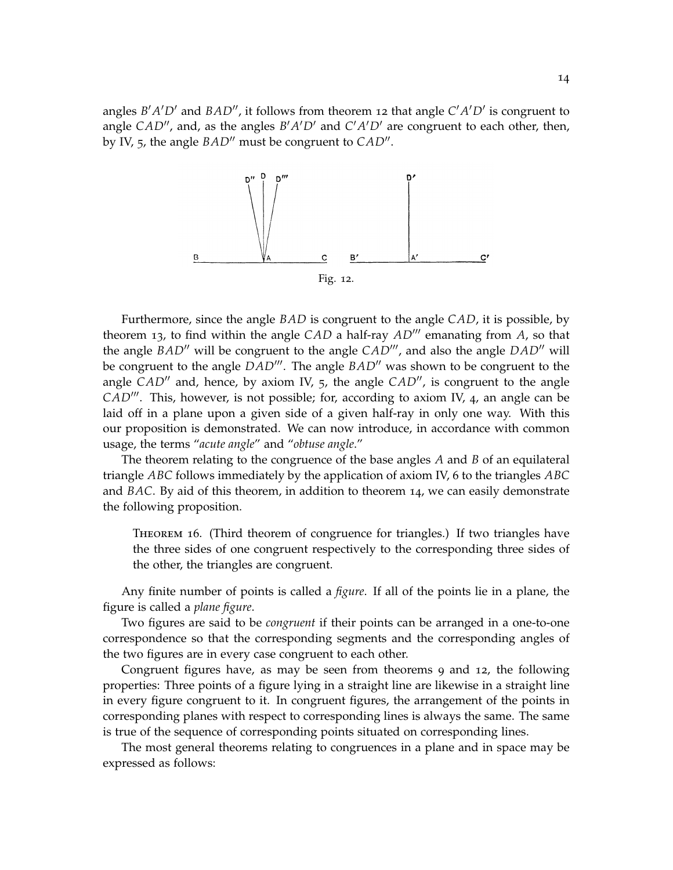angles  $B'A'D'$  and  $BAD''$ , it follows from theorem 12 that angle  $C'A'D'$  is congruent to angle  $CAD''$ , and, as the angles  $B'A'D'$  and  $C'A'D'$  are congruent to each other, then, by IV, 5, the angle *BAD*<sup>*n*</sup> must be congruent to *CAD<sup><i>n*</sup>.



Furthermore, since the angle *BAD* is congruent to the angle *CAD*, it is possible, by theorem 13, to find within the angle *CAD* a half-ray  $AD^{\prime\prime\prime}$  emanating from *A*, so that the angle *BAD<sup>n</sup>* will be congruent to the angle *CAD<sup>n</sup>*, and also the angle *DAD<sup>n</sup>* will be congruent to the angle *DAD<sup>11</sup>*. The angle *BAD<sup>1</sup>* was shown to be congruent to the angle *CAD<sup>n</sup>* and, hence, by axiom IV,  $\tau$ , the angle *CAD<sup>n</sup>*, is congruent to the angle *CAD<sup>'''</sup>*. This, however, is not possible; for, according to axiom IV, 4, an angle can be laid off in a plane upon a given side of a given half-ray in only one way. With this our proposition is demonstrated. We can now introduce, in accordance with common usage, the terms "*acute angle*" and "*obtuse angle*."

The theorem relating to the congruence of the base angles *A* and *B* of an equilateral triangle *ABC* follows immediately by the application of axiom IV, 6 to the triangles *ABC* and *BAC*. By aid of this theorem, in addition to theorem 14, we can easily demonstrate the following proposition.

Theorem 16. (Third theorem of congruence for triangles.) If two triangles have the three sides of one congruent respectively to the corresponding three sides of the other, the triangles are congruent.

Any finite number of points is called a *figure*. If all of the points lie in a plane, the figure is called a *plane figure*.

Two figures are said to be *congruent* if their points can be arranged in a one-to-one correspondence so that the corresponding segments and the corresponding angles of the two figures are in every case congruent to each other.

Congruent figures have, as may be seen from theorems 9 and 12, the following properties: Three points of a figure lying in a straight line are likewise in a straight line in every figure congruent to it. In congruent figures, the arrangement of the points in corresponding planes with respect to corresponding lines is always the same. The same is true of the sequence of corresponding points situated on corresponding lines.

The most general theorems relating to congruences in a plane and in space may be expressed as follows: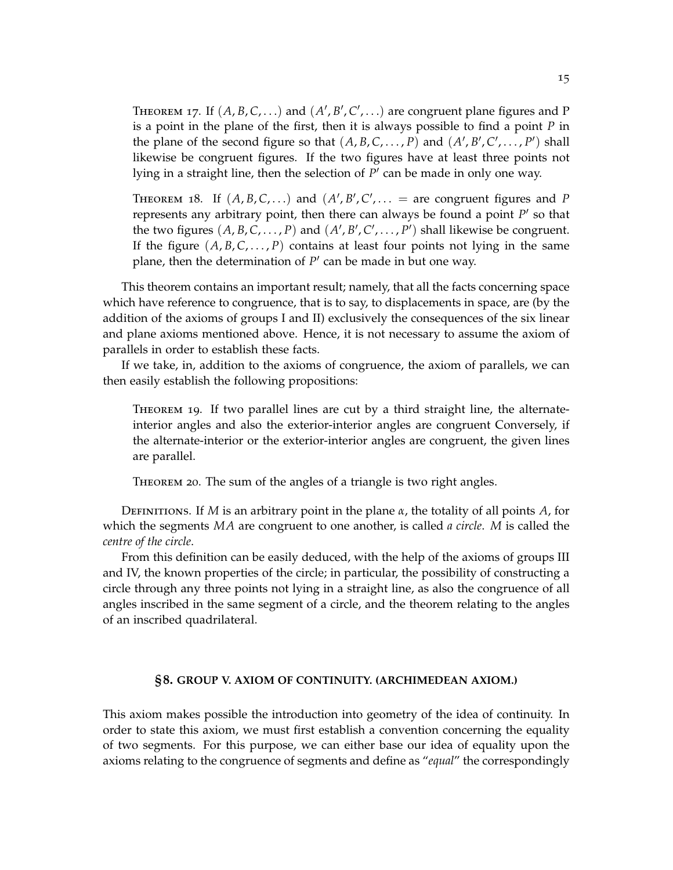THEOREM 17. If  $(A, B, C, ...)$  and  $(A', B', C', ...)$  are congruent plane figures and P is a point in the plane of the first, then it is always possible to find a point *P* in the plane of the second figure so that  $(A, B, C, \ldots, P)$  and  $(A', B', C', \ldots, P')$  shall likewise be congruent figures. If the two figures have at least three points not lying in a straight line, then the selection of P' can be made in only one way.

THEOREM 18. If  $(A, B, C, ...)$  and  $(A', B', C', ...$  = are congruent figures and *P* represents any arbitrary point, then there can always be found a point P' so that the two figures  $(A, B, C, \ldots, P)$  and  $(A', B', C', \ldots, P')$  shall likewise be congruent. If the figure  $(A, B, C, \ldots, P)$  contains at least four points not lying in the same plane, then the determination of  $P'$  can be made in but one way.

This theorem contains an important result; namely, that all the facts concerning space which have reference to congruence, that is to say, to displacements in space, are (by the addition of the axioms of groups I and II) exclusively the consequences of the six linear and plane axioms mentioned above. Hence, it is not necessary to assume the axiom of parallels in order to establish these facts.

If we take, in, addition to the axioms of congruence, the axiom of parallels, we can then easily establish the following propositions:

Theorem 19. If two parallel lines are cut by a third straight line, the alternateinterior angles and also the exterior-interior angles are congruent Conversely, if the alternate-interior or the exterior-interior angles are congruent, the given lines are parallel.

THEOREM 20. The sum of the angles of a triangle is two right angles.

Definitions. If *M* is an arbitrary point in the plane *α*, the totality of all points *A*, for which the segments *MA* are congruent to one another, is called *a circle*. *M* is called the *centre of the circle*.

From this definition can be easily deduced, with the help of the axioms of groups III and IV, the known properties of the circle; in particular, the possibility of constructing a circle through any three points not lying in a straight line, as also the congruence of all angles inscribed in the same segment of a circle, and the theorem relating to the angles of an inscribed quadrilateral.

#### **§8. GROUP V. AXIOM OF CONTINUITY. (ARCHIMEDEAN AXIOM.)**

This axiom makes possible the introduction into geometry of the idea of continuity. In order to state this axiom, we must first establish a convention concerning the equality of two segments. For this purpose, we can either base our idea of equality upon the axioms relating to the congruence of segments and define as "*equal*" the correspondingly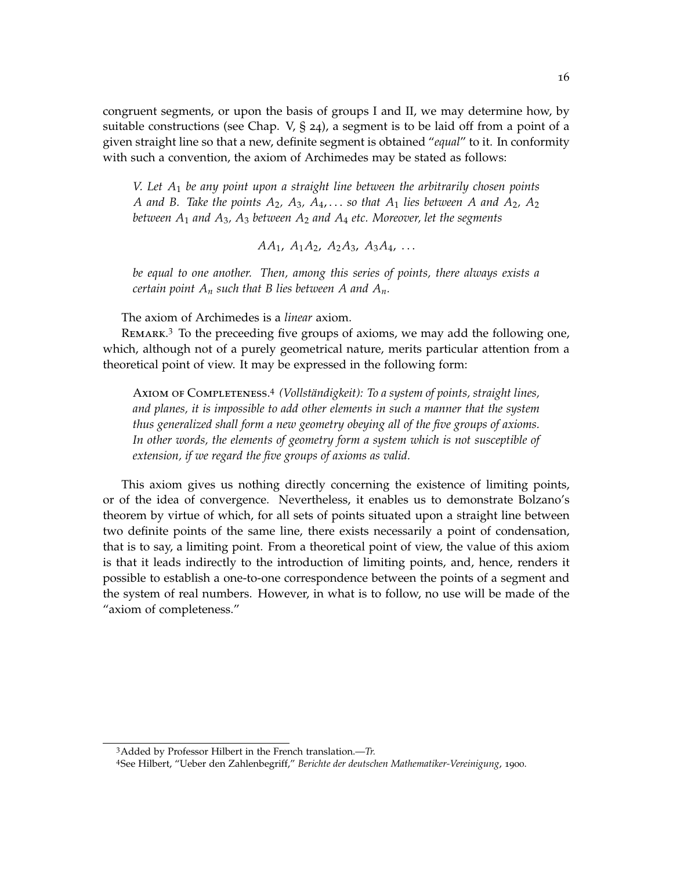congruent segments, or upon the basis of groups I and II, we may determine how, by suitable constructions (see Chap.  $V$ ,  $\S$  24), a segment is to be laid off from a point of a given straight line so that a new, definite segment is obtained "*equal*" to it. In conformity with such a convention, the axiom of Archimedes may be stated as follows:

*V. Let A*<sup>1</sup> *be any point upon a straight line between the arbitrarily chosen points A* and *B*. Take the points  $A_2$ ,  $A_3$ ,  $A_4$ ,  $\ldots$  so that  $A_1$  lies between A and  $A_2$ ,  $A_2$ *between A*<sup>1</sup> *and A*3*, A*<sup>3</sup> *between A*<sup>2</sup> *and A*<sup>4</sup> *etc. Moreover, let the segments*

*AA*1, *A*1*A*2, *A*2*A*3, *A*3*A*4, . . .

*be equal to one another. Then, among this series of points, there always exists a certain point A<sup>n</sup> such that B lies between A and An.*

The axiom of Archimedes is a *linear* axiom.

REMARK.<sup>3</sup> To the preceeding five groups of axioms, we may add the following one, which, although not of a purely geometrical nature, merits particular attention from a theoretical point of view. It may be expressed in the following form:

Axiom of Completeness. 4 *(Vollständigkeit): To a system of points, straight lines, and planes, it is impossible to add other elements in such a manner that the system thus generalized shall form a new geometry obeying all of the five groups of axioms. In other words, the elements of geometry form a system which is not susceptible of extension, if we regard the five groups of axioms as valid.*

This axiom gives us nothing directly concerning the existence of limiting points, or of the idea of convergence. Nevertheless, it enables us to demonstrate Bolzano's theorem by virtue of which, for all sets of points situated upon a straight line between two definite points of the same line, there exists necessarily a point of condensation, that is to say, a limiting point. From a theoretical point of view, the value of this axiom is that it leads indirectly to the introduction of limiting points, and, hence, renders it possible to establish a one-to-one correspondence between the points of a segment and the system of real numbers. However, in what is to follow, no use will be made of the "axiom of completeness."

<sup>3</sup>Added by Professor Hilbert in the French translation.—*Tr.*

<sup>4</sup>See Hilbert, "Ueber den Zahlenbegriff," *Berichte der deutschen Mathematiker-Vereinigung*, 1900.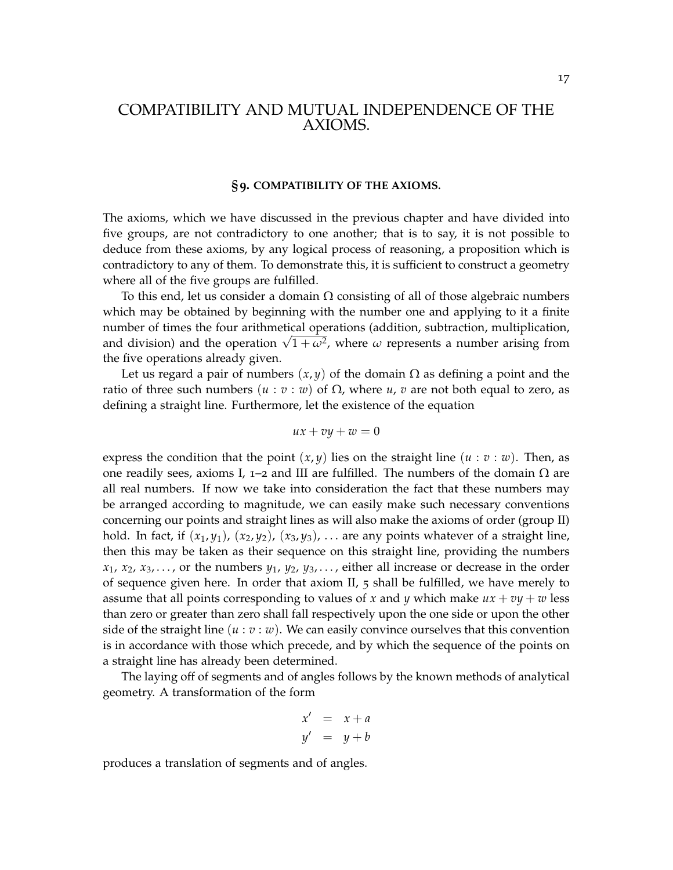# COMPATIBILITY AND MUTUAL INDEPENDENCE OF THE AXIOMS.

#### **§9. COMPATIBILITY OF THE AXIOMS.**

The axioms, which we have discussed in the previous chapter and have divided into five groups, are not contradictory to one another; that is to say, it is not possible to deduce from these axioms, by any logical process of reasoning, a proposition which is contradictory to any of them. To demonstrate this, it is sufficient to construct a geometry where all of the five groups are fulfilled.

To this end, let us consider a domain  $\Omega$  consisting of all of those algebraic numbers which may be obtained by beginning with the number one and applying to it a finite number of times the four arithmetical operations (addition, subtraction, multiplication, number or times the four arithmetical operations (addition, subtraction, multiplication,<br>and division) and the operation  $\sqrt{1 + \omega^2}$ , where  $\omega$  represents a number arising from the five operations already given.

Let us regard a pair of numbers  $(x, y)$  of the domain  $\Omega$  as defining a point and the ratio of three such numbers  $(u : v : w)$  of  $\Omega$ , where  $u, v$  are not both equal to zero, as defining a straight line. Furthermore, let the existence of the equation

$$
ux + vy + w = 0
$$

express the condition that the point  $(x, y)$  lies on the straight line  $(u : v : w)$ . Then, as one readily sees, axioms I,  $1$ –2 and III are fulfilled. The numbers of the domain  $\Omega$  are all real numbers. If now we take into consideration the fact that these numbers may be arranged according to magnitude, we can easily make such necessary conventions concerning our points and straight lines as will also make the axioms of order (group II) hold. In fact, if  $(x_1, y_1)$ ,  $(x_2, y_2)$ ,  $(x_3, y_3)$ , ... are any points whatever of a straight line, then this may be taken as their sequence on this straight line, providing the numbers  $x_1, x_2, x_3, \ldots$ , or the numbers  $y_1, y_2, y_3, \ldots$ , either all increase or decrease in the order of sequence given here. In order that axiom II, 5 shall be fulfilled, we have merely to assume that all points corresponding to values of *x* and *y* which make  $ux + vy + w$  less than zero or greater than zero shall fall respectively upon the one side or upon the other side of the straight line  $(u: v:w)$ . We can easily convince ourselves that this convention is in accordance with those which precede, and by which the sequence of the points on a straight line has already been determined.

The laying off of segments and of angles follows by the known methods of analytical geometry. A transformation of the form

$$
x' = x + a
$$
  

$$
y' = y + b
$$

produces a translation of segments and of angles.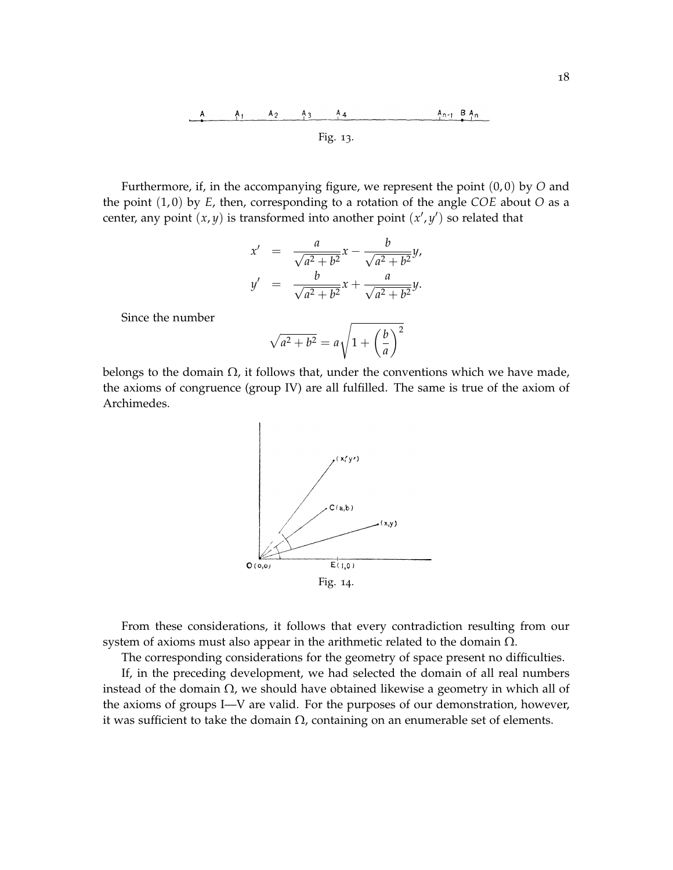$$
A \t A1 A2 A3 A4 An-1 B An
$$
  
Fig. 13.

Furthermore, if, in the accompanying figure, we represent the point (0, 0) by *O* and the point (1, 0) by *E*, then, corresponding to a rotation of the angle *COE* about *O* as a center, any point  $(x, y)$  is transformed into another point  $(x', y')$  so related that

$$
x' = \frac{a}{\sqrt{a^2 + b^2}} x - \frac{b}{\sqrt{a^2 + b^2}} y,
$$
  

$$
y' = \frac{b}{\sqrt{a^2 + b^2}} x + \frac{a}{\sqrt{a^2 + b^2}} y.
$$

Since the number

$$
\sqrt{a^2 + b^2} = a\sqrt{1 + \left(\frac{b}{a}\right)^2}
$$

belongs to the domain  $\Omega$ , it follows that, under the conventions which we have made, the axioms of congruence (group IV) are all fulfilled. The same is true of the axiom of Archimedes.



From these considerations, it follows that every contradiction resulting from our system of axioms must also appear in the arithmetic related to the domain  $Ω$ .

The corresponding considerations for the geometry of space present no difficulties.

If, in the preceding development, we had selected the domain of all real numbers instead of the domain  $Ω$ , we should have obtained likewise a geometry in which all of the axioms of groups I—V are valid. For the purposes of our demonstration, however, it was sufficient to take the domain  $\Omega$ , containing on an enumerable set of elements.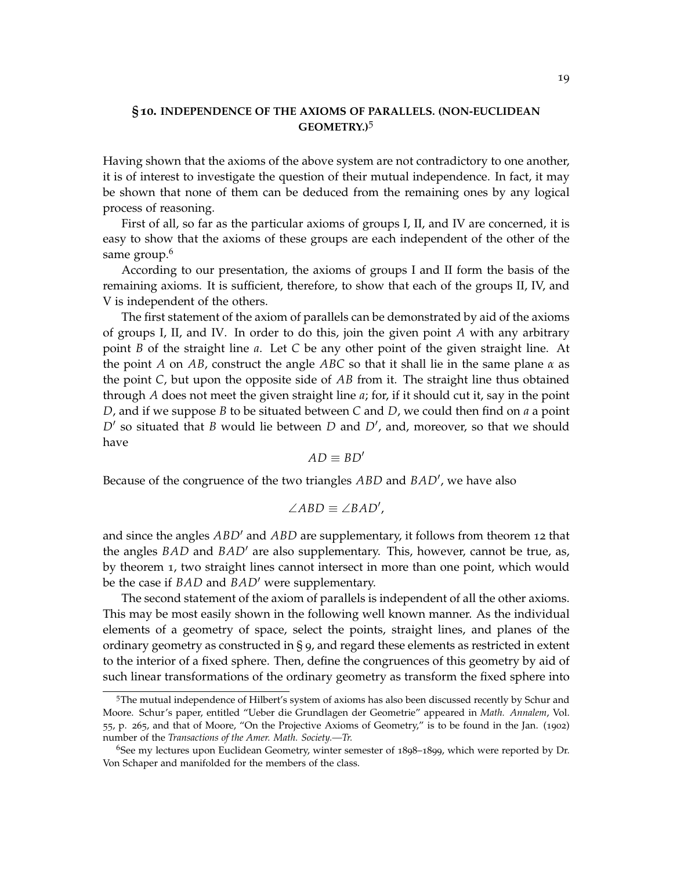### **§10. INDEPENDENCE OF THE AXIOMS OF PARALLELS. (NON-EUCLIDEAN GEOMETRY.)**<sup>5</sup>

Having shown that the axioms of the above system are not contradictory to one another, it is of interest to investigate the question of their mutual independence. In fact, it may be shown that none of them can be deduced from the remaining ones by any logical process of reasoning.

First of all, so far as the particular axioms of groups I, II, and IV are concerned, it is easy to show that the axioms of these groups are each independent of the other of the same group.<sup>6</sup>

According to our presentation, the axioms of groups I and II form the basis of the remaining axioms. It is sufficient, therefore, to show that each of the groups II, IV, and V is independent of the others.

The first statement of the axiom of parallels can be demonstrated by aid of the axioms of groups I, II, and IV. In order to do this, join the given point *A* with any arbitrary point *B* of the straight line *a*. Let *C* be any other point of the given straight line. At the point *A* on *AB*, construct the angle *ABC* so that it shall lie in the same plane *α* as the point *C*, but upon the opposite side of *AB* from it. The straight line thus obtained through *A* does not meet the given straight line *a*; for, if it should cut it, say in the point *D*, and if we suppose *B* to be situated between *C* and *D*, we could then find on *a* a point  $D'$  so situated that *B* would lie between *D* and  $D'$ , and, moreover, so that we should have

$$
AD \equiv BD'
$$

Because of the congruence of the two triangles ABD and BAD', we have also

$$
\angle ABD \equiv \angle BAD',
$$

and since the angles *ABD'* and *ABD* are supplementary, it follows from theorem 12 that the angles *BAD* and *BAD'* are also supplementary. This, however, cannot be true, as, by theorem 1, two straight lines cannot intersect in more than one point, which would be the case if *BAD* and *BAD'* were supplementary.

The second statement of the axiom of parallels is independent of all the other axioms. This may be most easily shown in the following well known manner. As the individual elements of a geometry of space, select the points, straight lines, and planes of the ordinary geometry as constructed in § 9, and regard these elements as restricted in extent to the interior of a fixed sphere. Then, define the congruences of this geometry by aid of such linear transformations of the ordinary geometry as transform the fixed sphere into

<sup>5</sup>The mutual independence of Hilbert's system of axioms has also been discussed recently by Schur and Moore. Schur's paper, entitled "Ueber die Grundlagen der Geometrie" appeared in *Math. Annalem*, Vol. 55, p. 265, and that of Moore, "On the Projective Axioms of Geometry," is to be found in the Jan. (1902) number of the *Transactions of the Amer. Math. Society.—Tr.*

 $6$ See my lectures upon Euclidean Geometry, winter semester of 1898–1899, which were reported by Dr. Von Schaper and manifolded for the members of the class.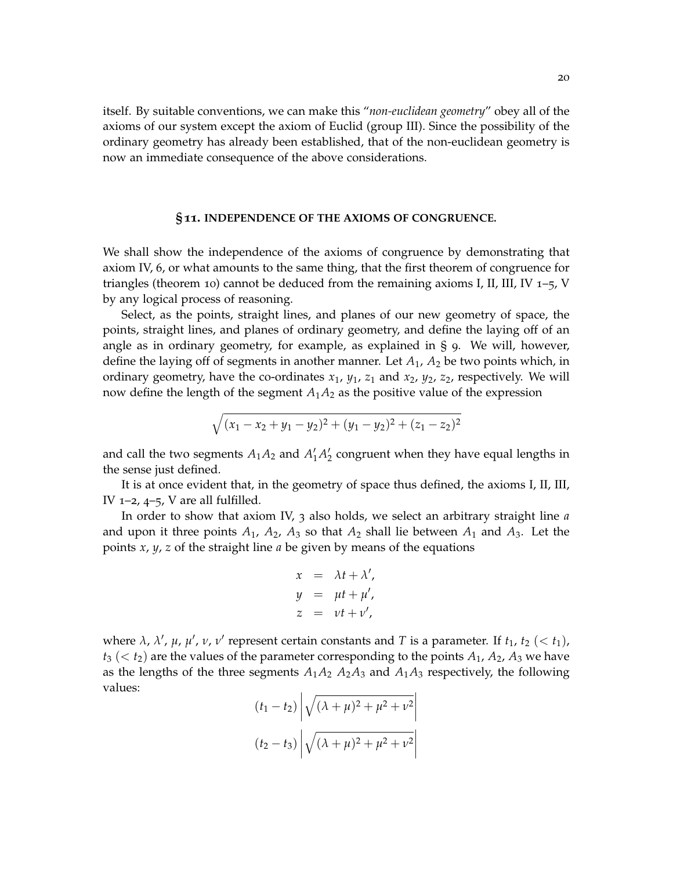itself. By suitable conventions, we can make this "*non-euclidean geometry*" obey all of the axioms of our system except the axiom of Euclid (group III). Since the possibility of the ordinary geometry has already been established, that of the non-euclidean geometry is now an immediate consequence of the above considerations.

#### **§11. INDEPENDENCE OF THE AXIOMS OF CONGRUENCE.**

We shall show the independence of the axioms of congruence by demonstrating that axiom IV, 6, or what amounts to the same thing, that the first theorem of congruence for triangles (theorem 10) cannot be deduced from the remaining axioms I, II, III, IV  $1-5$ , V by any logical process of reasoning.

Select, as the points, straight lines, and planes of our new geometry of space, the points, straight lines, and planes of ordinary geometry, and define the laying off of an angle as in ordinary geometry, for example, as explained in § 9. We will, however, define the laying off of segments in another manner. Let *A*1, *A*<sup>2</sup> be two points which, in ordinary geometry, have the co-ordinates  $x_1$ ,  $y_1$ ,  $z_1$  and  $x_2$ ,  $y_2$ ,  $z_2$ , respectively. We will now define the length of the segment  $A_1A_2$  as the positive value of the expression

$$
\sqrt{(x_1-x_2+y_1-y_2)^2+(y_1-y_2)^2+(z_1-z_2)^2}
$$

and call the two segments  $A_1A_2$  and  $A'_1A'_2$  congruent when they have equal lengths in the sense just defined.

It is at once evident that, in the geometry of space thus defined, the axioms I, II, III, IV  $1-2$ ,  $4-5$ , V are all fulfilled.

In order to show that axiom IV, 3 also holds, we select an arbitrary straight line *a* and upon it three points  $A_1$ ,  $A_2$ ,  $A_3$  so that  $A_2$  shall lie between  $A_1$  and  $A_3$ . Let the points *x*, *y*, *z* of the straight line *a* be given by means of the equations

$$
x = \lambda t + \lambda',
$$
  
\n
$$
y = \mu t + \mu',
$$
  
\n
$$
z = \nu t + \nu',
$$

where  $\lambda$ ,  $\lambda'$ ,  $\mu$ ,  $\mu'$ ,  $\nu$ ,  $\nu'$  represent certain constants and *T* is a parameter. If  $t_1$ ,  $t_2$  (<  $t_1$ ),  $t_3$  ( $\lt t_2$ ) are the values of the parameter corresponding to the points  $A_1$ ,  $A_2$ ,  $A_3$  we have as the lengths of the three segments  $A_1A_2$   $A_2A_3$  and  $A_1A_3$  respectively, the following values:

$$
(t_1 - t_2) \left| \sqrt{(\lambda + \mu)^2 + \mu^2 + \nu^2} \right|
$$

$$
(t_2 - t_3) \left| \sqrt{(\lambda + \mu)^2 + \mu^2 + \nu^2} \right|
$$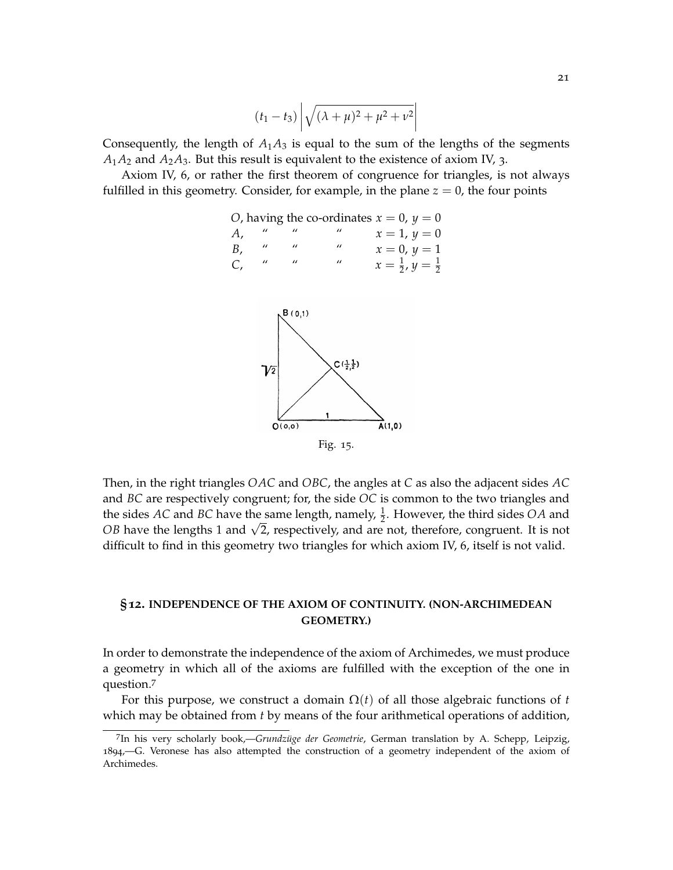$$
(t_1 - t_3)\left|\sqrt{(\lambda + \mu)^2 + \mu^2 + \nu^2}\right|
$$

Consequently, the length of  $A_1A_3$  is equal to the sum of the lengths of the segments  $A_1A_2$  and  $A_2A_3$ . But this result is equivalent to the existence of axiom IV, 3.

Axiom IV, 6, or rather the first theorem of congruence for triangles, is not always fulfilled in this geometry. Consider, for example, in the plane  $z = 0$ , the four points



Then, in the right triangles *OAC* and *OBC*, the angles at *C* as also the adjacent sides *AC* and *BC* are respectively congruent; for, the side *OC* is common to the two triangles and the sides *AC* and *BC* have the same length, namely,  $\frac{1}{2}$ . However, the third sides *OA* and the sides AC and *BC* have the same length, hamely,  $\frac{1}{2}$ . However, the third sides OA and OB have the lengths 1 and  $\sqrt{2}$ , respectively, and are not, therefore, congruent. It is not difficult to find in this geometry two triangles for which axiom IV, 6, itself is not valid.

### **§12. INDEPENDENCE OF THE AXIOM OF CONTINUITY. (NON-ARCHIMEDEAN GEOMETRY.)**

In order to demonstrate the independence of the axiom of Archimedes, we must produce a geometry in which all of the axioms are fulfilled with the exception of the one in question.<sup>7</sup>

For this purpose, we construct a domain  $\Omega(t)$  of all those algebraic functions of *t* which may be obtained from *t* by means of the four arithmetical operations of addition,

<sup>7</sup> In his very scholarly book,—*Grundzüge der Geometrie*, German translation by A. Schepp, Leipzig, 1894,—G. Veronese has also attempted the construction of a geometry independent of the axiom of Archimedes.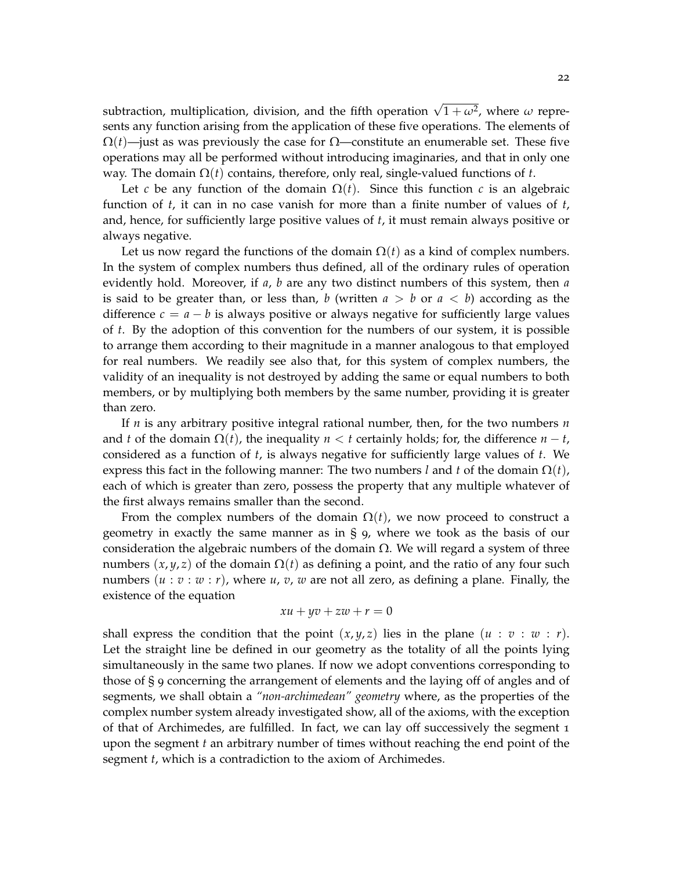subtraction, multiplication, division, and the fifth operation  $\sqrt{1 + \omega^2}$ , where  $\omega$  represents any function arising from the application of these five operations. The elements of  $\Omega(t)$ —just as was previously the case for  $\Omega$ —constitute an enumerable set. These five operations may all be performed without introducing imaginaries, and that in only one way. The domain  $\Omega(t)$  contains, therefore, only real, single-valued functions of *t*.

Let *c* be any function of the domain  $\Omega(t)$ . Since this function *c* is an algebraic function of *t*, it can in no case vanish for more than a finite number of values of *t*, and, hence, for sufficiently large positive values of *t*, it must remain always positive or always negative.

Let us now regard the functions of the domain  $\Omega(t)$  as a kind of complex numbers. In the system of complex numbers thus defined, all of the ordinary rules of operation evidently hold. Moreover, if *a*, *b* are any two distinct numbers of this system, then *a* is said to be greater than, or less than, *b* (written  $a > b$  or  $a < b$ ) according as the difference  $c = a - b$  is always positive or always negative for sufficiently large values of *t*. By the adoption of this convention for the numbers of our system, it is possible to arrange them according to their magnitude in a manner analogous to that employed for real numbers. We readily see also that, for this system of complex numbers, the validity of an inequality is not destroyed by adding the same or equal numbers to both members, or by multiplying both members by the same number, providing it is greater than zero.

If *n* is any arbitrary positive integral rational number, then, for the two numbers *n* and *t* of the domain  $\Omega(t)$ , the inequality  $n < t$  certainly holds; for, the difference  $n - t$ , considered as a function of *t*, is always negative for sufficiently large values of *t*. We express this fact in the following manner: The two numbers *l* and *t* of the domain  $\Omega(t)$ , each of which is greater than zero, possess the property that any multiple whatever of the first always remains smaller than the second.

From the complex numbers of the domain  $\Omega(t)$ , we now proceed to construct a geometry in exactly the same manner as in § 9, where we took as the basis of our consideration the algebraic numbers of the domain  $Ω$ . We will regard a system of three numbers  $(x, y, z)$  of the domain  $\Omega(t)$  as defining a point, and the ratio of any four such numbers (*u* : *v* : *w* : *r*), where *u*, *v*, *w* are not all zero, as defining a plane. Finally, the existence of the equation

$$
xu + yv + zw + r = 0
$$

shall express the condition that the point  $(x, y, z)$  lies in the plane  $(u : v : w : r)$ . Let the straight line be defined in our geometry as the totality of all the points lying simultaneously in the same two planes. If now we adopt conventions corresponding to those of § 9 concerning the arrangement of elements and the laying off of angles and of segments, we shall obtain a *"non-archimedean" geometry* where, as the properties of the complex number system already investigated show, all of the axioms, with the exception of that of Archimedes, are fulfilled. In fact, we can lay off successively the segment 1 upon the segment *t* an arbitrary number of times without reaching the end point of the segment *t*, which is a contradiction to the axiom of Archimedes.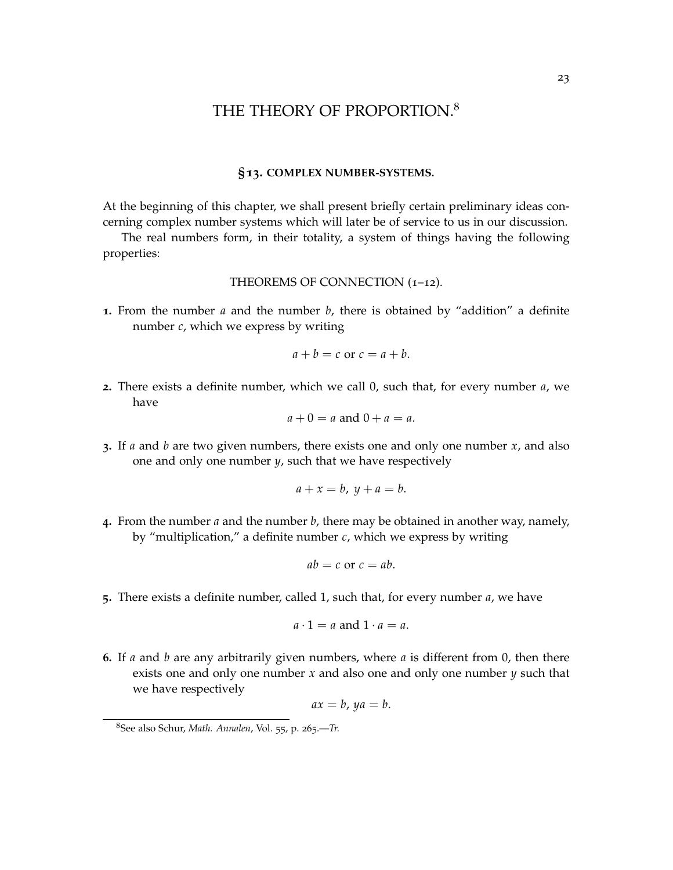# THE THEORY OF PROPORTION.<sup>8</sup>

#### **§13. COMPLEX NUMBER-SYSTEMS.**

At the beginning of this chapter, we shall present briefly certain preliminary ideas concerning complex number systems which will later be of service to us in our discussion.

The real numbers form, in their totality, a system of things having the following properties:

THEOREMS OF CONNECTION 
$$
(1-12)
$$
.

**1.** From the number *a* and the number *b*, there is obtained by "addition" a definite number *c*, which we express by writing

$$
a+b=c \text{ or } c=a+b.
$$

**2.** There exists a definite number, which we call 0, such that, for every number *a*, we have

$$
a+0=a \text{ and } 0+a=a.
$$

**3.** If *a* and *b* are two given numbers, there exists one and only one number *x*, and also one and only one number *y*, such that we have respectively

$$
a + x = b, y + a = b.
$$

**4.** From the number *a* and the number *b*, there may be obtained in another way, namely, by "multiplication," a definite number *c*, which we express by writing

$$
ab = c
$$
 or  $c = ab$ .

**5.** There exists a definite number, called 1, such that, for every number *a*, we have

$$
a \cdot 1 = a \text{ and } 1 \cdot a = a.
$$

**6.** If *a* and *b* are any arbitrarily given numbers, where *a* is different from 0, then there exists one and only one number *x* and also one and only one number *y* such that we have respectively

$$
ax = b, ya = b.
$$

<sup>8</sup>See also Schur, *Math. Annalen*, Vol. 55, p. 265.—*Tr.*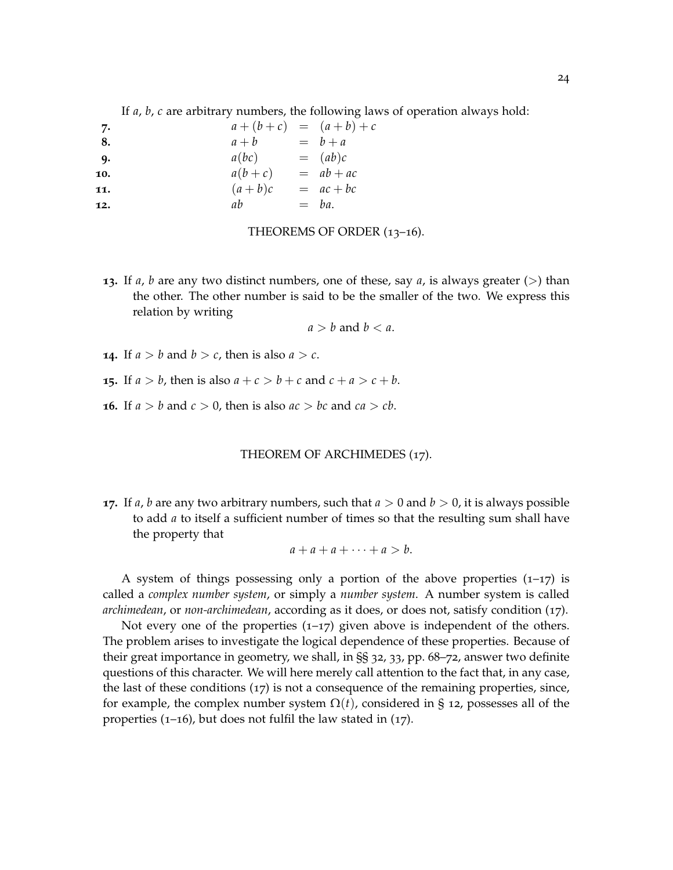If *a*, *b*, *c* are arbitrary numbers, the following laws of operation always hold:

- **7. 8. 9. 10.**  $a + (b + c) = (a + b) + c$  $a + b = b + a$  $a(bc) = (ab)c$  $a(b+c) = ab + ac$
- **11.**  $(a + b)c = ac + bc$
- **12.**  $ab = ba$ .

#### THEOREMS OF ORDER (13-16).

**13.** If *a*, *b* are any two distinct numbers, one of these, say *a*, is always greater (>) than the other. The other number is said to be the smaller of the two. We express this relation by writing

$$
a > b
$$
 and  $b < a$ .

- **14.** If  $a > b$  and  $b > c$ , then is also  $a > c$ .
- **15.** If  $a > b$ , then is also  $a + c > b + c$  and  $c + a > c + b$ .
- **16.** If  $a > b$  and  $c > 0$ , then is also  $ac > bc$  and  $ca > cb$ .

THEOREM OF ARCHIMEDES (17).

**17.** If *a*, *b* are any two arbitrary numbers, such that  $a > 0$  and  $b > 0$ , it is always possible to add *a* to itself a sufficient number of times so that the resulting sum shall have the property that

$$
a+a+a+\cdots+a>b.
$$

A system of things possessing only a portion of the above properties  $(1-17)$  is called a *complex number system*, or simply a *number system*. A number system is called *archimedean*, or *non-archimedean*, according as it does, or does not, satisfy condition (17).

Not every one of the properties  $(1-17)$  given above is independent of the others. The problem arises to investigate the logical dependence of these properties. Because of their great importance in geometry, we shall, in §§ 32, 33, pp. 68–72, answer two definite questions of this character. We will here merely call attention to the fact that, in any case, the last of these conditions (17) is not a consequence of the remaining properties, since, for example, the complex number system  $\Omega(t)$ , considered in § 12, possesses all of the properties (1–16), but does not fulfil the law stated in (17).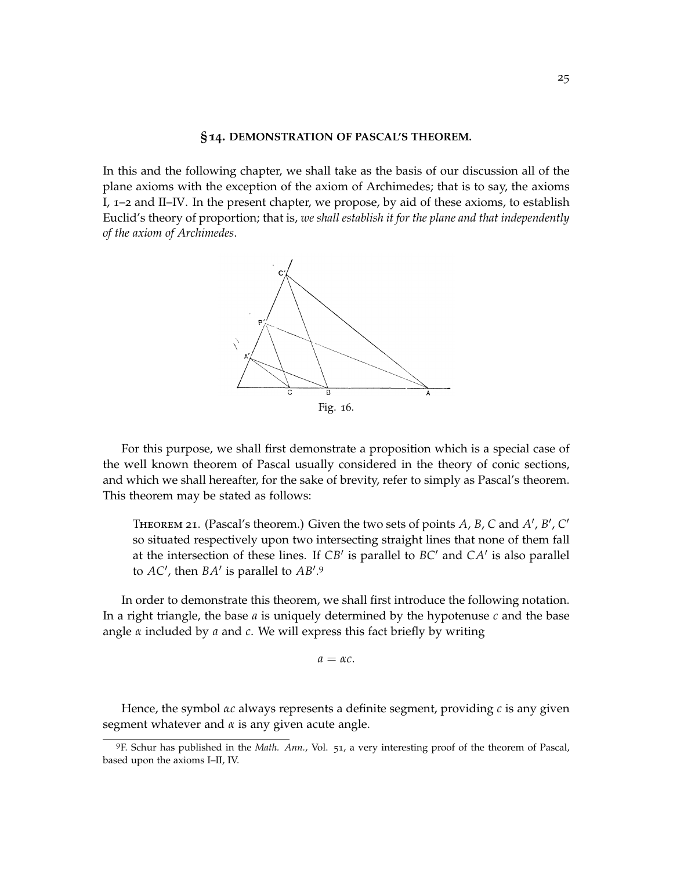#### **§14. DEMONSTRATION OF PASCAL'S THEOREM.**

In this and the following chapter, we shall take as the basis of our discussion all of the plane axioms with the exception of the axiom of Archimedes; that is to say, the axioms I, 1–2 and II–IV. In the present chapter, we propose, by aid of these axioms, to establish Euclid's theory of proportion; that is, *we shall establish it for the plane and that independently of the axiom of Archimedes*.



For this purpose, we shall first demonstrate a proposition which is a special case of the well known theorem of Pascal usually considered in the theory of conic sections, and which we shall hereafter, for the sake of brevity, refer to simply as Pascal's theorem. This theorem may be stated as follows:

THEOREM 21. (Pascal's theorem.) Given the two sets of points *A*, *B*, *C* and *A'*, *B'*, *C'* so situated respectively upon two intersecting straight lines that none of them fall at the intersection of these lines. If *CB'* is parallel to *BC'* and *CA'* is also parallel to  $AC'$ , then  $BA'$  is parallel to  $AB'.9$ 

In order to demonstrate this theorem, we shall first introduce the following notation. In a right triangle, the base *a* is uniquely determined by the hypotenuse *c* and the base angle *α* included by *a* and *c*. We will express this fact briefly by writing

$$
a=\alpha c.
$$

Hence, the symbol *αc* always represents a definite segment, providing *c* is any given segment whatever and  $\alpha$  is any given acute angle.

<sup>9</sup>F. Schur has published in the *Math. Ann.*, Vol. 51, a very interesting proof of the theorem of Pascal, based upon the axioms I–II, IV.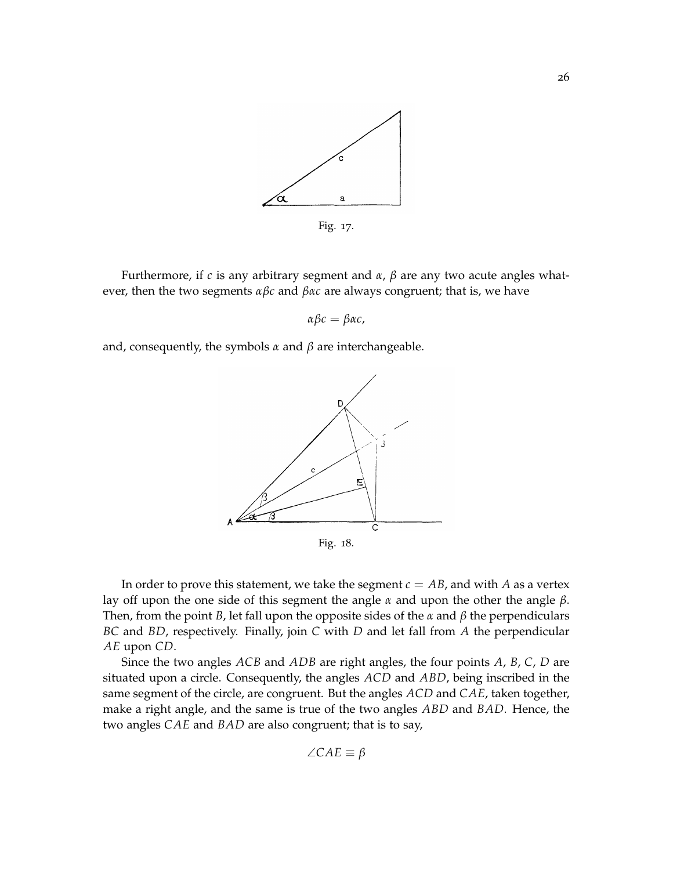

Fig. 17.

Furthermore, if *c* is any arbitrary segment and *α*, *β* are any two acute angles whatever, then the two segments *αβc* and *βαc* are always congruent; that is, we have

$$
\alpha\beta c=\beta\alpha c,
$$

and, consequently, the symbols *α* and *β* are interchangeable.



In order to prove this statement, we take the segment  $c = AB$ , and with A as a vertex lay off upon the one side of this segment the angle *α* and upon the other the angle *β*. Then, from the point *B*, let fall upon the opposite sides of the *α* and *β* the perpendiculars *BC* and *BD*, respectively. Finally, join *C* with *D* and let fall from *A* the perpendicular *AE* upon *CD*.

Since the two angles *ACB* and *ADB* are right angles, the four points *A*, *B*, *C*, *D* are situated upon a circle. Consequently, the angles *ACD* and *ABD*, being inscribed in the same segment of the circle, are congruent. But the angles *ACD* and *CAE*, taken together, make a right angle, and the same is true of the two angles *ABD* and *BAD*. Hence, the two angles *CAE* and *BAD* are also congruent; that is to say,

$$
\angle CAE \equiv \beta
$$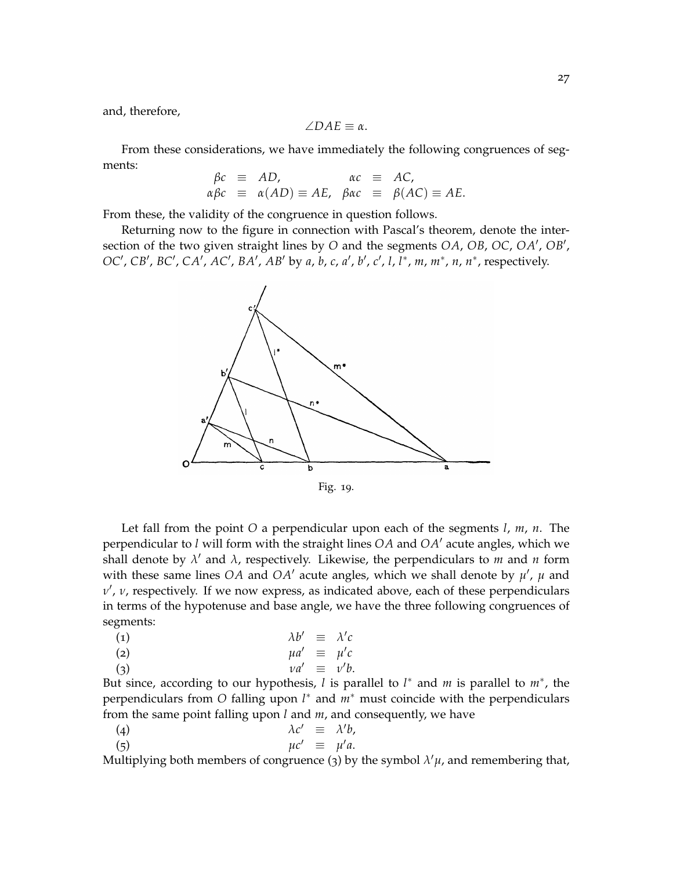27

and, therefore,

$$
\angle DAE \equiv \alpha.
$$

From these considerations, we have immediately the following congruences of segments:

$$
\begin{array}{rcl}\n\beta c & \equiv & AD, \\
\alpha \beta c & \equiv & \alpha(AD) \equiv AE, \\
\beta \alpha c & \equiv & \beta(AC) \equiv AE.\n\end{array}
$$

From these, the validity of the congruence in question follows.

Returning now to the figure in connection with Pascal's theorem, denote the intersection of the two given straight lines by *O* and the segments *OA*, *OB*, *OC*, *OA*<sup>*'*</sup>, *OB*<sup>'</sup>,  $OC', CB', BC', CA', AC', BA', AB'$  by a, b, c, a', b', c', l, l\*, m, m\*, n, n\*, respectively.



Let fall from the point *O* a perpendicular upon each of the segments *l*, *m*, *n*. The perpendicular to *l* will form with the straight lines *OA* and *OA'* acute angles, which we shall denote by  $\lambda'$  and  $\lambda$ , respectively. Likewise, the perpendiculars to  $m$  and  $n$  form with these same lines  $OA$  and  $OA'$  acute angles, which we shall denote by  $\mu'$ ,  $\mu$  and *ν'*, *ν*, respectively. If we now express, as indicated above, each of these perpendiculars in terms of the hypotenuse and base angle, we have the three following congruences of segments:

$$
\lambda b' \equiv \lambda' c
$$

$$
\mu a' \equiv \mu' c
$$

$$
(3) \t\t\t\t $va' \equiv v'b.$
$$

But since, according to our hypothesis, *l* is parallel to *l* <sup>∗</sup> and *m* is parallel to *m*<sup>∗</sup> , the perpendiculars from *O* falling upon *l*<sup>∗</sup> and  $m$ <sup>∗</sup> must coincide with the perpendiculars from the same point falling upon *l* and *m*, and consequently, we have

$$
\lambda c' \equiv \lambda' b,
$$

$$
\mu c' \equiv \mu' a.
$$

Multiplying both members of congruence (3) by the symbol  $\lambda' \mu$ , and remembering that,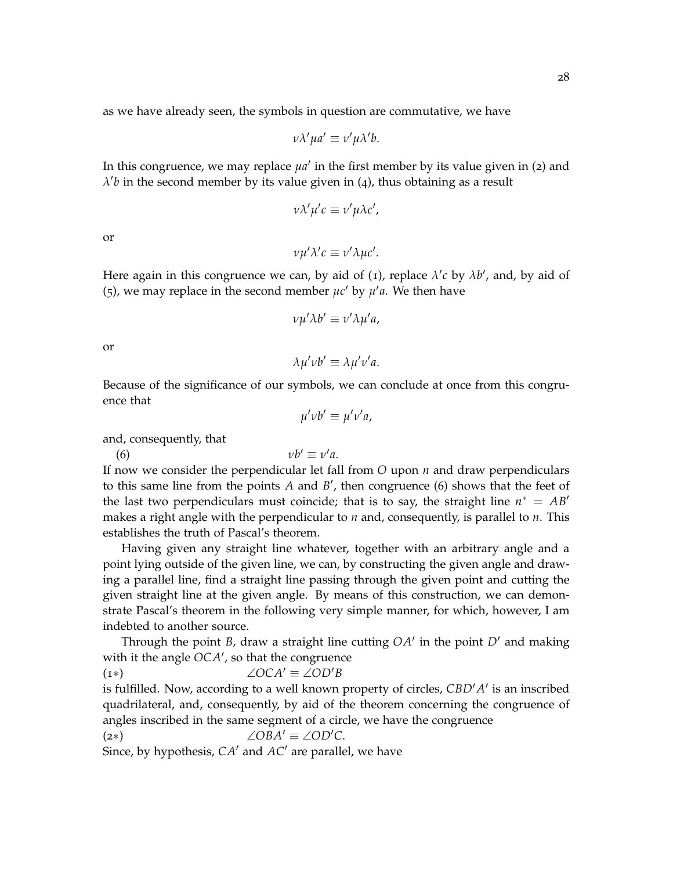as we have already seen, the symbols in question are commutative, we have

$$
\nu \lambda' \mu a' \equiv \nu' \mu \lambda' b.
$$

In this congruence, we may replace  $\mu$ *a'* in the first member by its value given in (2) and  $\lambda$ <sup>*'b*</sup> in the second member by its value given in (4), thus obtaining as a result

$$
\nu \lambda' \mu' c \equiv \nu' \mu \lambda c',
$$

or

$$
\nu\mu'\lambda'c\equiv\nu'\lambda\mu c'.
$$

Here again in this congruence we can, by aid of (1), replace  $\lambda'c$  by  $\lambda b'$ , and, by aid of (5), we may replace in the second member  $\mu$ <sup>*c*</sup> by  $\mu$ <sup>*'a*</sup>. We then have

$$
\nu\mu'\lambda b'\equiv\nu'\lambda\mu'a,
$$

or

$$
\lambda \mu' \nu b' \equiv \lambda \mu' \nu' a.
$$

Because of the significance of our symbols, we can conclude at once from this congruence that

$$
\mu' \nu b' \equiv \mu' \nu' a,
$$

and, consequently, that

(6) *νb*  $v' \equiv v'a$ .

If now we consider the perpendicular let fall from *O* upon *n* and draw perpendiculars to this same line from the points  $A$  and  $B'$ , then congruence (6) shows that the feet of the last two perpendiculars must coincide; that is to say, the straight line  $n^* = AB'$ makes a right angle with the perpendicular to *n* and, consequently, is parallel to *n*. This establishes the truth of Pascal's theorem.

Having given any straight line whatever, together with an arbitrary angle and a point lying outside of the given line, we can, by constructing the given angle and drawing a parallel line, find a straight line passing through the given point and cutting the given straight line at the given angle. By means of this construction, we can demonstrate Pascal's theorem in the following very simple manner, for which, however, I am indebted to another source.

Through the point  $B$ , draw a straight line cutting  $OA'$  in the point  $D'$  and making with it the angle *OCA'*, so that the congruence

$$
(1*)\qquad \qquad \angle OCA' \equiv \angle OD'B
$$

is fulfilled. Now, according to a well known property of circles, *CBD'A'* is an inscribed quadrilateral, and, consequently, by aid of the theorem concerning the congruence of angles inscribed in the same segment of a circle, we have the congruence

$$
(2*)\qquad \qquad \angle OBA' \equiv \angle O D'C.
$$

Since, by hypothesis, *CA'* and *AC'* are parallel, we have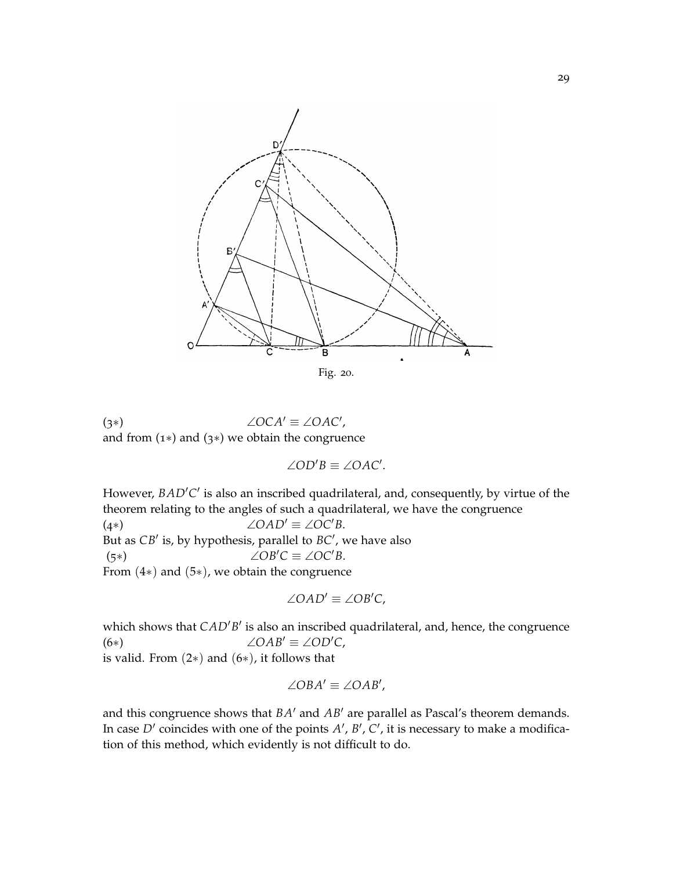

(3\*) 
$$
\angle OCA' \equiv \angle OAC'
$$
,  
and from (1\*) and (3\*) we obtain the congruence

 $\angle OD'B \equiv \angle OAC'$ .

However,  $BAD'C'$  is also an inscribed quadrilateral, and, consequently, by virtue of the theorem relating to the angles of such a quadrilateral, we have the congruence  $\angle OAD' \equiv \angle OC'B$ . But as *CB'* is, by hypothesis, parallel to *BC'*, we have also  $\angle$ *OB<sup>'</sup>C*  $\equiv$  ∠*OC*<sup>'</sup>*B*. From (4∗) and (5∗), we obtain the congruence

$$
\angle OAD' \equiv \angle OB'C,
$$

which shows that  $CAD'B'$  is also an inscribed quadrilateral, and, hence, the congruence  $\angle OAB' \equiv \angle OD'C$ , is valid. From  $(2*)$  and  $(6*)$ , it follows that

$$
\angle OBA' \equiv \angle OAB',
$$

and this congruence shows that  $BA'$  and  $AB'$  are parallel as Pascal's theorem demands. In case  $D'$  coincides with one of the points  $A'$ ,  $B'$ ,  $C'$ , it is necessary to make a modification of this method, which evidently is not difficult to do.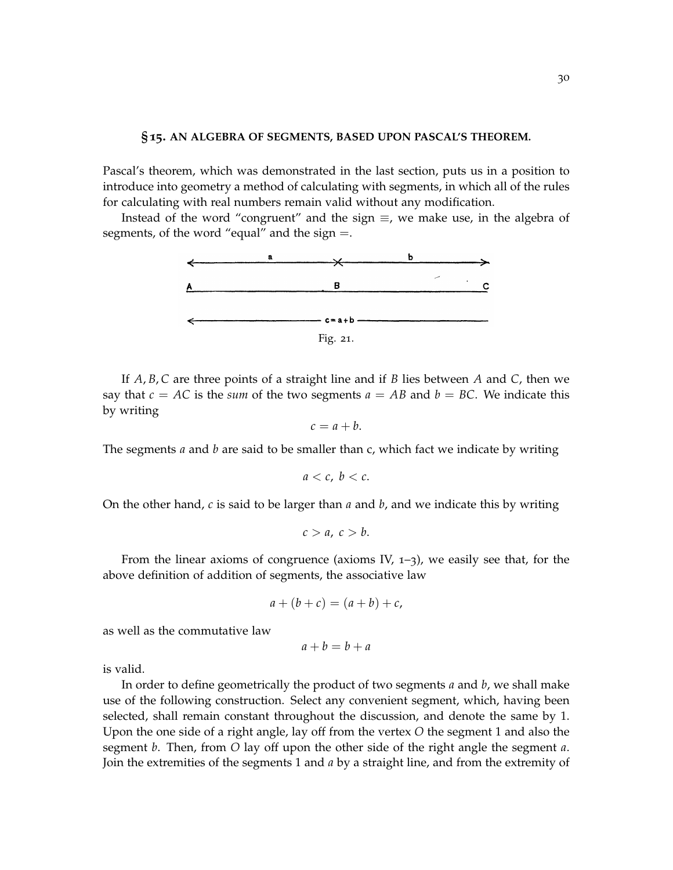#### **§15. AN ALGEBRA OF SEGMENTS, BASED UPON PASCAL'S THEOREM.**

Pascal's theorem, which was demonstrated in the last section, puts us in a position to introduce into geometry a method of calculating with segments, in which all of the rules for calculating with real numbers remain valid without any modification.

Instead of the word "congruent" and the sign  $\equiv$ , we make use, in the algebra of segments, of the word "equal" and the sign  $=$ .



If *A*, *B*, *C* are three points of a straight line and if *B* lies between *A* and *C*, then we say that  $c = AC$  is the *sum* of the two segments  $a = AB$  and  $b = BC$ . We indicate this by writing

$$
c=a+b.
$$

The segments *a* and *b* are said to be smaller than c, which fact we indicate by writing

$$
a
$$

On the other hand, *c* is said to be larger than *a* and *b*, and we indicate this by writing

$$
c>a, c>b.
$$

From the linear axioms of congruence (axioms IV,  $1-3$ ), we easily see that, for the above definition of addition of segments, the associative law

$$
a + (b + c) = (a + b) + c,
$$

as well as the commutative law

$$
a+b=b+a
$$

is valid.

In order to define geometrically the product of two segments *a* and *b*, we shall make use of the following construction. Select any convenient segment, which, having been selected, shall remain constant throughout the discussion, and denote the same by 1. Upon the one side of a right angle, lay off from the vertex *O* the segment 1 and also the segment *b*. Then, from *O* lay off upon the other side of the right angle the segment *a*. Join the extremities of the segments 1 and *a* by a straight line, and from the extremity of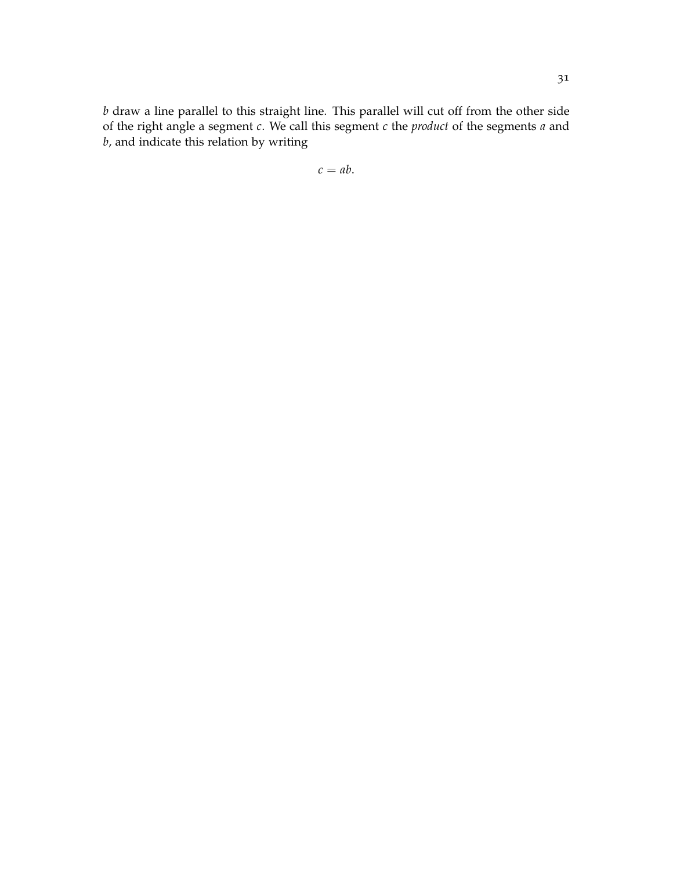*b* draw a line parallel to this straight line. This parallel will cut off from the other side of the right angle a segment *c*. We call this segment *c* the *product* of the segments *a* and *b*, and indicate this relation by writing

 $c = ab$ .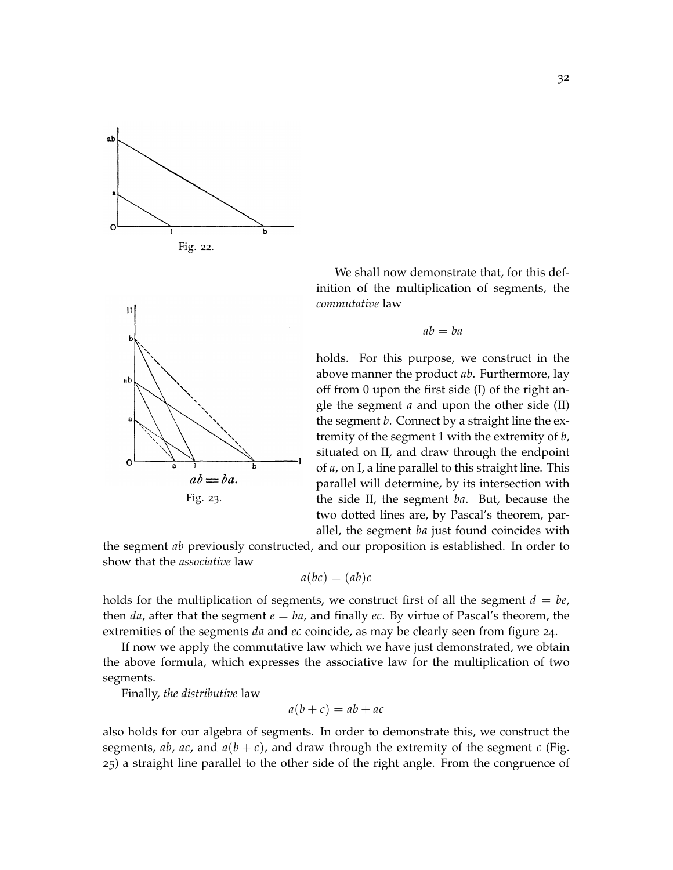

We shall now demonstrate that, for this definition of the multiplication of segments, the *commutative* law

$$
ab = ba
$$

holds. For this purpose, we construct in the above manner the product *ab*. Furthermore, lay off from 0 upon the first side (I) of the right angle the segment *a* and upon the other side (II) the segment *b*. Connect by a straight line the extremity of the segment 1 with the extremity of *b*, situated on II, and draw through the endpoint of *a*, on I, a line parallel to this straight line. This parallel will determine, by its intersection with the side II, the segment *ba*. But, because the two dotted lines are, by Pascal's theorem, parallel, the segment *ba* just found coincides with

the segment *ab* previously constructed, and our proposition is established. In order to show that the *associative* law

$$
a(bc)=(ab)c
$$

holds for the multiplication of segments, we construct first of all the segment  $d = be$ , then *da*, after that the segment  $e = ba$ , and finally *ec*. By virtue of Pascal's theorem, the extremities of the segments *da* and *ec* coincide, as may be clearly seen from figure 24.

If now we apply the commutative law which we have just demonstrated, we obtain the above formula, which expresses the associative law for the multiplication of two segments.

Finally, *the distributive* law

$$
a(b+c) = ab + ac
$$

also holds for our algebra of segments. In order to demonstrate this, we construct the segments, *ab*, *ac*, and  $a(b + c)$ , and draw through the extremity of the segment *c* (Fig. 25) a straight line parallel to the other side of the right angle. From the congruence of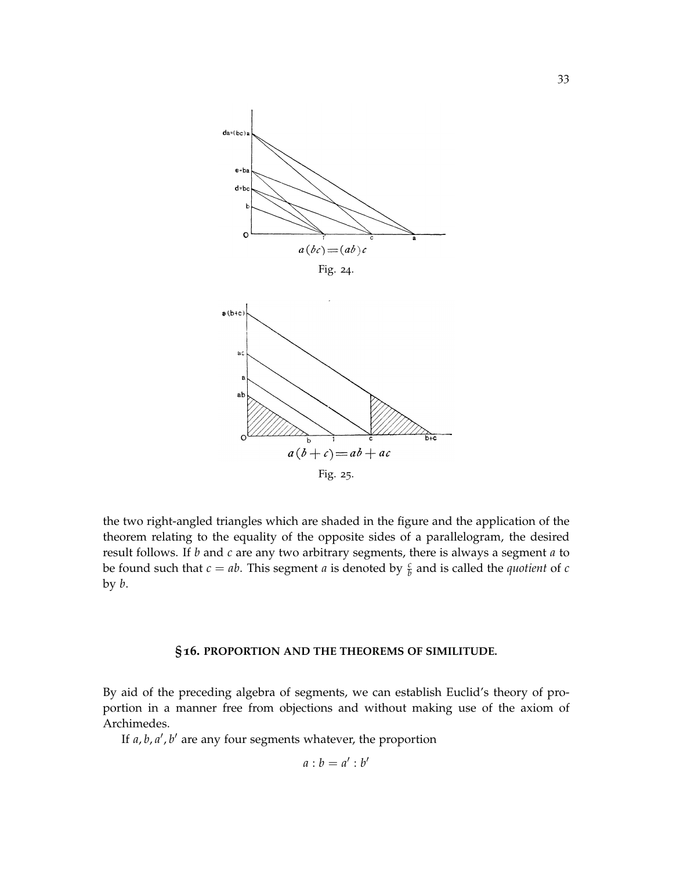

the two right-angled triangles which are shaded in the figure and the application of the theorem relating to the equality of the opposite sides of a parallelogram, the desired result follows. If *b* and *c* are any two arbitrary segments, there is always a segment *a* to be found such that  $c = ab$ . This segment *a* is denoted by  $\frac{c}{b}$  and is called the *quotient* of *c* by *b*.

#### **§16. PROPORTION AND THE THEOREMS OF SIMILITUDE.**

By aid of the preceding algebra of segments, we can establish Euclid's theory of proportion in a manner free from objections and without making use of the axiom of Archimedes.

If *a*, *b*, *a'*, *b'* are any four segments whatever, the proportion

$$
a:b=a':b'
$$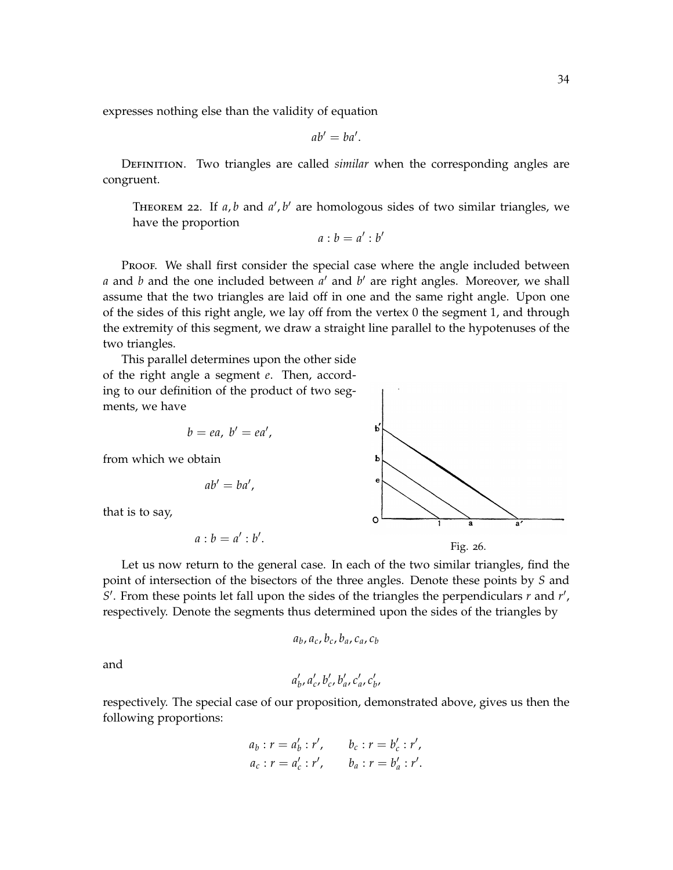expresses nothing else than the validity of equation

$$
ab'=ba'.
$$

DEFINITION. Two triangles are called *similar* when the corresponding angles are congruent.

THEOREM 22. If *a*, *b* and *a'*, *b'* are homologous sides of two similar triangles, we have the proportion

$$
a:b=a':b'
$$

PROOF. We shall first consider the special case where the angle included between *a* and *b* and the one included between *a'* and *b'* are right angles. Moreover, we shall assume that the two triangles are laid off in one and the same right angle. Upon one of the sides of this right angle, we lay off from the vertex 0 the segment 1, and through the extremity of this segment, we draw a straight line parallel to the hypotenuses of the two triangles.

This parallel determines upon the other side of the right angle a segment *e*. Then, according to our definition of the product of two segments, we have

$$
b = ea, b' = ea',
$$

from which we obtain

$$
ab'=ba',
$$

that is to say,

 $a : b = a' : b'.$ 



Fig. 26.

Let us now return to the general case. In each of the two similar triangles, find the point of intersection of the bisectors of the three angles. Denote these points by *S* and  $S'$ . From these points let fall upon the sides of the triangles the perpendiculars  $r$  and  $r'$ , respectively. Denote the segments thus determined upon the sides of the triangles by

$$
a_b, a_c, b_c, b_a, c_a, c_b
$$

and

$$
a'_b, a'_c, b'_c, b'_a, c'_a, c'_b,
$$

respectively. The special case of our proposition, demonstrated above, gives us then the following proportions:

$$
a_b : r = a'_b : r',
$$
  $b_c : r = b'_c : r',$   
\n $a_c : r = a'_c : r',$   $b_a : r = b'_a : r'.$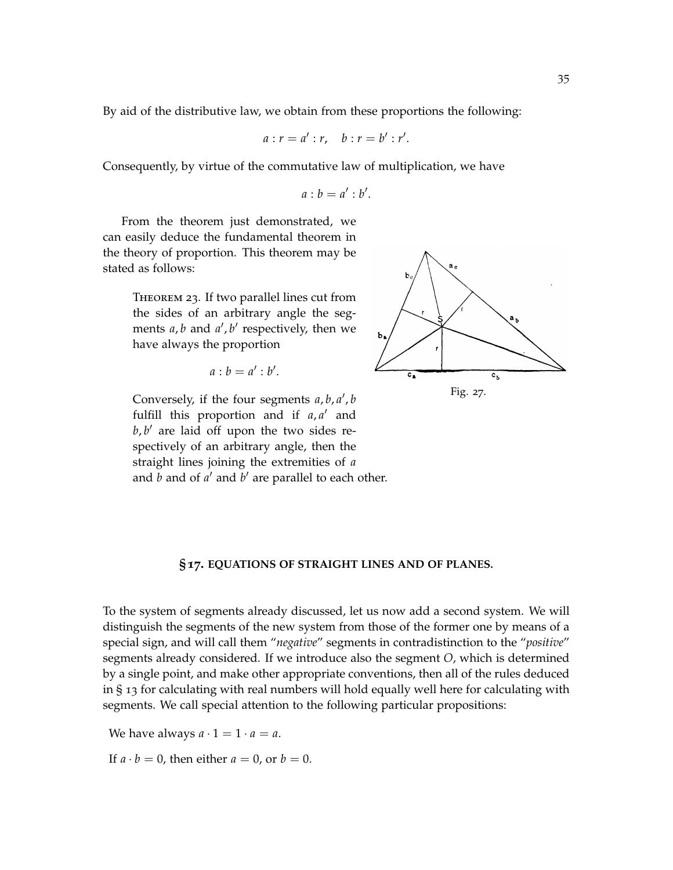By aid of the distributive law, we obtain from these proportions the following:

$$
a:r = a':r, \quad b:r = b':r'.
$$

Consequently, by virtue of the commutative law of multiplication, we have

$$
a:b=a':b'.
$$

From the theorem just demonstrated, we can easily deduce the fundamental theorem in the theory of proportion. This theorem may be stated as follows:

> THEOREM 23. If two parallel lines cut from the sides of an arbitrary angle the segments  $a, b$  and  $a', b'$  respectively, then we have always the proportion

$$
a:b=a':b'.
$$

Conversely, if the four segments  $a$ ,  $b$ ,  $a'$ ,  $b$ fulfill this proportion and if a, a' and  $b$ ,  $b'$  are laid off upon the two sides respectively of an arbitrary angle, then the straight lines joining the extremities of *a* and  $b$  and of  $a'$  and  $b'$  are parallel to each other.





#### **§17. EQUATIONS OF STRAIGHT LINES AND OF PLANES.**

To the system of segments already discussed, let us now add a second system. We will distinguish the segments of the new system from those of the former one by means of a special sign, and will call them "*negative*" segments in contradistinction to the "*positive*" segments already considered. If we introduce also the segment *O*, which is determined by a single point, and make other appropriate conventions, then all of the rules deduced in § 13 for calculating with real numbers will hold equally well here for calculating with segments. We call special attention to the following particular propositions:

We have always  $a \cdot 1 = 1 \cdot a = a$ .

If  $a \cdot b = 0$ , then either  $a = 0$ , or  $b = 0$ .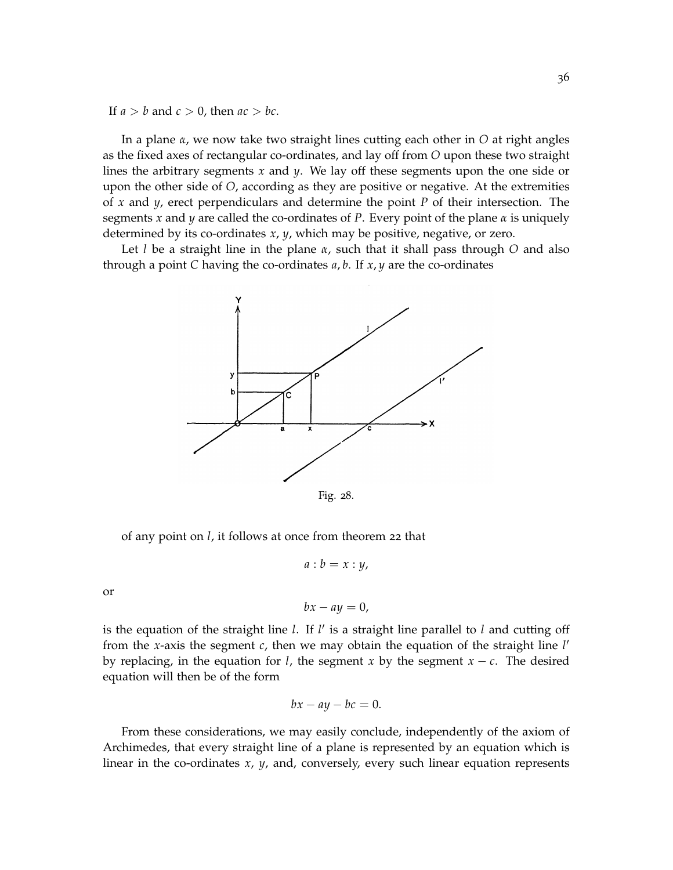If  $a > b$  and  $c > 0$ , then  $ac > bc$ .

In a plane *α*, we now take two straight lines cutting each other in *O* at right angles as the fixed axes of rectangular co-ordinates, and lay off from *O* upon these two straight lines the arbitrary segments *x* and *y*. We lay off these segments upon the one side or upon the other side of *O*, according as they are positive or negative. At the extremities of *x* and *y*, erect perpendiculars and determine the point *P* of their intersection. The segments *x* and *y* are called the co-ordinates of *P*. Every point of the plane  $\alpha$  is uniquely determined by its co-ordinates *x*, *y*, which may be positive, negative, or zero.

Let *l* be a straight line in the plane *α*, such that it shall pass through *O* and also through a point *C* having the co-ordinates *a*, *b*. If *x*, *y* are the co-ordinates



of any point on *l*, it follows at once from theorem 22 that

$$
a:b=x:y,
$$

or

$$
bx - ay = 0,
$$

is the equation of the straight line *l*. If *l'* is a straight line parallel to *l* and cutting off from the *x*-axis the segment *c*, then we may obtain the equation of the straight line *l* 0 by replacing, in the equation for *l*, the segment *x* by the segment  $x - c$ . The desired equation will then be of the form

$$
bx - ay - bc = 0.
$$

From these considerations, we may easily conclude, independently of the axiom of Archimedes, that every straight line of a plane is represented by an equation which is linear in the co-ordinates *x*, *y*, and, conversely, every such linear equation represents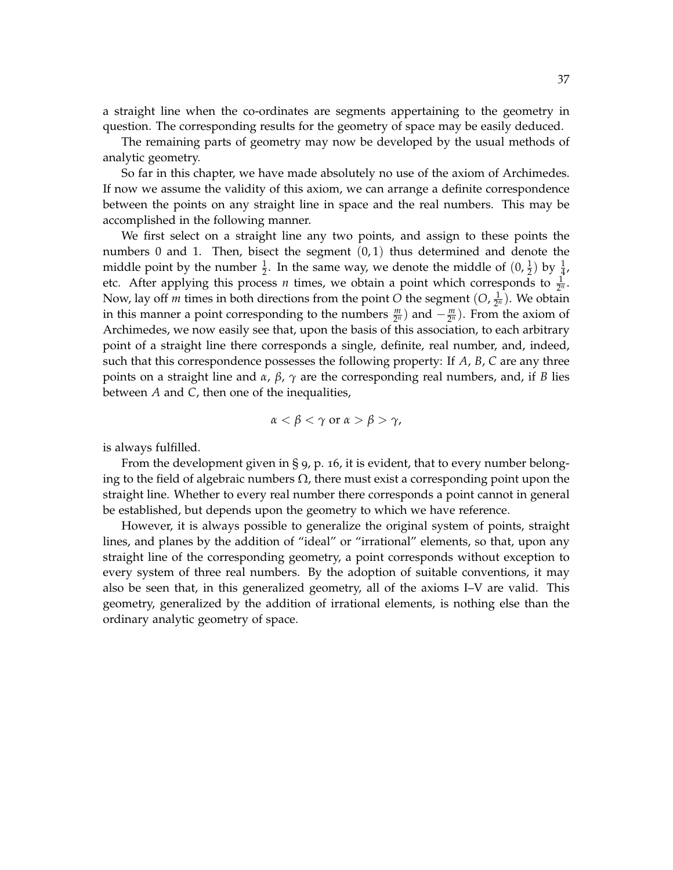a straight line when the co-ordinates are segments appertaining to the geometry in question. The corresponding results for the geometry of space may be easily deduced.

The remaining parts of geometry may now be developed by the usual methods of analytic geometry.

So far in this chapter, we have made absolutely no use of the axiom of Archimedes. If now we assume the validity of this axiom, we can arrange a definite correspondence between the points on any straight line in space and the real numbers. This may be accomplished in the following manner.

We first select on a straight line any two points, and assign to these points the numbers 0 and 1. Then, bisect the segment  $(0, 1)$  thus determined and denote the middle point by the number  $\frac{1}{2}$ . In the same way, we denote the middle of  $(0, \frac{1}{2})$  by  $\frac{1}{4}$ , etc. After applying this process *n* times, we obtain a point which corresponds to  $\frac{1}{2^n}$ . Now, lay off *m* times in both directions from the point *O* the segment (*O*, 1  $\frac{1}{2^n}$ ). We obtain in this manner a point corresponding to the numbers  $\frac{m}{2^n}$ ) and  $-\frac{m}{2^n}$ ). From the axiom of Archimedes, we now easily see that, upon the basis of this association, to each arbitrary point of a straight line there corresponds a single, definite, real number, and, indeed, such that this correspondence possesses the following property: If *A*, *B*, *C* are any three points on a straight line and *α*, *β*, *γ* are the corresponding real numbers, and, if *B* lies between *A* and *C*, then one of the inequalities,

$$
\alpha < \beta < \gamma \text{ or } \alpha > \beta > \gamma,
$$

is always fulfilled.

From the development given in  $\S$  9, p. 16, it is evident, that to every number belonging to the field of algebraic numbers  $\Omega$ , there must exist a corresponding point upon the straight line. Whether to every real number there corresponds a point cannot in general be established, but depends upon the geometry to which we have reference.

However, it is always possible to generalize the original system of points, straight lines, and planes by the addition of "ideal" or "irrational" elements, so that, upon any straight line of the corresponding geometry, a point corresponds without exception to every system of three real numbers. By the adoption of suitable conventions, it may also be seen that, in this generalized geometry, all of the axioms I–V are valid. This geometry, generalized by the addition of irrational elements, is nothing else than the ordinary analytic geometry of space.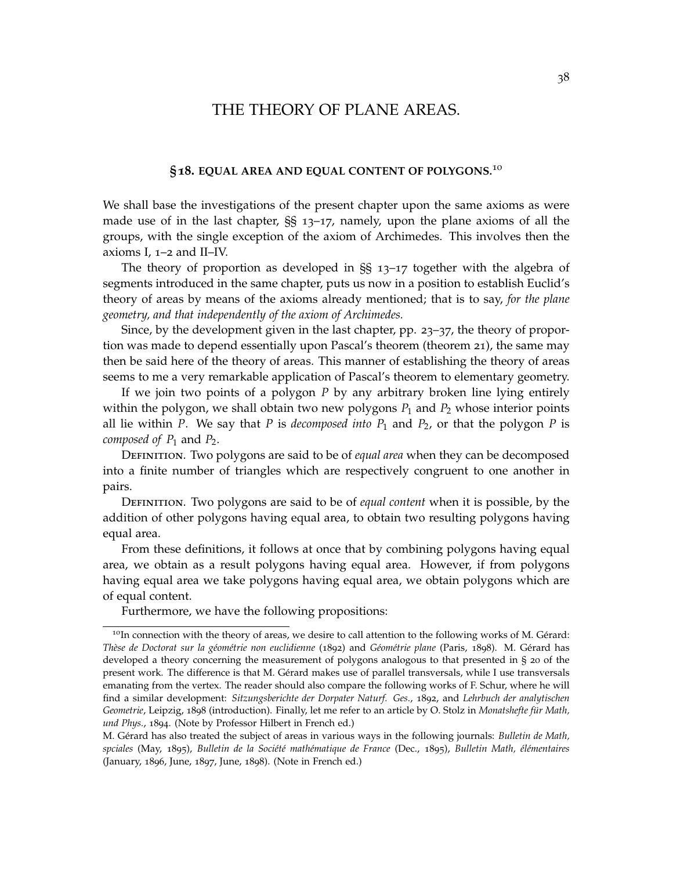# THE THEORY OF PLANE AREAS.

### **§18. EQUAL AREA AND EQUAL CONTENT OF POLYGONS.**<sup>10</sup>

We shall base the investigations of the present chapter upon the same axioms as were made use of in the last chapter,  $\S_{5}$  13–17, namely, upon the plane axioms of all the groups, with the single exception of the axiom of Archimedes. This involves then the axioms I, 1–2 and II–IV.

The theory of proportion as developed in §§ 13–17 together with the algebra of segments introduced in the same chapter, puts us now in a position to establish Euclid's theory of areas by means of the axioms already mentioned; that is to say, *for the plane geometry, and that independently of the axiom of Archimedes.*

Since, by the development given in the last chapter, pp. 23–37, the theory of proportion was made to depend essentially upon Pascal's theorem (theorem 21), the same may then be said here of the theory of areas. This manner of establishing the theory of areas seems to me a very remarkable application of Pascal's theorem to elementary geometry.

If we join two points of a polygon *P* by any arbitrary broken line lying entirely within the polygon, we shall obtain two new polygons  $P_1$  and  $P_2$  whose interior points all lie within *P*. We say that *P* is *decomposed into*  $P_1$  and  $P_2$ , or that the polygon *P* is *composed of P*<sup>1</sup> and *P*2.

DEFINITION. Two polygons are said to be of *equal area* when they can be decomposed into a finite number of triangles which are respectively congruent to one another in pairs.

Definition. Two polygons are said to be of *equal content* when it is possible, by the addition of other polygons having equal area, to obtain two resulting polygons having equal area.

From these definitions, it follows at once that by combining polygons having equal area, we obtain as a result polygons having equal area. However, if from polygons having equal area we take polygons having equal area, we obtain polygons which are of equal content.

Furthermore, we have the following propositions:

 $10$ In connection with the theory of areas, we desire to call attention to the following works of M. Gérard: *Thèse de Doctorat sur la géométrie non euclidienne* (1892) and *Géométrie plane* (Paris, 1898). M. Gérard has developed a theory concerning the measurement of polygons analogous to that presented in § 20 of the present work. The difference is that M. Gérard makes use of parallel transversals, while I use transversals emanating from the vertex. The reader should also compare the following works of F. Schur, where he will find a similar development: *Sitzungsberichte der Dorpater Naturf. Ges.*, 1892, and *Lehrbuch der analytischen Geometrie*, Leipzig, 1898 (introduction). Finally, let me refer to an article by O. Stolz in *Monatshefte für Math, und Phys.*, 1894. (Note by Professor Hilbert in French ed.)

M. Gérard has also treated the subject of areas in various ways in the following journals: *Bulletin de Math, spciales* (May, 1895), *Bulletin de la Société mathématique de France* (Dec., 1895), *Bulletin Math, élémentaires* (January, 1896, June, 1897, June, 1898). (Note in French ed.)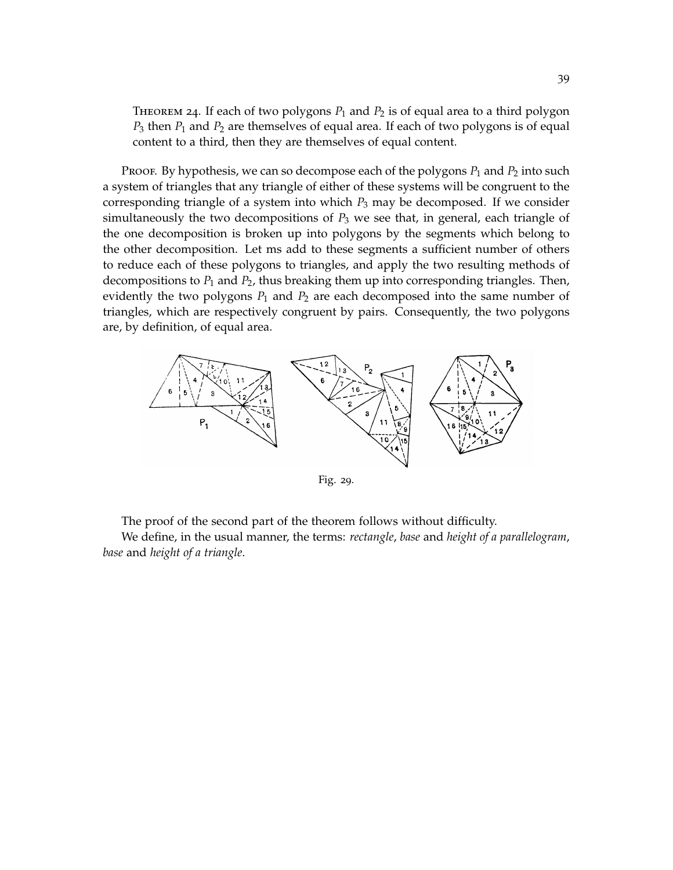THEOREM 24. If each of two polygons  $P_1$  and  $P_2$  is of equal area to a third polygon *P*<sup>3</sup> then *P*<sup>1</sup> and *P*<sup>2</sup> are themselves of equal area. If each of two polygons is of equal content to a third, then they are themselves of equal content.

Proof. By hypothesis, we can so decompose each of the polygons  $P_1$  and  $P_2$  into such a system of triangles that any triangle of either of these systems will be congruent to the corresponding triangle of a system into which  $P_3$  may be decomposed. If we consider simultaneously the two decompositions of  $P_3$  we see that, in general, each triangle of the one decomposition is broken up into polygons by the segments which belong to the other decomposition. Let ms add to these segments a sufficient number of others to reduce each of these polygons to triangles, and apply the two resulting methods of decompositions to  $P_1$  and  $P_2$ , thus breaking them up into corresponding triangles. Then, evidently the two polygons  $P_1$  and  $P_2$  are each decomposed into the same number of triangles, which are respectively congruent by pairs. Consequently, the two polygons are, by definition, of equal area.



Fig. 29.

The proof of the second part of the theorem follows without difficulty.

We define, in the usual manner, the terms: *rectangle*, *base* and *height of a parallelogram*, *base* and *height of a triangle*.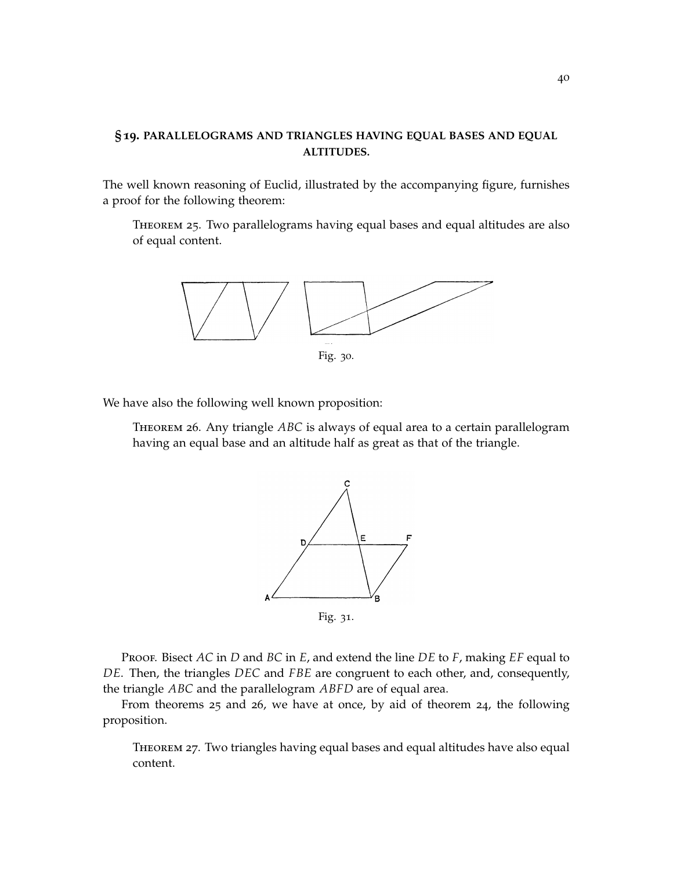### **§19. PARALLELOGRAMS AND TRIANGLES HAVING EQUAL BASES AND EQUAL ALTITUDES.**

The well known reasoning of Euclid, illustrated by the accompanying figure, furnishes a proof for the following theorem:

Theorem 25. Two parallelograms having equal bases and equal altitudes are also of equal content.



Fig. 30.

We have also the following well known proposition:

Theorem 26. Any triangle *ABC* is always of equal area to a certain parallelogram having an equal base and an altitude half as great as that of the triangle.



Proof. Bisect *AC* in *D* and *BC* in *E*, and extend the line *DE* to *F*, making *EF* equal to *DE*. Then, the triangles *DEC* and *FBE* are congruent to each other, and, consequently, the triangle *ABC* and the parallelogram *ABFD* are of equal area.

From theorems 25 and 26, we have at once, by aid of theorem 24, the following proposition.

Theorem 27. Two triangles having equal bases and equal altitudes have also equal content.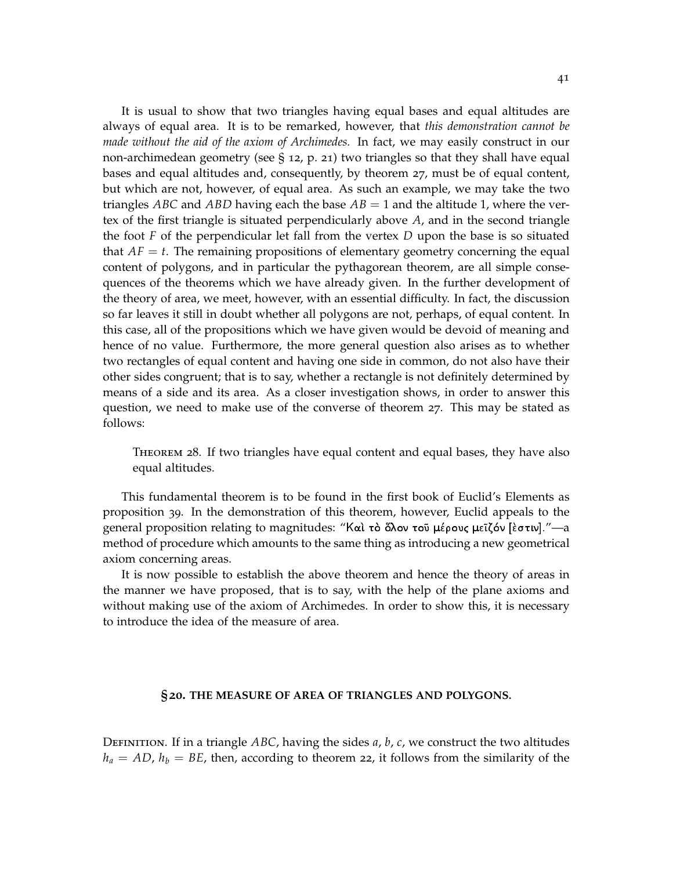It is usual to show that two triangles having equal bases and equal altitudes are always of equal area. It is to be remarked, however, that *this demonstration cannot be made without the aid of the axiom of Archimedes.* In fact, we may easily construct in our non-archimedean geometry (see  $\S$  12, p. 21) two triangles so that they shall have equal bases and equal altitudes and, consequently, by theorem 27, must be of equal content, but which are not, however, of equal area. As such an example, we may take the two triangles *ABC* and *ABD* having each the base  $AB = 1$  and the altitude 1, where the vertex of the first triangle is situated perpendicularly above *A*, and in the second triangle the foot *F* of the perpendicular let fall from the vertex *D* upon the base is so situated that *AF* = *t*. The remaining propositions of elementary geometry concerning the equal content of polygons, and in particular the pythagorean theorem, are all simple consequences of the theorems which we have already given. In the further development of the theory of area, we meet, however, with an essential difficulty. In fact, the discussion so far leaves it still in doubt whether all polygons are not, perhaps, of equal content. In this case, all of the propositions which we have given would be devoid of meaning and hence of no value. Furthermore, the more general question also arises as to whether two rectangles of equal content and having one side in common, do not also have their other sides congruent; that is to say, whether a rectangle is not definitely determined by means of a side and its area. As a closer investigation shows, in order to answer this question, we need to make use of the converse of theorem 27. This may be stated as follows:

Theorem 28. If two triangles have equal content and equal bases, they have also equal altitudes.

This fundamental theorem is to be found in the first book of Euclid's Elements as proposition 39. In the demonstration of this theorem, however, Euclid appeals to the general proposition relating to magnitudes: "Καὶ τὸ ὅλον τοῦ μέρους μεῖζόν [ὲστιν]."—a method of procedure which amounts to the same thing as introducing a new geometrical axiom concerning areas.

It is now possible to establish the above theorem and hence the theory of areas in the manner we have proposed, that is to say, with the help of the plane axioms and without making use of the axiom of Archimedes. In order to show this, it is necessary to introduce the idea of the measure of area.

#### **§20. THE MEASURE OF AREA OF TRIANGLES AND POLYGONS.**

Definition. If in a triangle *ABC*, having the sides *a*, *b*, *c*, we construct the two altitudes  $h_a = AD$ ,  $h_b = BE$ , then, according to theorem 22, it follows from the similarity of the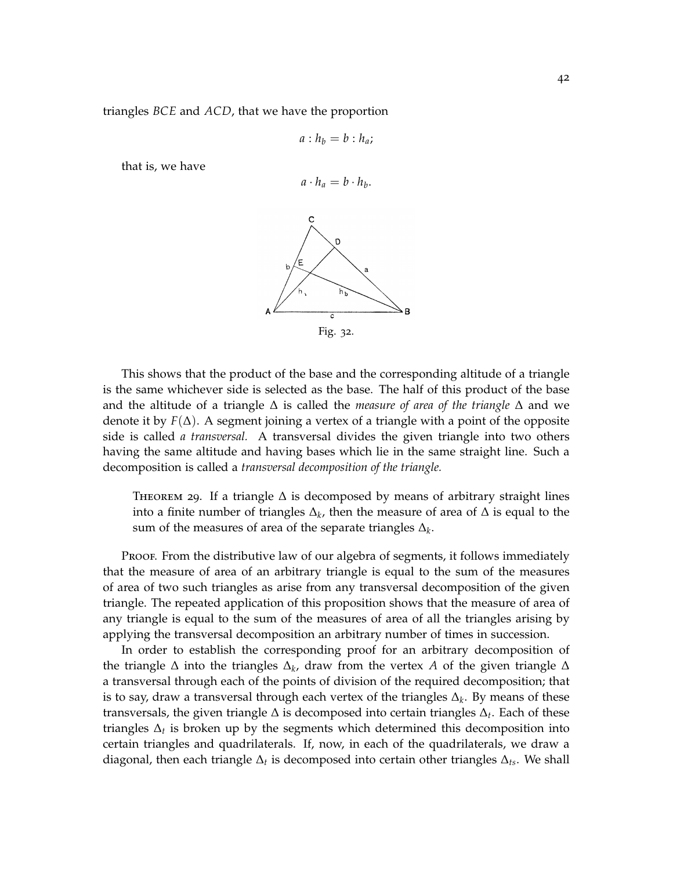triangles *BCE* and *ACD*, that we have the proportion

$$
a:h_b=b:h_a;
$$

that is, we have



This shows that the product of the base and the corresponding altitude of a triangle is the same whichever side is selected as the base. The half of this product of the base and the altitude of a triangle ∆ is called the *measure of area of the triangle* ∆ and we denote it by  $F(\Delta)$ . A segment joining a vertex of a triangle with a point of the opposite side is called *a transversal.* A transversal divides the given triangle into two others having the same altitude and having bases which lie in the same straight line. Such a decomposition is called a *transversal decomposition of the triangle.*

THEOREM 29. If a triangle  $\Delta$  is decomposed by means of arbitrary straight lines into a finite number of triangles ∆*<sup>k</sup>* , then the measure of area of ∆ is equal to the sum of the measures of area of the separate triangles  $\Delta_k$ .

Proof. From the distributive law of our algebra of segments, it follows immediately that the measure of area of an arbitrary triangle is equal to the sum of the measures of area of two such triangles as arise from any transversal decomposition of the given triangle. The repeated application of this proposition shows that the measure of area of any triangle is equal to the sum of the measures of area of all the triangles arising by applying the transversal decomposition an arbitrary number of times in succession.

In order to establish the corresponding proof for an arbitrary decomposition of the triangle ∆ into the triangles ∆*<sup>k</sup>* , draw from the vertex *A* of the given triangle ∆ a transversal through each of the points of division of the required decomposition; that is to say, draw a transversal through each vertex of the triangles ∆*<sup>k</sup>* . By means of these transversals, the given triangle ∆ is decomposed into certain triangles ∆*<sup>t</sup>* . Each of these triangles ∆*<sup>t</sup>* is broken up by the segments which determined this decomposition into certain triangles and quadrilaterals. If, now, in each of the quadrilaterals, we draw a diagonal, then each triangle ∆*<sup>t</sup>* is decomposed into certain other triangles ∆*ts*. We shall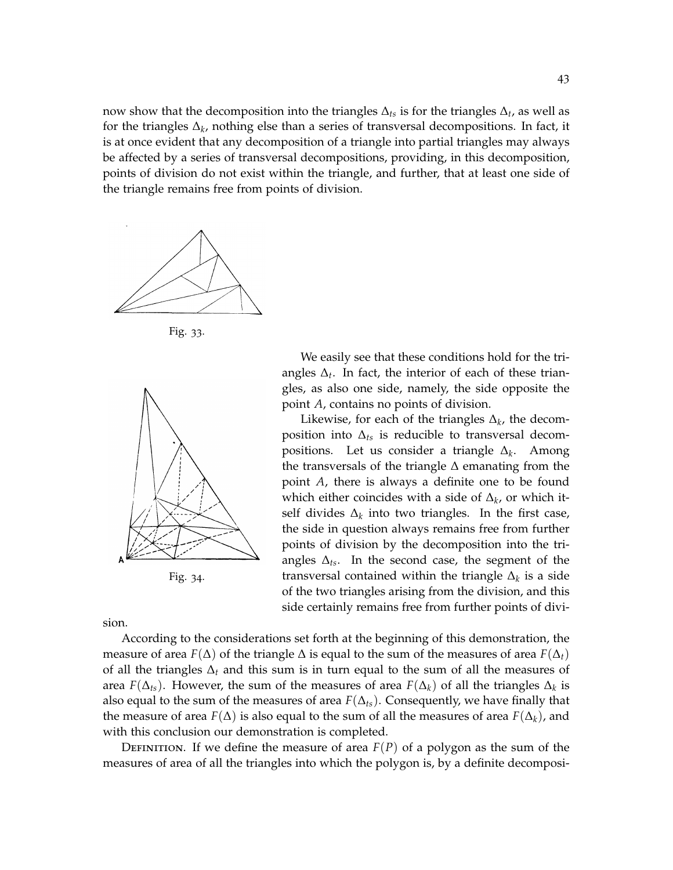now show that the decomposition into the triangles  $\Delta_{ts}$  is for the triangles  $\Delta_t$ , as well as for the triangles ∆*<sup>k</sup>* , nothing else than a series of transversal decompositions. In fact, it is at once evident that any decomposition of a triangle into partial triangles may always be affected by a series of transversal decompositions, providing, in this decomposition, points of division do not exist within the triangle, and further, that at least one side of the triangle remains free from points of division.



Fig. 33.



sion.

According to the considerations set forth at the beginning of this demonstration, the measure of area  $F(\Delta)$  of the triangle  $\Delta$  is equal to the sum of the measures of area  $F(\Delta_t)$ of all the triangles  $\Delta_t$  and this sum is in turn equal to the sum of all the measures of area *F*( $\Delta_{ts}$ ). However, the sum of the measures of area *F*( $\Delta_k$ ) of all the triangles  $\Delta_k$  is also equal to the sum of the measures of area  $F(\Delta_{ts})$ . Consequently, we have finally that the measure of area  $F(\Delta)$  is also equal to the sum of all the measures of area  $F(\Delta_k)$ , and with this conclusion our demonstration is completed.

DEFINITION. If we define the measure of area  $F(P)$  of a polygon as the sum of the measures of area of all the triangles into which the polygon is, by a definite decomposi-

We easily see that these conditions hold for the triangles ∆*<sup>t</sup>* . In fact, the interior of each of these triangles, as also one side, namely, the side opposite the point *A*, contains no points of division.

Likewise, for each of the triangles  $\Delta_k$ , the decomposition into  $\Delta_{ts}$  is reducible to transversal decompositions. Let us consider a triangle ∆*<sup>k</sup>* . Among the transversals of the triangle ∆ emanating from the point *A*, there is always a definite one to be found which either coincides with a side of ∆*<sup>k</sup>* , or which itself divides  $\Delta_k$  into two triangles. In the first case, the side in question always remains free from further points of division by the decomposition into the triangles  $\Delta_{ts}$ . In the second case, the segment of the transversal contained within the triangle ∆*<sup>k</sup>* is a side of the two triangles arising from the division, and this side certainly remains free from further points of divi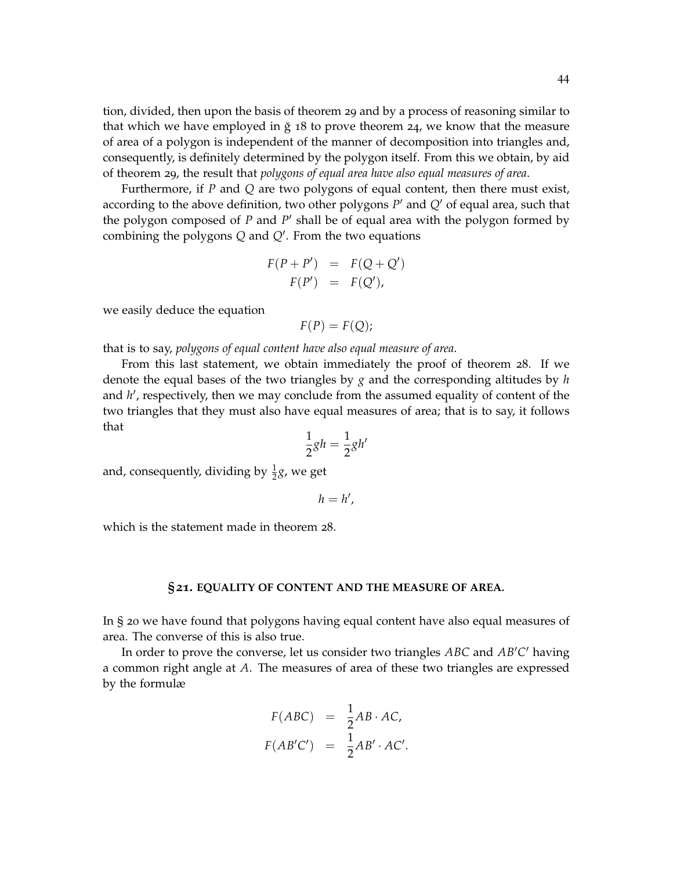tion, divided, then upon the basis of theorem 29 and by a process of reasoning similar to that which we have employed in  $\breve{g}$  18 to prove theorem 24, we know that the measure of area of a polygon is independent of the manner of decomposition into triangles and, consequently, is definitely determined by the polygon itself. From this we obtain, by aid of theorem 29, the result that *polygons of equal area have also equal measures of area*.

Furthermore, if *P* and *Q* are two polygons of equal content, then there must exist, according to the above definition, two other polygons P' and Q' of equal area, such that the polygon composed of *P* and *P'* shall be of equal area with the polygon formed by combining the polygons *Q* and *Q'*. From the two equations

$$
F(P + P') = F(Q + Q')
$$
  

$$
F(P') = F(Q'),
$$

we easily deduce the equation

 $F(P) = F(Q);$ 

that is to say, *polygons of equal content have also equal measure of area*.

From this last statement, we obtain immediately the proof of theorem 28. If we denote the equal bases of the two triangles by *g* and the corresponding altitudes by *h* and *h'*, respectively, then we may conclude from the assumed equality of content of the two triangles that they must also have equal measures of area; that is to say, it follows that

$$
\frac{1}{2}gh = \frac{1}{2}gh'
$$

and, consequently, dividing by  $\frac{1}{2}g$ , we get

$$
h=h',
$$

which is the statement made in theorem 28.

#### **§21. EQUALITY OF CONTENT AND THE MEASURE OF AREA.**

In § 20 we have found that polygons having equal content have also equal measures of area. The converse of this is also true.

In order to prove the converse, let us consider two triangles ABC and AB'C' having a common right angle at *A*. The measures of area of these two triangles are expressed by the formulæ

$$
F(ABC) = \frac{1}{2}AB \cdot AC,
$$
  

$$
F(AB'C') = \frac{1}{2}AB' \cdot AC'.
$$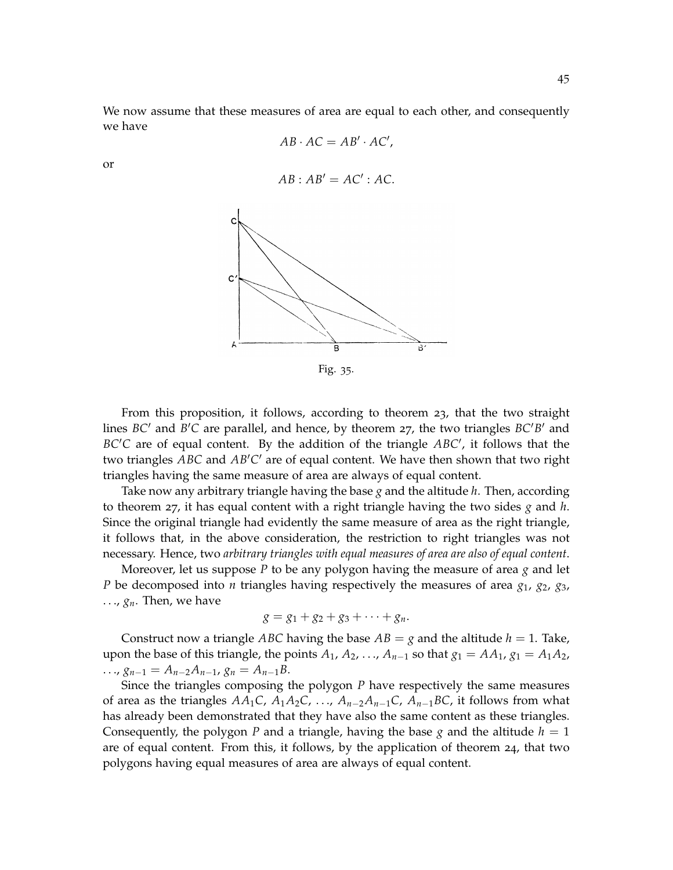We now assume that these measures of area are equal to each other, and consequently we have

$$
AB \cdot AC = AB' \cdot AC',
$$

or

$$
AB:AB'=AC':AC.
$$



From this proposition, it follows, according to theorem 23, that the two straight lines *BC'* and *B'C* are parallel, and hence, by theorem 27, the two triangles *BC'B'* and *BC*<sup>'</sup>C are of equal content. By the addition of the triangle *ABC*<sup>'</sup>, it follows that the two triangles *ABC* and *AB<sup>'</sup>C'* are of equal content. We have then shown that two right triangles having the same measure of area are always of equal content.

Take now any arbitrary triangle having the base *g* and the altitude *h*. Then, according to theorem 27, it has equal content with a right triangle having the two sides *g* and *h*. Since the original triangle had evidently the same measure of area as the right triangle, it follows that, in the above consideration, the restriction to right triangles was not necessary. Hence, two *arbitrary triangles with equal measures of area are also of equal content*.

Moreover, let us suppose *P* to be any polygon having the measure of area *g* and let *P* be decomposed into *n* triangles having respectively the measures of area *g*1, *g*2, *g*3,  $\ldots$ ,  $g_n$ . Then, we have

$$
g = g_1 + g_2 + g_3 + \cdots + g_n.
$$

Construct now a triangle *ABC* having the base  $AB = g$  and the altitude  $h = 1$ . Take, upon the base of this triangle, the points  $A_1$ ,  $A_2$ , ...,  $A_{n-1}$  so that  $g_1 = AA_1$ ,  $g_1 = A_1A_2$ , ...,  $g_{n-1} = A_{n-2}A_{n-1}$ ,  $g_n = A_{n-1}B$ .

Since the triangles composing the polygon *P* have respectively the same measures of area as the triangles  $AA_1C$ ,  $A_1A_2C$ , ...,  $A_{n-2}A_{n-1}C$ ,  $A_{n-1}BC$ , it follows from what has already been demonstrated that they have also the same content as these triangles. Consequently, the polygon *P* and a triangle, having the base *g* and the altitude  $h = 1$ are of equal content. From this, it follows, by the application of theorem 24, that two polygons having equal measures of area are always of equal content.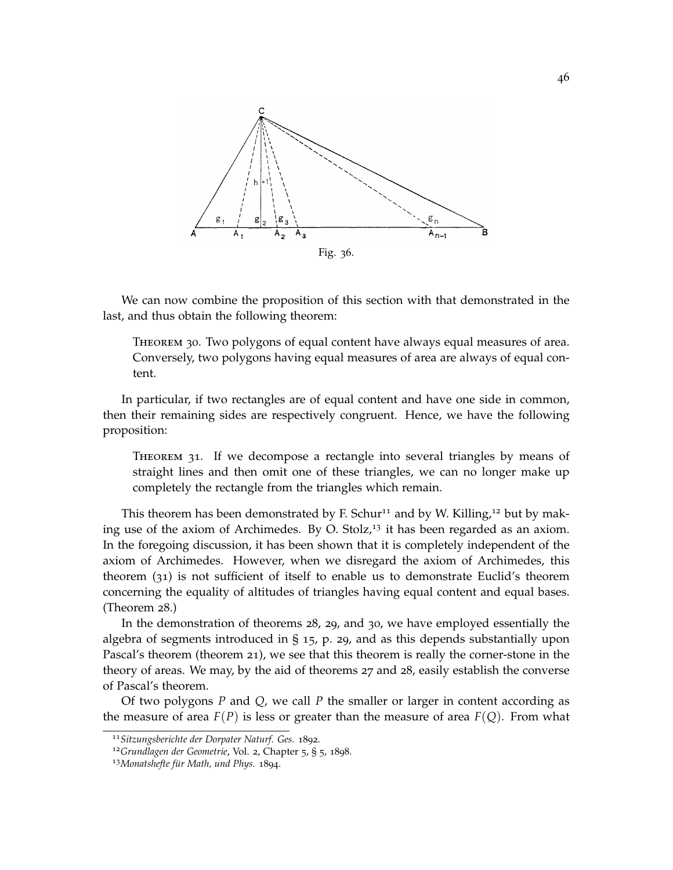

We can now combine the proposition of this section with that demonstrated in the last, and thus obtain the following theorem:

Theorem 30. Two polygons of equal content have always equal measures of area. Conversely, two polygons having equal measures of area are always of equal content.

In particular, if two rectangles are of equal content and have one side in common, then their remaining sides are respectively congruent. Hence, we have the following proposition:

Theorem 31. If we decompose a rectangle into several triangles by means of straight lines and then omit one of these triangles, we can no longer make up completely the rectangle from the triangles which remain.

This theorem has been demonstrated by F. Schur<sup>11</sup> and by W. Killing,<sup>12</sup> but by making use of the axiom of Archimedes. By O. Stolz $1<sup>3</sup>$  it has been regarded as an axiom. In the foregoing discussion, it has been shown that it is completely independent of the axiom of Archimedes. However, when we disregard the axiom of Archimedes, this theorem (31) is not sufficient of itself to enable us to demonstrate Euclid's theorem concerning the equality of altitudes of triangles having equal content and equal bases. (Theorem 28.)

In the demonstration of theorems 28, 29, and 30, we have employed essentially the algebra of segments introduced in § 15, p. 29, and as this depends substantially upon Pascal's theorem (theorem 21), we see that this theorem is really the corner-stone in the theory of areas. We may, by the aid of theorems 27 and 28, easily establish the converse of Pascal's theorem.

Of two polygons *P* and *Q*, we call *P* the smaller or larger in content according as the measure of area  $F(P)$  is less or greater than the measure of area  $F(Q)$ . From what

<sup>11</sup>*Sitzungsberichte der Dorpater Naturf. Ges.* 1892.

<sup>&</sup>lt;sup>12</sup>Grundlagen der Geometrie, Vol. 2, Chapter 5, § 5, 1898.

<sup>13</sup>*Monatshefte für Math, und Phys.* 1894.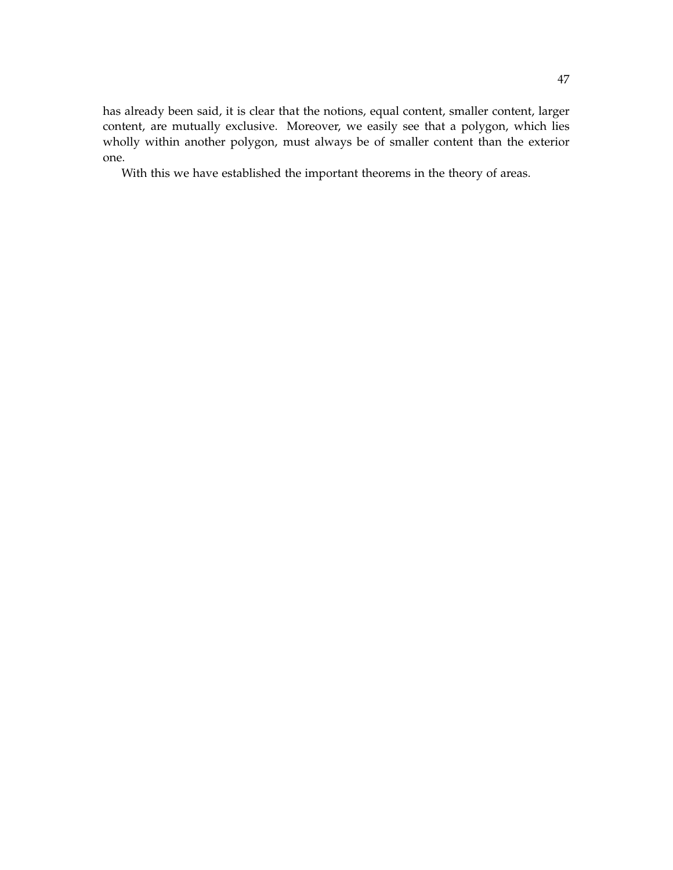has already been said, it is clear that the notions, equal content, smaller content, larger content, are mutually exclusive. Moreover, we easily see that a polygon, which lies wholly within another polygon, must always be of smaller content than the exterior one.

With this we have established the important theorems in the theory of areas.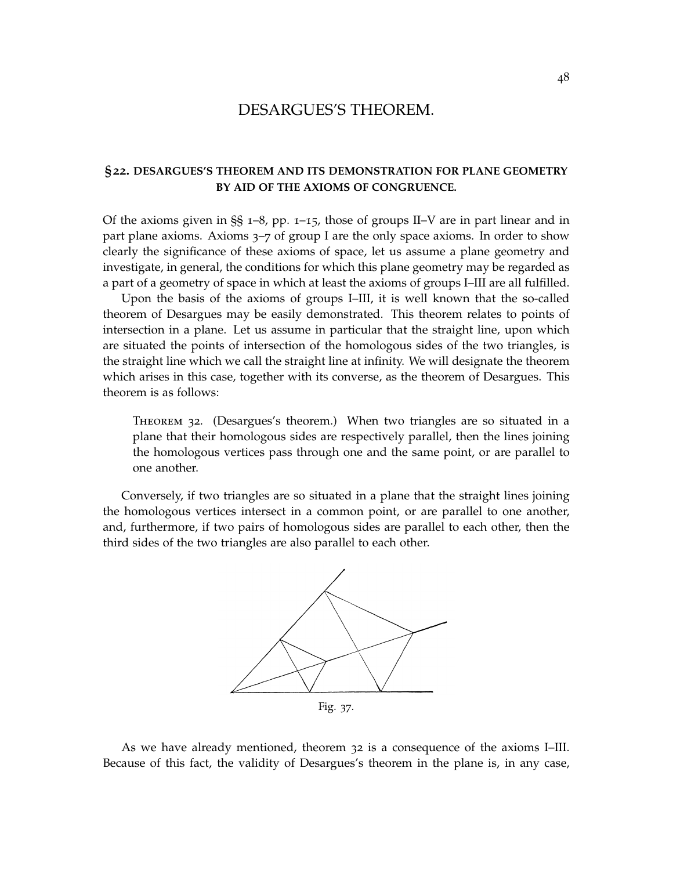# DESARGUES'S THEOREM.

### **§22. DESARGUES'S THEOREM AND ITS DEMONSTRATION FOR PLANE GEOMETRY BY AID OF THE AXIOMS OF CONGRUENCE.**

Of the axioms given in §§  $1-8$ , pp.  $1-15$ , those of groups II–V are in part linear and in part plane axioms. Axioms 3–7 of group I are the only space axioms. In order to show clearly the significance of these axioms of space, let us assume a plane geometry and investigate, in general, the conditions for which this plane geometry may be regarded as a part of a geometry of space in which at least the axioms of groups I–III are all fulfilled.

Upon the basis of the axioms of groups I–III, it is well known that the so-called theorem of Desargues may be easily demonstrated. This theorem relates to points of intersection in a plane. Let us assume in particular that the straight line, upon which are situated the points of intersection of the homologous sides of the two triangles, is the straight line which we call the straight line at infinity. We will designate the theorem which arises in this case, together with its converse, as the theorem of Desargues. This theorem is as follows:

Theorem 32. (Desargues's theorem.) When two triangles are so situated in a plane that their homologous sides are respectively parallel, then the lines joining the homologous vertices pass through one and the same point, or are parallel to one another.

Conversely, if two triangles are so situated in a plane that the straight lines joining the homologous vertices intersect in a common point, or are parallel to one another, and, furthermore, if two pairs of homologous sides are parallel to each other, then the third sides of the two triangles are also parallel to each other.



As we have already mentioned, theorem 32 is a consequence of the axioms I–III. Because of this fact, the validity of Desargues's theorem in the plane is, in any case,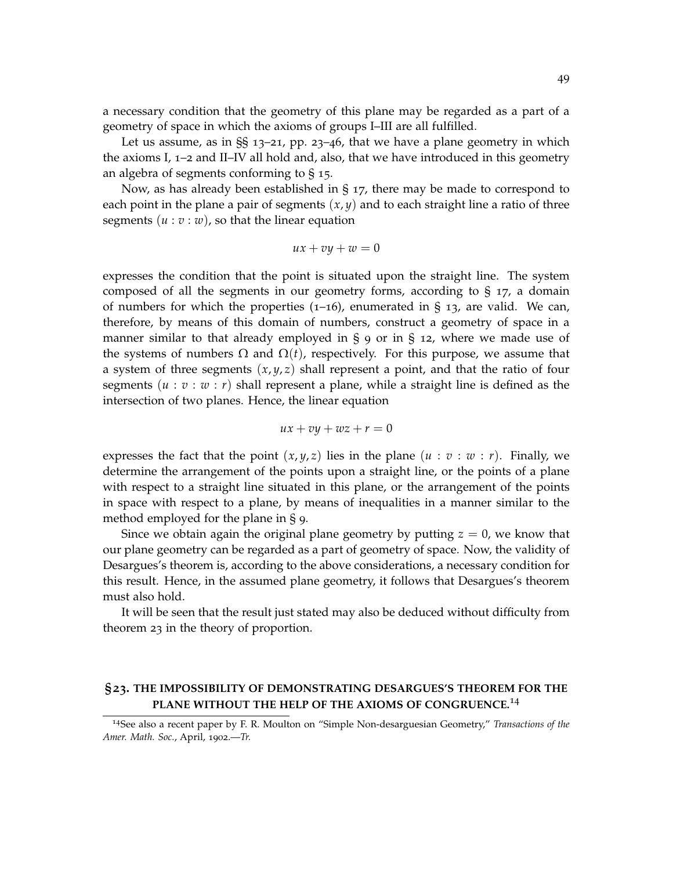a necessary condition that the geometry of this plane may be regarded as a part of a geometry of space in which the axioms of groups I–III are all fulfilled.

Let us assume, as in  $\S$  13–21, pp. 23–46, that we have a plane geometry in which the axioms I, 1–2 and II–IV all hold and, also, that we have introduced in this geometry an algebra of segments conforming to § 15.

Now, as has already been established in § 17, there may be made to correspond to each point in the plane a pair of segments  $(x, y)$  and to each straight line a ratio of three segments  $(u : v : w)$ , so that the linear equation

$$
ux + vy + w = 0
$$

expresses the condition that the point is situated upon the straight line. The system composed of all the segments in our geometry forms, according to § 17, a domain of numbers for which the properties  $(1-16)$ , enumerated in § 13, are valid. We can, therefore, by means of this domain of numbers, construct a geometry of space in a manner similar to that already employed in  $\S$  9 or in  $\S$  12, where we made use of the systems of numbers  $\Omega$  and  $\Omega(t)$ , respectively. For this purpose, we assume that a system of three segments  $(x, y, z)$  shall represent a point, and that the ratio of four segments  $(u : v : w : r)$  shall represent a plane, while a straight line is defined as the intersection of two planes. Hence, the linear equation

$$
ux + vy + wz + r = 0
$$

expresses the fact that the point  $(x, y, z)$  lies in the plane  $(u : v : w : r)$ . Finally, we determine the arrangement of the points upon a straight line, or the points of a plane with respect to a straight line situated in this plane, or the arrangement of the points in space with respect to a plane, by means of inequalities in a manner similar to the method employed for the plane in § 9.

Since we obtain again the original plane geometry by putting  $z = 0$ , we know that our plane geometry can be regarded as a part of geometry of space. Now, the validity of Desargues's theorem is, according to the above considerations, a necessary condition for this result. Hence, in the assumed plane geometry, it follows that Desargues's theorem must also hold.

It will be seen that the result just stated may also be deduced without difficulty from theorem 23 in the theory of proportion.

## **§23. THE IMPOSSIBILITY OF DEMONSTRATING DESARGUES'S THEOREM FOR THE PLANE WITHOUT THE HELP OF THE AXIOMS OF CONGRUENCE.**<sup>14</sup>

<sup>14</sup>See also a recent paper by F. R. Moulton on "Simple Non-desarguesian Geometry," *Transactions of the Amer. Math. Soc.*, April, 1902.—*Tr.*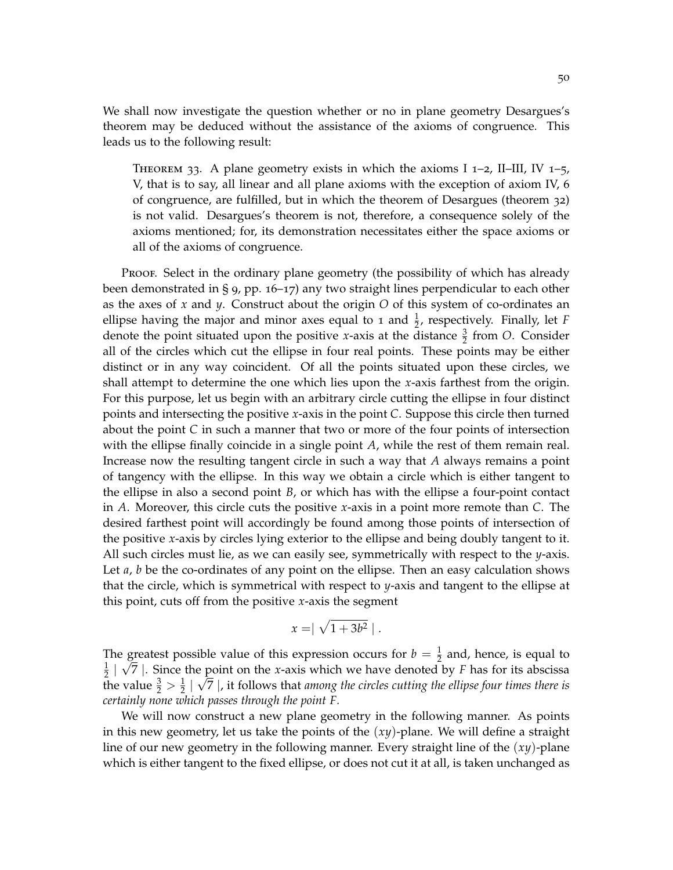We shall now investigate the question whether or no in plane geometry Desargues's theorem may be deduced without the assistance of the axioms of congruence. This leads us to the following result:

THEOREM 33. A plane geometry exists in which the axioms I  $1-2$ , II–III, IV  $1-5$ , V, that is to say, all linear and all plane axioms with the exception of axiom IV, 6 of congruence, are fulfilled, but in which the theorem of Desargues (theorem 32) is not valid. Desargues's theorem is not, therefore, a consequence solely of the axioms mentioned; for, its demonstration necessitates either the space axioms or all of the axioms of congruence.

Proof. Select in the ordinary plane geometry (the possibility of which has already been demonstrated in § 9, pp. 16–17) any two straight lines perpendicular to each other as the axes of *x* and *y*. Construct about the origin *O* of this system of co-ordinates an ellipse having the major and minor axes equal to 1 and  $\frac{1}{2}$ , respectively. Finally, let *F* denote the point situated upon the positive *x*-axis at the distance  $\frac{3}{2}$  from *O*. Consider all of the circles which cut the ellipse in four real points. These points may be either distinct or in any way coincident. Of all the points situated upon these circles, we shall attempt to determine the one which lies upon the *x*-axis farthest from the origin. For this purpose, let us begin with an arbitrary circle cutting the ellipse in four distinct points and intersecting the positive *x*-axis in the point *C*. Suppose this circle then turned about the point *C* in such a manner that two or more of the four points of intersection with the ellipse finally coincide in a single point *A*, while the rest of them remain real. Increase now the resulting tangent circle in such a way that *A* always remains a point of tangency with the ellipse. In this way we obtain a circle which is either tangent to the ellipse in also a second point *B*, or which has with the ellipse a four-point contact in *A*. Moreover, this circle cuts the positive *x*-axis in a point more remote than *C*. The desired farthest point will accordingly be found among those points of intersection of the positive *x*-axis by circles lying exterior to the ellipse and being doubly tangent to it. All such circles must lie, as we can easily see, symmetrically with respect to the *y*-axis. Let *a*, *b* be the co-ordinates of any point on the ellipse. Then an easy calculation shows that the circle, which is symmetrical with respect to *y*-axis and tangent to the ellipse at this point, cuts off from the positive *x*-axis the segment

$$
x = \vert \sqrt{1 + 3b^2} \vert.
$$

The greatest possible value of this expression occurs for  $b = \frac{1}{2}$  and, hence, is equal to 1  $\frac{1}{2}$  |  $\sqrt{7}$  |. Since the point on the *x*-axis which we have denoted by *F* has for its abscissa the value  $\frac{3}{2} > \frac{1}{2} \mid \sqrt{7} \mid$ , it follows that *among the circles cutting the ellipse four times there is certainly none which passes through the point F.*

We will now construct a new plane geometry in the following manner. As points in this new geometry, let us take the points of the (*xy*)-plane. We will define a straight line of our new geometry in the following manner. Every straight line of the (*xy*)-plane which is either tangent to the fixed ellipse, or does not cut it at all, is taken unchanged as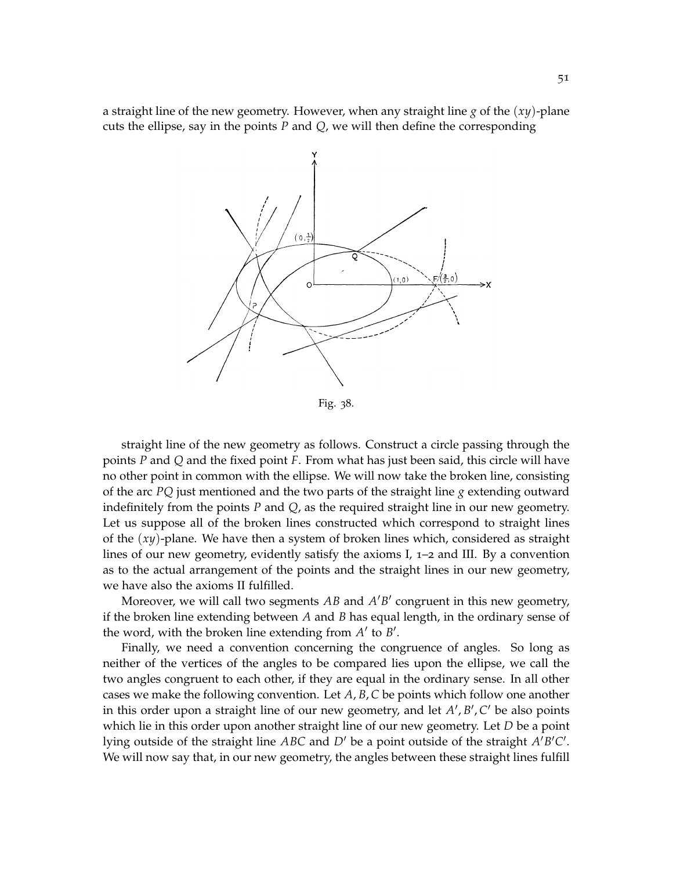a straight line of the new geometry. However, when any straight line *g* of the (*xy*)-plane cuts the ellipse, say in the points *P* and *Q*, we will then define the corresponding



straight line of the new geometry as follows. Construct a circle passing through the points *P* and *Q* and the fixed point *F*. From what has just been said, this circle will have no other point in common with the ellipse. We will now take the broken line, consisting of the arc *PQ* just mentioned and the two parts of the straight line *g* extending outward indefinitely from the points *P* and *Q*, as the required straight line in our new geometry. Let us suppose all of the broken lines constructed which correspond to straight lines of the (*xy*)-plane. We have then a system of broken lines which, considered as straight lines of our new geometry, evidently satisfy the axioms I, 1–2 and III. By a convention as to the actual arrangement of the points and the straight lines in our new geometry, we have also the axioms II fulfilled.

Moreover, we will call two segments  $AB$  and  $A'B'$  congruent in this new geometry, if the broken line extending between *A* and *B* has equal length, in the ordinary sense of the word, with the broken line extending from  $A'$  to  $B'$ .

Finally, we need a convention concerning the congruence of angles. So long as neither of the vertices of the angles to be compared lies upon the ellipse, we call the two angles congruent to each other, if they are equal in the ordinary sense. In all other cases we make the following convention. Let *A*, *B*, *C* be points which follow one another in this order upon a straight line of our new geometry, and let  $A'$ ,  $B'$ ,  $C'$  be also points which lie in this order upon another straight line of our new geometry. Let *D* be a point lying outside of the straight line *ABC* and *D'* be a point outside of the straight *A'B'C'*. We will now say that, in our new geometry, the angles between these straight lines fulfill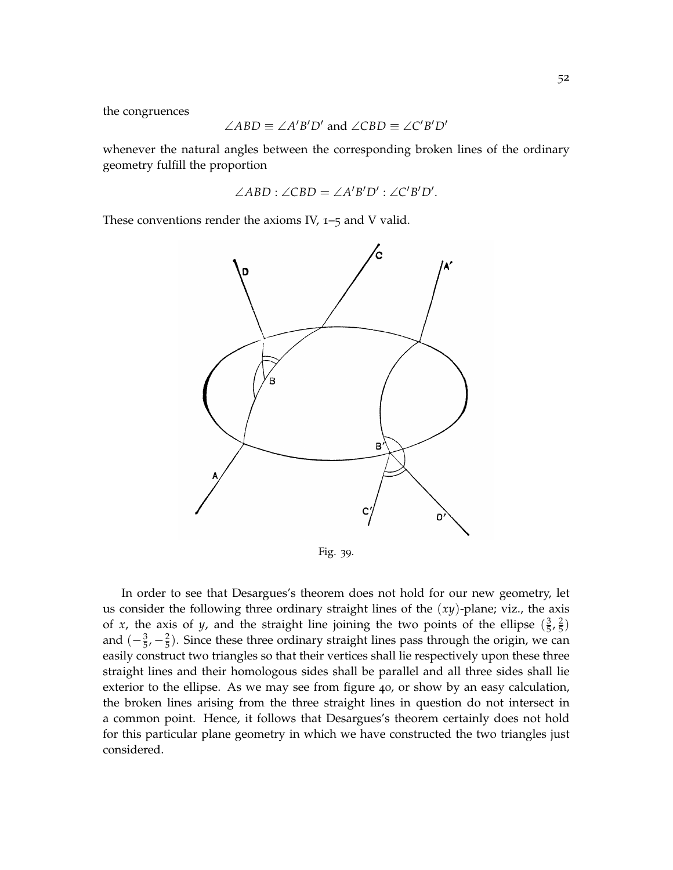the congruences

$$
\angle ABD \equiv \angle A'B'D'
$$
 and  $\angle CBD \equiv \angle C'B'D'$ 

whenever the natural angles between the corresponding broken lines of the ordinary geometry fulfill the proportion

$$
\angle ABD : \angle CBD = \angle A'B'D' : \angle C'B'D'.
$$

These conventions render the axioms IV,  $1-5$  and V valid.



Fig. 39.

In order to see that Desargues's theorem does not hold for our new geometry, let us consider the following three ordinary straight lines of the (*xy*)-plane; viz., the axis of *x*, the axis of *y*, and the straight line joining the two points of the ellipse  $(\frac{3}{5})$  $\frac{3}{5}$ ,  $\frac{2}{5}$  $\frac{2}{5})$ and  $\left(-\frac{3}{5}, -\frac{2}{5}\right)$ . Since these three ordinary straight lines pass through the origin, we can easily construct two triangles so that their vertices shall lie respectively upon these three straight lines and their homologous sides shall be parallel and all three sides shall lie exterior to the ellipse. As we may see from figure 40, or show by an easy calculation, the broken lines arising from the three straight lines in question do not intersect in a common point. Hence, it follows that Desargues's theorem certainly does not hold for this particular plane geometry in which we have constructed the two triangles just considered.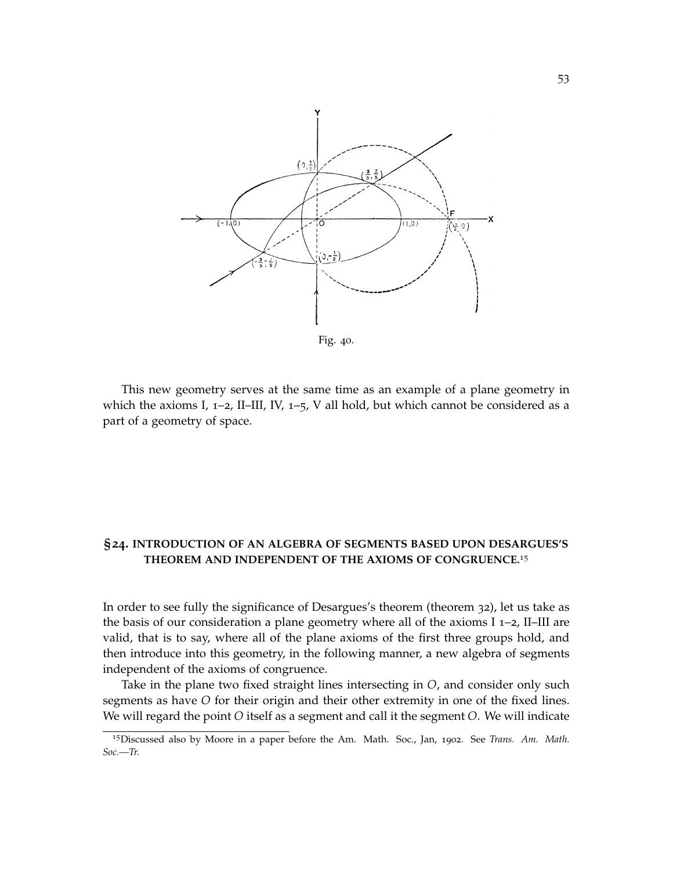

Fig. 40.

This new geometry serves at the same time as an example of a plane geometry in which the axioms I,  $1-2$ , II–III, IV,  $1-5$ , V all hold, but which cannot be considered as a part of a geometry of space.

## **§24. INTRODUCTION OF AN ALGEBRA OF SEGMENTS BASED UPON DESARGUES'S THEOREM AND INDEPENDENT OF THE AXIOMS OF CONGRUENCE.**<sup>15</sup>

In order to see fully the significance of Desargues's theorem (theorem 32), let us take as the basis of our consideration a plane geometry where all of the axioms I 1–2, II–III are valid, that is to say, where all of the plane axioms of the first three groups hold, and then introduce into this geometry, in the following manner, a new algebra of segments independent of the axioms of congruence.

Take in the plane two fixed straight lines intersecting in *O*, and consider only such segments as have *O* for their origin and their other extremity in one of the fixed lines. We will regard the point *O* itself as a segment and call it the segment *O*. We will indicate

<sup>15</sup>Discussed also by Moore in a paper before the Am. Math. Soc., Jan, 1902. See *Trans. Am. Math. Soc.—Tr.*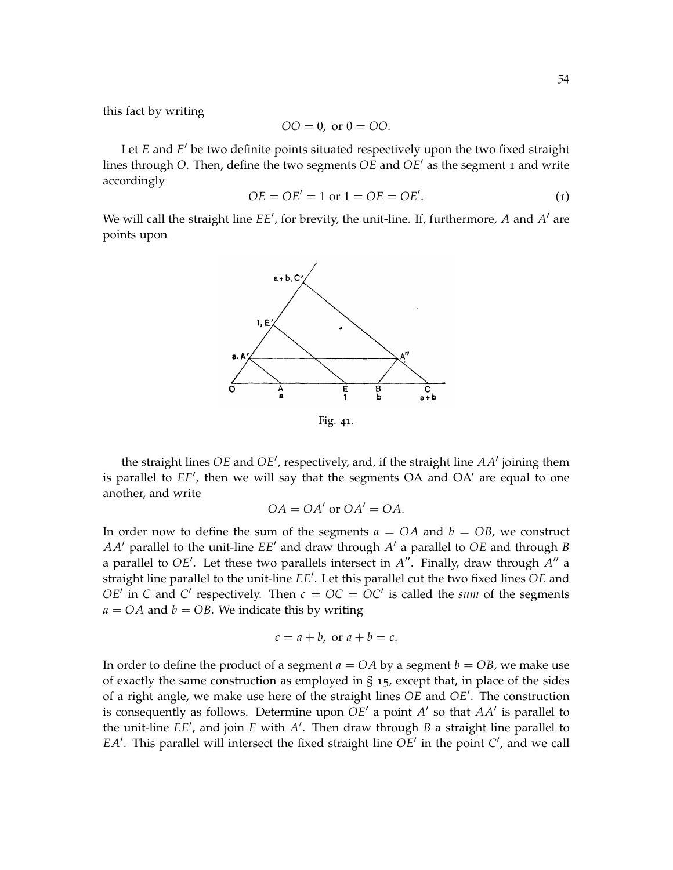this fact by writing

$$
OO = 0
$$
, or  $0 = OO$ .

Let *E* and *E'* be two definite points situated respectively upon the two fixed straight lines through *O*. Then, define the two segments *OE* and *OE'* as the segment 1 and write accordingly

$$
OE = OE' = 1 \text{ or } 1 = OE = OE'.
$$
\n
$$
(1)
$$

We will call the straight line *EE'*, for brevity, the unit-line. If, furthermore, *A* and *A'* are points upon



the straight lines OE and OE', respectively, and, if the straight line AA' joining them is parallel to *EE'*, then we will say that the segments OA and OA' are equal to one another, and write

$$
OA = OA'
$$
 or  $OA' = OA$ .

In order now to define the sum of the segments  $a = OA$  and  $b = OB$ , we construct *AA*<sup> $\prime$ </sup> parallel to the unit-line *EE*<sup> $\prime$ </sup> and draw through *A*<sup> $\prime$ </sup> a parallel to *OE* and through *B* a parallel to OE'. Let these two parallels intersect in A''. Finally, draw through A'' a straight line parallel to the unit-line *EE'*. Let this parallel cut the two fixed lines *OE* and  $OE'$  in *C* and *C'* respectively. Then  $c = OC = OC'$  is called the *sum* of the segments  $a = OA$  and  $b = OB$ . We indicate this by writing

$$
c = a + b, \text{ or } a + b = c.
$$

In order to define the product of a segment  $a = OA$  by a segment  $b = OB$ , we make use of exactly the same construction as employed in  $\S$  15, except that, in place of the sides of a right angle, we make use here of the straight lines *OE* and *OE'*. The construction is consequently as follows. Determine upon  $OE'$  a point  $A'$  so that  $AA'$  is parallel to the unit-line *EE'*, and join *E* with *A'*. Then draw through *B* a straight line parallel to *EA'*. This parallel will intersect the fixed straight line *OE'* in the point *C'*, and we call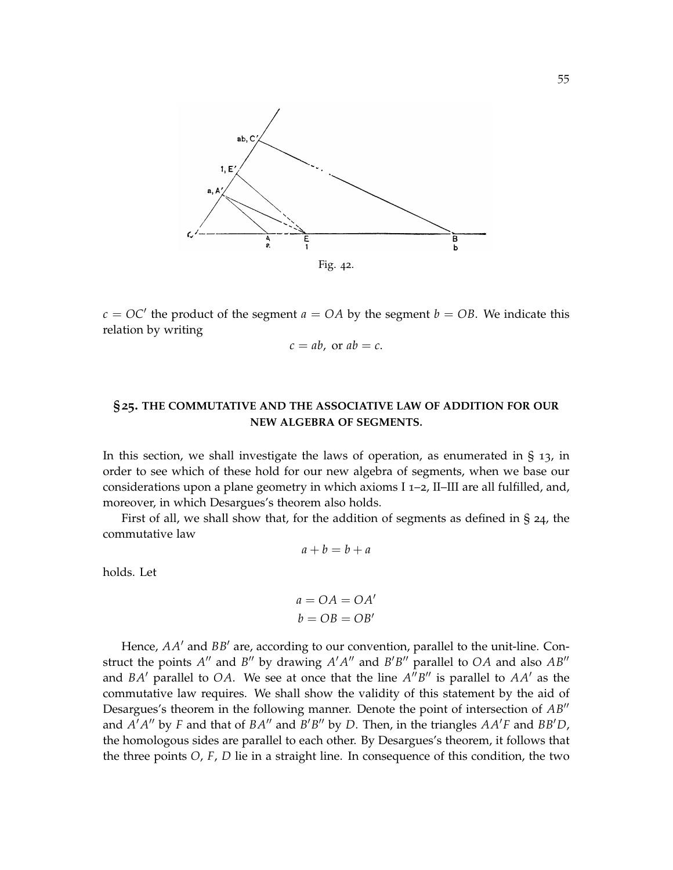

 $c = OC'$  the product of the segment  $a = OA$  by the segment  $b = OB$ . We indicate this relation by writing

$$
c = ab
$$
, or  $ab = c$ .

### **§25. THE COMMUTATIVE AND THE ASSOCIATIVE LAW OF ADDITION FOR OUR NEW ALGEBRA OF SEGMENTS.**

In this section, we shall investigate the laws of operation, as enumerated in  $\S$  13, in order to see which of these hold for our new algebra of segments, when we base our considerations upon a plane geometry in which axioms I  $1-2$ , II–III are all fulfilled, and, moreover, in which Desargues's theorem also holds.

First of all, we shall show that, for the addition of segments as defined in § 24, the commutative law

$$
a+b=b+a
$$

holds. Let

$$
a = OA = OA'
$$
  

$$
b = OB = OB'
$$

Hence, AA' and BB' are, according to our convention, parallel to the unit-line. Construct the points  $A''$  and  $B''$  by drawing  $A'A''$  and  $B'B''$  parallel to  $OA$  and also  $AB''$ and  $BA'$  parallel to  $OA$ . We see at once that the line  $A''B''$  is parallel to  $AA'$  as the commutative law requires. We shall show the validity of this statement by the aid of Desargues's theorem in the following manner. Denote the point of intersection of AB<sup>n</sup> and  $A'A''$  by *F* and that of  $BA''$  and  $B'B''$  by *D*. Then, in the triangles  $AA'F$  and  $BB'D$ , the homologous sides are parallel to each other. By Desargues's theorem, it follows that the three points *O*, *F*, *D* lie in a straight line. In consequence of this condition, the two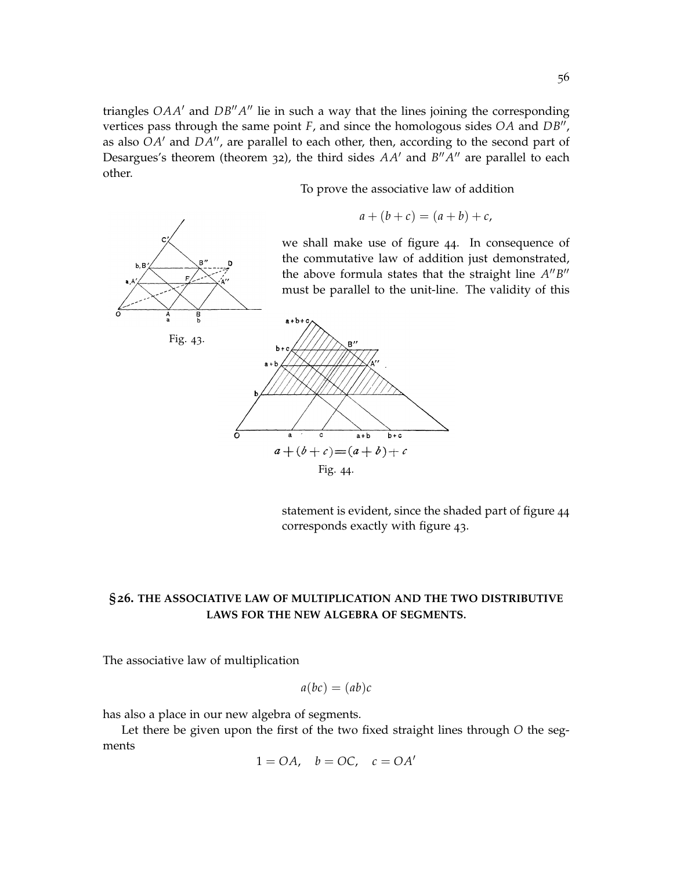triangles *OAA'* and *DB<sup>"</sup>A"* lie in such a way that the lines joining the corresponding vertices pass through the same point  $F$ , and since the homologous sides  $OA$  and  $DB''$ , as also *OA'* and *DA''*, are parallel to each other, then, according to the second part of Desargues's theorem (theorem 32), the third sides  $AA'$  and  $B''A''$  are parallel to each other.

To prove the associative law of addition

$$
a + (b + c) = (a + b) + c,
$$



statement is evident, since the shaded part of figure 44 corresponds exactly with figure 43.

## **§26. THE ASSOCIATIVE LAW OF MULTIPLICATION AND THE TWO DISTRIBUTIVE LAWS FOR THE NEW ALGEBRA OF SEGMENTS.**

The associative law of multiplication

$$
a(bc)=(ab)c
$$

has also a place in our new algebra of segments.

Let there be given upon the first of the two fixed straight lines through *O* the segments

 $1 = OA$ ,  $b = OC$ ,  $c = OA'$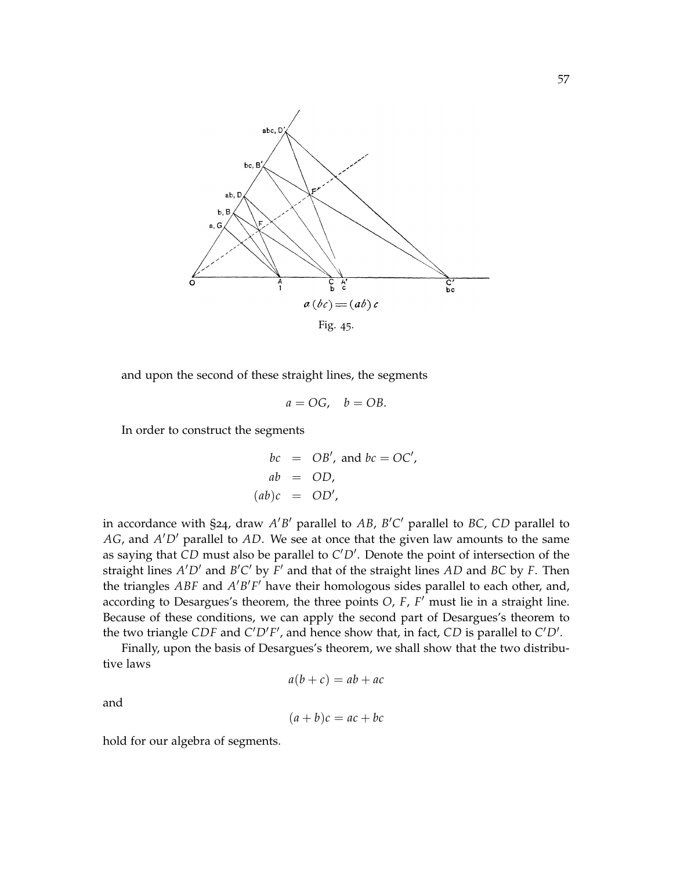

and upon the second of these straight lines, the segments

$$
a=OG, \quad b=OB.
$$

In order to construct the segments

$$
bc = OB', \text{ and } bc = OC',
$$
  
\n
$$
ab = OD,
$$
  
\n
$$
(ab)c = OD',
$$

in accordance with §24, draw  $A'B'$  parallel to  $AB$ ,  $B'C'$  parallel to  $BC$ , CD parallel to AG, and  $A'D'$  parallel to AD. We see at once that the given law amounts to the same as saying that *CD* must also be parallel to *C'D'*. Denote the point of intersection of the straight lines  $A'D'$  and  $B'C'$  by  $F'$  and that of the straight lines  $AD$  and  $BC$  by  $F$ . Then the triangles *ABF* and *A'B'F'* have their homologous sides parallel to each other, and, according to Desargues's theorem, the three points *O*, *F*, *F*' must lie in a straight line. Because of these conditions, we can apply the second part of Desargues's theorem to the two triangle *CDF* and  $C'D'F'$ , and hence show that, in fact, *CD* is parallel to  $C'D'$ .

Finally, upon the basis of Desargues's theorem, we shall show that the two distributive laws

$$
a(b+c) = ab + ac
$$

and

$$
(a+b)c = ac + bc
$$

hold for our algebra of segments.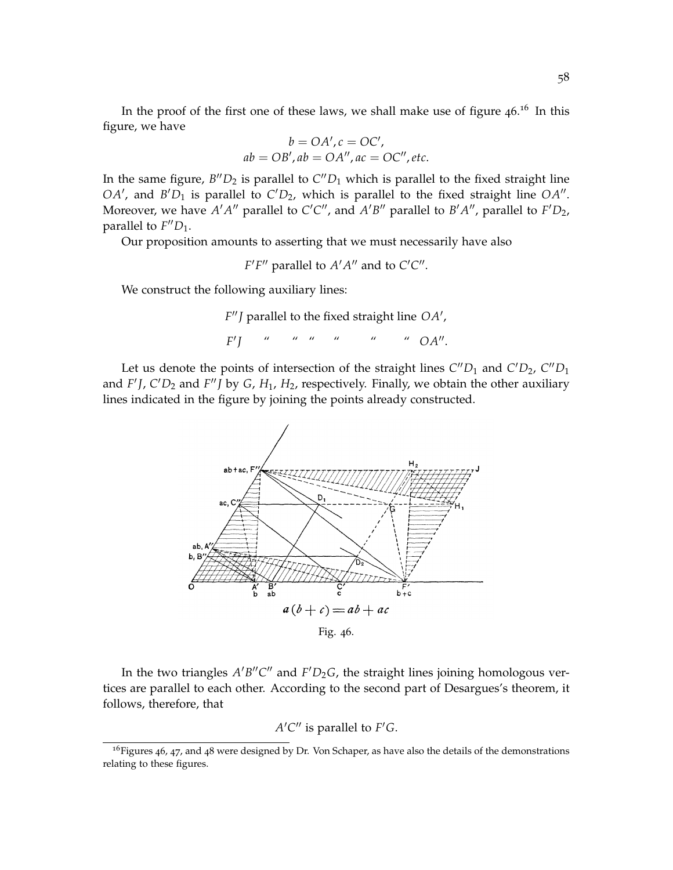$$
b = OA', c = OC',
$$
  

$$
ab = OB', ab = OA'', ac = OC'', etc.
$$

In the same figure,  $B''D_2$  is parallel to  $C''D_1$  which is parallel to the fixed straight line  $OA'$ , and  $B'D_1$  is parallel to  $C'D_2$ , which is parallel to the fixed straight line  $OA''$ . Moreover, we have  $A'A''$  parallel to  $C'C''$ , and  $A'B''$  parallel to  $B'A''$ , parallel to  $F'D_2$ , parallel to  $F''D_1$ .

Our proposition amounts to asserting that we must necessarily have also

 $F'F''$  parallel to  $A'A''$  and to  $C'C''$ .

We construct the following auxiliary lines:

*F*<sup>*I'*</sup> J parallel to the fixed straight line *OA'*,

*F*<sup>'</sup>*J* " " " " " OA<sup>n</sup>.

Let us denote the points of intersection of the straight lines  $C''D_1$  and  $C'D_2$ ,  $C''D_1$ and  $F'$  *J*,  $C'D_2$  and  $F''$  *J* by *G*,  $H_1$ ,  $H_2$ , respectively. Finally, we obtain the other auxiliary lines indicated in the figure by joining the points already constructed.



In the two triangles  $A'B''C''$  and  $F'D_2G$ , the straight lines joining homologous vertices are parallel to each other. According to the second part of Desargues's theorem, it follows, therefore, that

 $A'C''$  is parallel to  $F'G$ .

<sup>&</sup>lt;sup>16</sup>Figures 46, 47, and 48 were designed by Dr. Von Schaper, as have also the details of the demonstrations relating to these figures.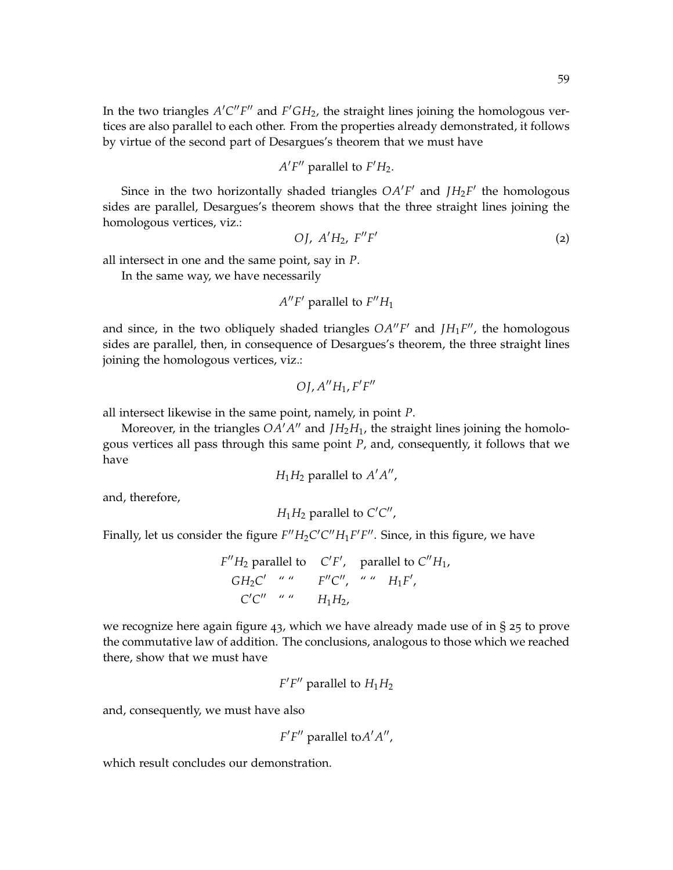In the two triangles  $A'C''F''$  and  $F'GH_2$ , the straight lines joining the homologous vertices are also parallel to each other. From the properties already demonstrated, it follows by virtue of the second part of Desargues's theorem that we must have

$$
A'F''
$$
 parallel to  $F'H_2$ .

Since in the two horizontally shaded triangles  $OA'F'$  and  $JH_2F'$  the homologous sides are parallel, Desargues's theorem shows that the three straight lines joining the homologous vertices, viz.:

$$
OJ, A'H_2, F''F'
$$
 (2)

all intersect in one and the same point, say in *P*.

In the same way, we have necessarily

$$
A''F'
$$
 parallel to  $F''H_1$ 

and since, in the two obliquely shaded triangles  $OA''F'$  and  $JH_1F''$ , the homologous sides are parallel, then, in consequence of Desargues's theorem, the three straight lines joining the homologous vertices, viz.:

$$
OJ, A''H_1, F'F''
$$

all intersect likewise in the same point, namely, in point *P*.

Moreover, in the triangles  $OA'A''$  and  $JH_2H_1$ , the straight lines joining the homologous vertices all pass through this same point *P*, and, consequently, it follows that we have

$$
H_1H_2
$$
 parallel to  $A'A''$ ,

and, therefore,

 $H_1H_2$  parallel to  $C'C''$ ,

Finally, let us consider the figure  $F''H_2C'C''H_1F'F''$ . Since, in this figure, we have

$$
F''H_2
$$
 parallel to  $C'F'$ , parallel to  $C''H_1$ ,  
  $GH_2C'$  ""  $F''C''$ , " ""  $H_1F'$ ,  
  $C'C''$  ""  $H_1H_2$ ,

we recognize here again figure 43, which we have already made use of in § 25 to prove the commutative law of addition. The conclusions, analogous to those which we reached there, show that we must have

 $F'F''$  parallel to  $H_1H_2$ 

and, consequently, we must have also

$$
F'F''
$$
 parallel to  $A'A''$ ,

which result concludes our demonstration.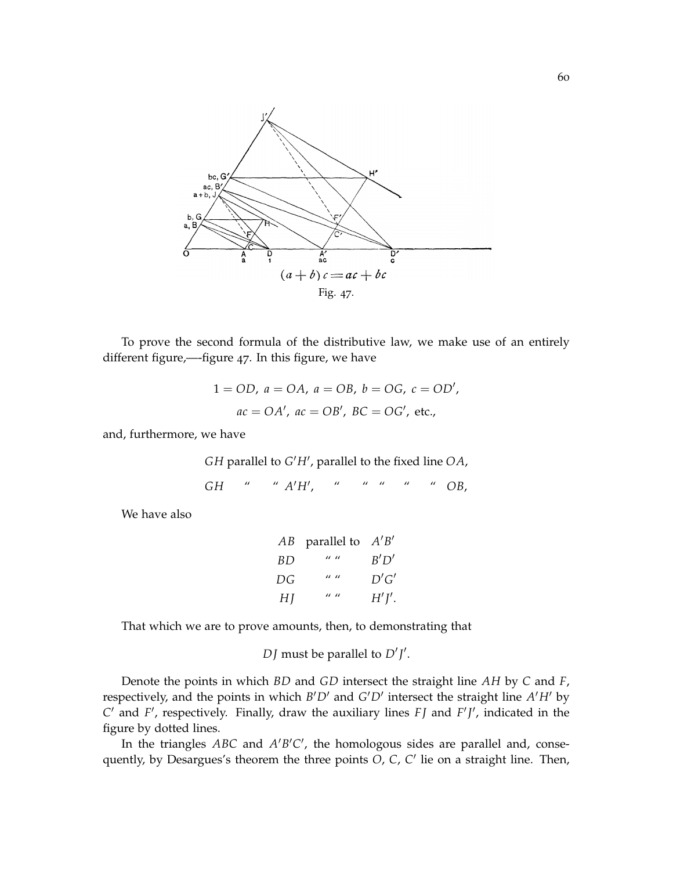

To prove the second formula of the distributive law, we make use of an entirely different figure,—-figure 47. In this figure, we have

$$
1 = OD, a = OA, a = OB, b = OG, c = OD',
$$
  

$$
ac = OA', ac = OB', BC = OG', etc.,
$$

and, furthermore, we have

*GH* parallel to *G'H'*, parallel to the fixed line *OA*,

*GH*<sup>"</sup> "  $A'H'$ , " " " " " OB,

We have also

|     | $AB$ parallel to $A'B'$             |                       |
|-----|-------------------------------------|-----------------------|
| -BD | $^{\prime\prime}$ $^{\prime\prime}$ | B'D'                  |
| DG  | $\mu$ $\mu$                         | $D'$ <sub>G</sub> $'$ |
| НJ  | $^{\prime\prime}$                   | H'I'.                 |

That which we are to prove amounts, then, to demonstrating that

*DJ* must be parallel to  $D'J'$ .

Denote the points in which *BD* and *GD* intersect the straight line *AH* by *C* and *F*, respectively, and the points in which  $B'D'$  and  $G'D'$  intersect the straight line  $A'H'$  by  $C'$  and  $F'$ , respectively. Finally, draw the auxiliary lines  $FJ$  and  $F'J'$ , indicated in the figure by dotted lines.

In the triangles  $ABC$  and  $A'B'C'$ , the homologous sides are parallel and, consequently, by Desargues's theorem the three points *O*, *C*, *C'* lie on a straight line. Then,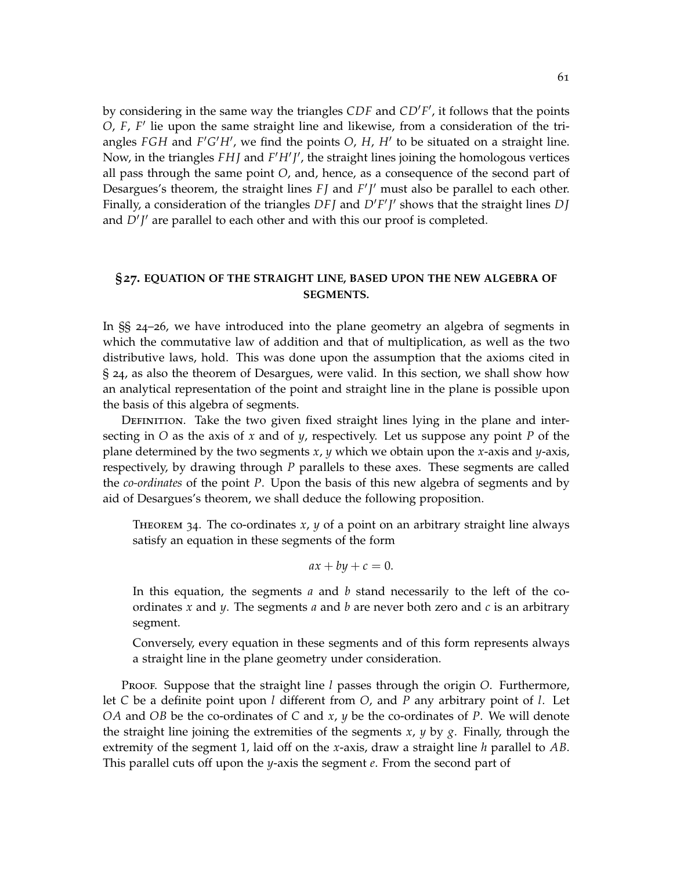by considering in the same way the triangles *CDF* and *CD'F'*, it follows that the points O, F, F' lie upon the same straight line and likewise, from a consideration of the triangles  $FGH$  and  $F'G'H'$ , we find the points  $O$ ,  $H$ ,  $H'$  to be situated on a straight line. Now, in the triangles *FHJ* and *F'H'J'*, the straight lines joining the homologous vertices all pass through the same point *O*, and, hence, as a consequence of the second part of Desargues's theorem, the straight lines  $FJ$  and  $F'J'$  must also be parallel to each other. Finally, a consideration of the triangles *DFJ* and *D'F'J'* shows that the straight lines *DJ* and *D'J'* are parallel to each other and with this our proof is completed.

### **§27. EQUATION OF THE STRAIGHT LINE, BASED UPON THE NEW ALGEBRA OF SEGMENTS.**

In §§ 24–26, we have introduced into the plane geometry an algebra of segments in which the commutative law of addition and that of multiplication, as well as the two distributive laws, hold. This was done upon the assumption that the axioms cited in § 24, as also the theorem of Desargues, were valid. In this section, we shall show how an analytical representation of the point and straight line in the plane is possible upon the basis of this algebra of segments.

DEFINITION. Take the two given fixed straight lines lying in the plane and intersecting in *O* as the axis of *x* and of *y*, respectively. Let us suppose any point *P* of the plane determined by the two segments *x*, *y* which we obtain upon the *x*-axis and *y*-axis, respectively, by drawing through *P* parallels to these axes. These segments are called the *co-ordinates* of the point *P*. Upon the basis of this new algebra of segments and by aid of Desargues's theorem, we shall deduce the following proposition.

Theorem 34. The co-ordinates *x*, *y* of a point on an arbitrary straight line always satisfy an equation in these segments of the form

$$
ax + by + c = 0.
$$

In this equation, the segments *a* and *b* stand necessarily to the left of the coordinates *x* and *y*. The segments *a* and *b* are never both zero and *c* is an arbitrary segment.

Conversely, every equation in these segments and of this form represents always a straight line in the plane geometry under consideration.

Proof. Suppose that the straight line *l* passes through the origin *O*. Furthermore, let *C* be a definite point upon *l* different from *O*, and *P* any arbitrary point of *l*. Let *OA* and *OB* be the co-ordinates of *C* and *x*, *y* be the co-ordinates of *P*. We will denote the straight line joining the extremities of the segments  $x$ ,  $y$  by  $g$ . Finally, through the extremity of the segment 1, laid off on the *x*-axis, draw a straight line *h* parallel to *AB*. This parallel cuts off upon the *y*-axis the segment *e*. From the second part of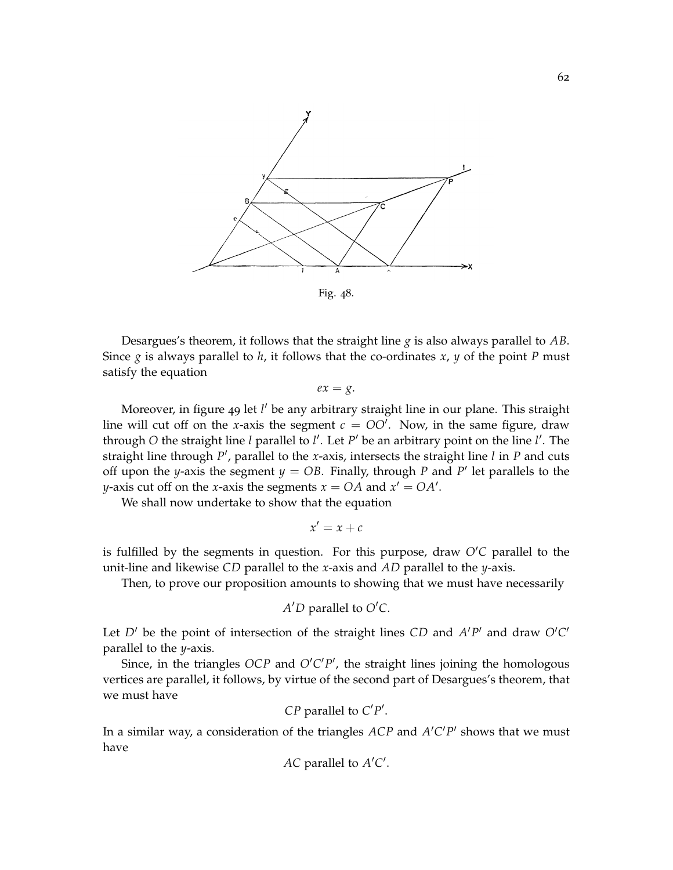

Desargues's theorem, it follows that the straight line *g* is also always parallel to *AB*. Since *g* is always parallel to *h*, it follows that the co-ordinates *x*, *y* of the point *P* must satisfy the equation

 $ex = g$ .

Moreover, in figure 49 let *l'* be any arbitrary straight line in our plane. This straight line will cut off on the *x*-axis the segment  $c = OO'$ . Now, in the same figure, draw through *O* the straight line *l* parallel to *l'*. Let *P'* be an arbitrary point on the line *l'*. The straight line through P', parallel to the *x*-axis, intersects the straight line *l* in *P* and cuts off upon the *y*-axis the segment  $y = OB$ . Finally, through *P* and *P'* let parallels to the *y*-axis cut off on the *x*-axis the segments  $x = OA$  and  $x' = OA'$ .

We shall now undertake to show that the equation

$$
x'=x+c
$$

is fulfilled by the segments in question. For this purpose, draw  $O^{\prime}C$  parallel to the unit-line and likewise *CD* parallel to the *x*-axis and *AD* parallel to the *y*-axis.

Then, to prove our proposition amounts to showing that we must have necessarily

$$
A'D
$$
 parallel to  $O'C$ .

Let  $D'$  be the point of intersection of the straight lines  $CD$  and  $A'P'$  and draw  $O'C'$ parallel to the *y*-axis.

Since, in the triangles  $OCP$  and  $O'C'P'$ , the straight lines joining the homologous vertices are parallel, it follows, by virtue of the second part of Desargues's theorem, that we must have

*CP* parallel to  $C'P'$ .

In a similar way, a consideration of the triangles  $ACP$  and  $A'C'P'$  shows that we must have

```
AC parallel to A'C'.
```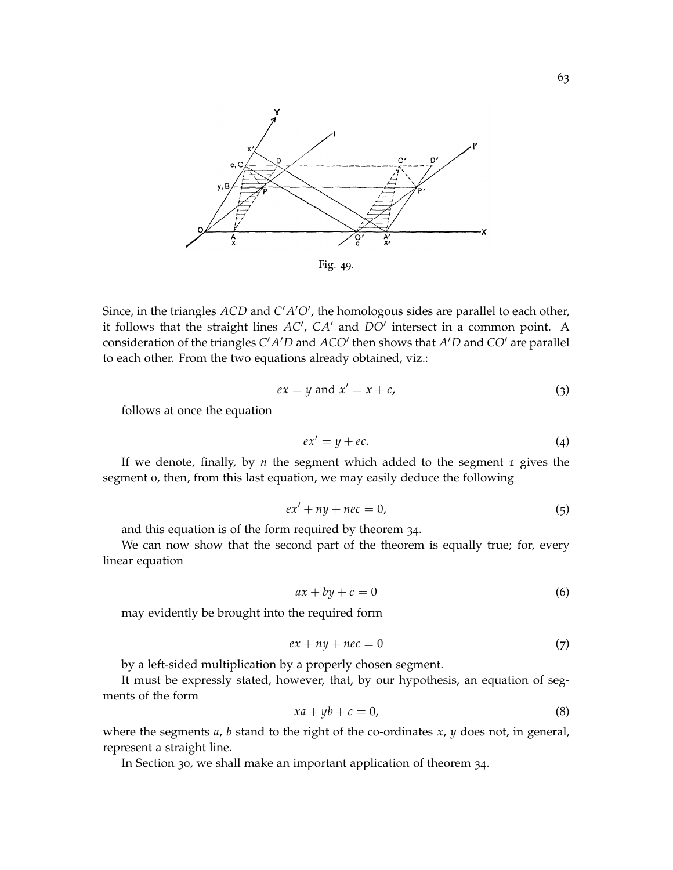

Since, in the triangles *ACD* and *C'A'O'*, the homologous sides are parallel to each other, it follows that the straight lines AC', CA' and DO' intersect in a common point. A consideration of the triangles  $C'A'D$  and  $ACO'$  then shows that  $A'D$  and  $CO'$  are parallel to each other. From the two equations already obtained, viz.:

$$
ex = y \text{ and } x' = x + c,
$$
 (3)

follows at once the equation

$$
ex' = y + ec. \tag{4}
$$

If we denote, finally, by *n* the segment which added to the segment 1 gives the segment 0, then, from this last equation, we may easily deduce the following

$$
ex' + ny + nec = 0,
$$
\n<sup>(5)</sup>

and this equation is of the form required by theorem 34.

We can now show that the second part of the theorem is equally true; for, every linear equation

$$
ax + by + c = 0 \tag{6}
$$

may evidently be brought into the required form

$$
ex + ny + nec = 0 \tag{7}
$$

by a left-sided multiplication by a properly chosen segment.

It must be expressly stated, however, that, by our hypothesis, an equation of segments of the form

$$
xa + yb + c = 0,\t\t(8)
$$

where the segments *a*, *b* stand to the right of the co-ordinates *x*, *y* does not, in general, represent a straight line.

In Section 30, we shall make an important application of theorem 34.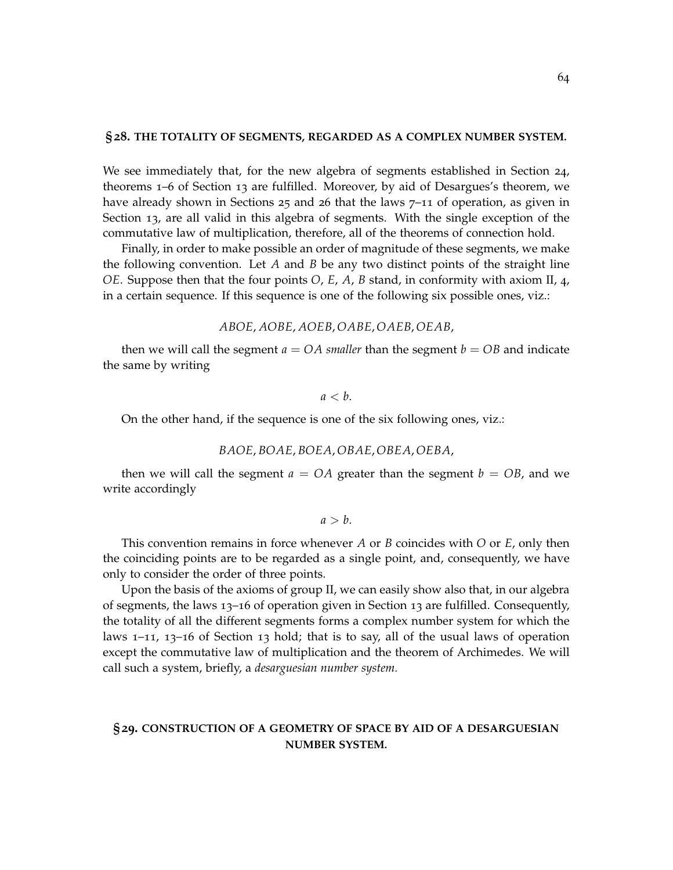#### **§28. THE TOTALITY OF SEGMENTS, REGARDED AS A COMPLEX NUMBER SYSTEM.**

We see immediately that, for the new algebra of segments established in Section 24, theorems 1–6 of Section 13 are fulfilled. Moreover, by aid of Desargues's theorem, we have already shown in Sections 25 and 26 that the laws  $7-11$  of operation, as given in Section 13, are all valid in this algebra of segments. With the single exception of the commutative law of multiplication, therefore, all of the theorems of connection hold.

Finally, in order to make possible an order of magnitude of these segments, we make the following convention. Let *A* and *B* be any two distinct points of the straight line *OE*. Suppose then that the four points *O*, *E*, *A*, *B* stand, in conformity with axiom II, 4, in a certain sequence. If this sequence is one of the following six possible ones, viz.:

#### *ABOE*, *AOBE*, *AOEB*,*OABE*,*OAEB*,*OEAB*,

then we will call the segment  $a = OA$  *smaller* than the segment  $b = OB$  and indicate the same by writing

 $a < b$ .

On the other hand, if the sequence is one of the six following ones, viz.:

#### *BAOE*, *BOAE*, *BOEA*,*OBAE*,*OBEA*,*OEBA*,

then we will call the segment  $a = OA$  greater than the segment  $b = OB$ , and we write accordingly

#### $a > b$ .

This convention remains in force whenever *A* or *B* coincides with *O* or *E*, only then the coinciding points are to be regarded as a single point, and, consequently, we have only to consider the order of three points.

Upon the basis of the axioms of group II, we can easily show also that, in our algebra of segments, the laws 13–16 of operation given in Section 13 are fulfilled. Consequently, the totality of all the different segments forms a complex number system for which the laws 1–11, 13–16 of Section 13 hold; that is to say, all of the usual laws of operation except the commutative law of multiplication and the theorem of Archimedes. We will call such a system, briefly, a *desarguesian number system.*

### **§29. CONSTRUCTION OF A GEOMETRY OF SPACE BY AID OF A DESARGUESIAN NUMBER SYSTEM.**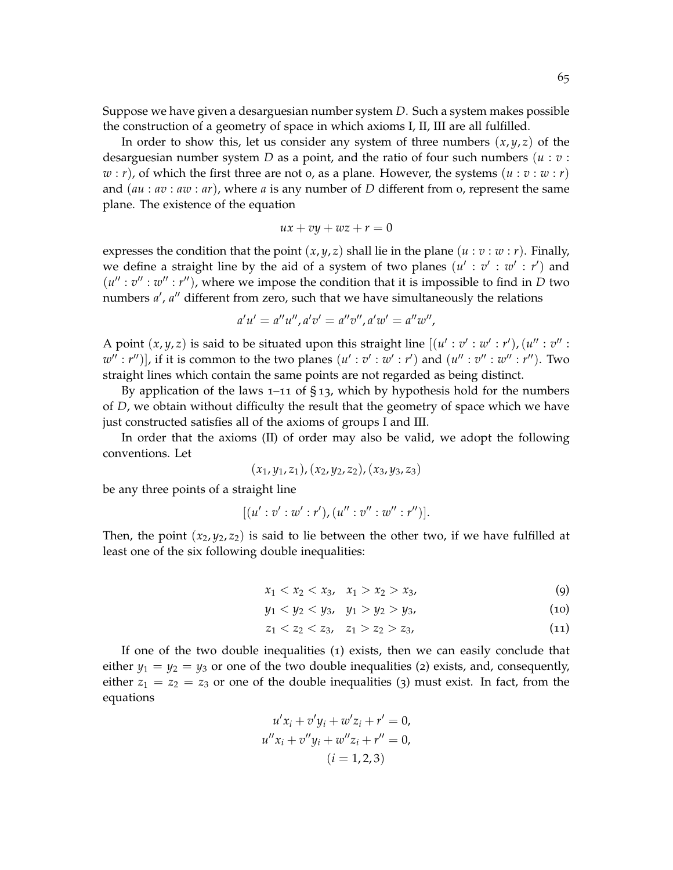Suppose we have given a desarguesian number system *D*. Such a system makes possible the construction of a geometry of space in which axioms I, II, III are all fulfilled.

In order to show this, let us consider any system of three numbers  $(x, y, z)$  of the desarguesian number system *D* as a point, and the ratio of four such numbers (*u* : *v* :  $w : r$ , of which the first three are not o, as a plane. However, the systems  $(u : v : w : r)$ and (*au* : *av* : *aw* : *ar*), where *a* is any number of *D* different from 0, represent the same plane. The existence of the equation

$$
ux + vy + wz + r = 0
$$

expresses the condition that the point  $(x, y, z)$  shall lie in the plane  $(u : v : w : r)$ . Finally, we define a straight line by the aid of a system of two planes  $(u' : v' : w' : r')$  and  $(u'' : v'' : w'' : r'')$ , where we impose the condition that it is impossible to find in *D* two numbers *a'*, *a*<sup>*''*</sup> different from zero, such that we have simultaneously the relations

$$
a'u' = a''u'', a'v' = a''v'', a'w' = a''w'',
$$

A point  $(x, y, z)$  is said to be situated upon this straight line  $[(u': v': w': r')$ ,  $(u'': v'': w'']$  $w'' : r''$ )], if it is common to the two planes  $(u' : v' : w' : r')$  and  $(u'' : v'' : w'' : r'')$ . Two straight lines which contain the same points are not regarded as being distinct.

By application of the laws  $1-11$  of  $\S 13$ , which by hypothesis hold for the numbers of *D*, we obtain without difficulty the result that the geometry of space which we have just constructed satisfies all of the axioms of groups I and III.

In order that the axioms (II) of order may also be valid, we adopt the following conventions. Let

$$
(x_1,y_1,z_1), (x_2,y_2,z_2), (x_3,y_3,z_3)
$$

be any three points of a straight line

$$
[(u': v': w': r'), (u'': v'': w'': r'')].
$$

Then, the point  $(x_2, y_2, z_2)$  is said to lie between the other two, if we have fulfilled at least one of the six following double inequalities:

$$
x_1 < x_2 < x_3, \quad x_1 > x_2 > x_3,\tag{9}
$$

$$
y_1 < y_2 < y_3, \quad y_1 > y_2 > y_3,\tag{10}
$$

$$
z_1 < z_2 < z_3, \quad z_1 > z_2 > z_3,
$$
 (11)

If one of the two double inequalities (1) exists, then we can easily conclude that either  $y_1 = y_2 = y_3$  or one of the two double inequalities (2) exists, and, consequently, either  $z_1 = z_2 = z_3$  or one of the double inequalities (3) must exist. In fact, from the equations

$$
u'x_i + v'y_i + w'z_i + r' = 0,
$$
  
\n
$$
u''x_i + v''y_i + w''z_i + r'' = 0,
$$
  
\n
$$
(i = 1, 2, 3)
$$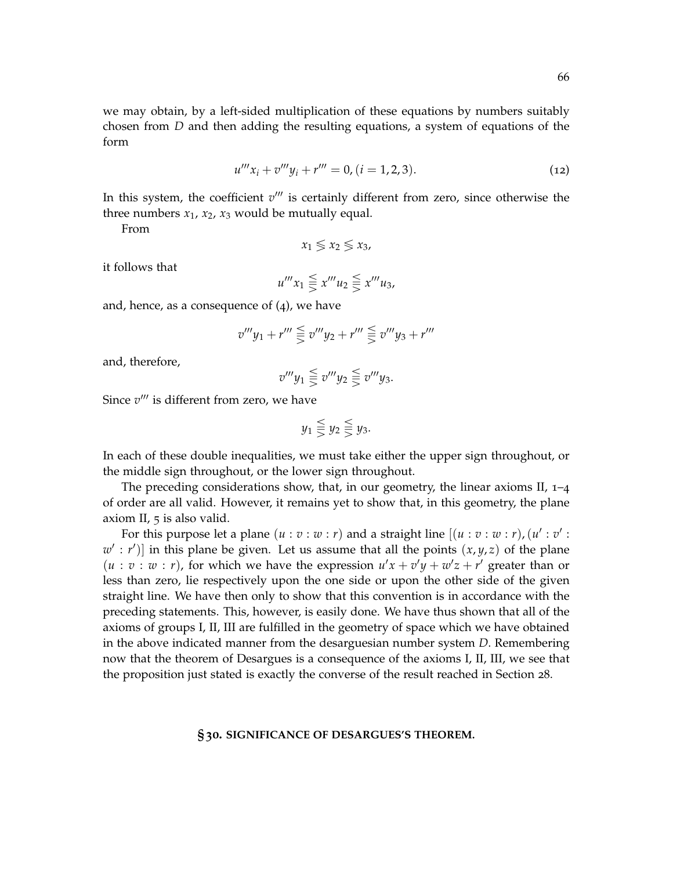we may obtain, by a left-sided multiplication of these equations by numbers suitably chosen from *D* and then adding the resulting equations, a system of equations of the form

$$
u'''x_i + v'''y_i + r''' = 0, (i = 1, 2, 3).
$$
 (12)

In this system, the coefficient  $v'''$  is certainly different from zero, since otherwise the three numbers  $x_1$ ,  $x_2$ ,  $x_3$  would be mutually equal.

From

$$
x_1 \lessgtr x_2 \lessgtr x_3,
$$

it follows that

$$
u'''x_1 \leqq x'''u_2 \leqq x'''u_3,
$$

and, hence, as a consequence of (4), we have

$$
v'''y_1 + r''' \leq v'''y_2 + r''' \leq v'''y_3 + r'''
$$

and, therefore,

$$
v'''y_1 \leq v'''y_2 \leq v'''y_3.
$$

Since  $v'''$  is different from zero, we have

$$
y_1 \lesseqqgtr y_2 \lesseqqgtr y_3.
$$

In each of these double inequalities, we must take either the upper sign throughout, or the middle sign throughout, or the lower sign throughout.

The preceding considerations show, that, in our geometry, the linear axioms  $II$ ,  $1-4$ of order are all valid. However, it remains yet to show that, in this geometry, the plane axiom II, 5 is also valid.

For this purpose let a plane  $(u : v : w : r)$  and a straight line  $[(u : v : w : r)$ ,  $(u' : v' : w$  $w'$ :  $r'$ )] in this plane be given. Let us assume that all the points  $(x, y, z)$  of the plane  $(u : v : w : r)$ , for which we have the expression  $u'x + v'y + w'z + r'$  greater than or less than zero, lie respectively upon the one side or upon the other side of the given straight line. We have then only to show that this convention is in accordance with the preceding statements. This, however, is easily done. We have thus shown that all of the axioms of groups I, II, III are fulfilled in the geometry of space which we have obtained in the above indicated manner from the desarguesian number system *D*. Remembering now that the theorem of Desargues is a consequence of the axioms I, II, III, we see that the proposition just stated is exactly the converse of the result reached in Section 28.

#### **§30. SIGNIFICANCE OF DESARGUES'S THEOREM.**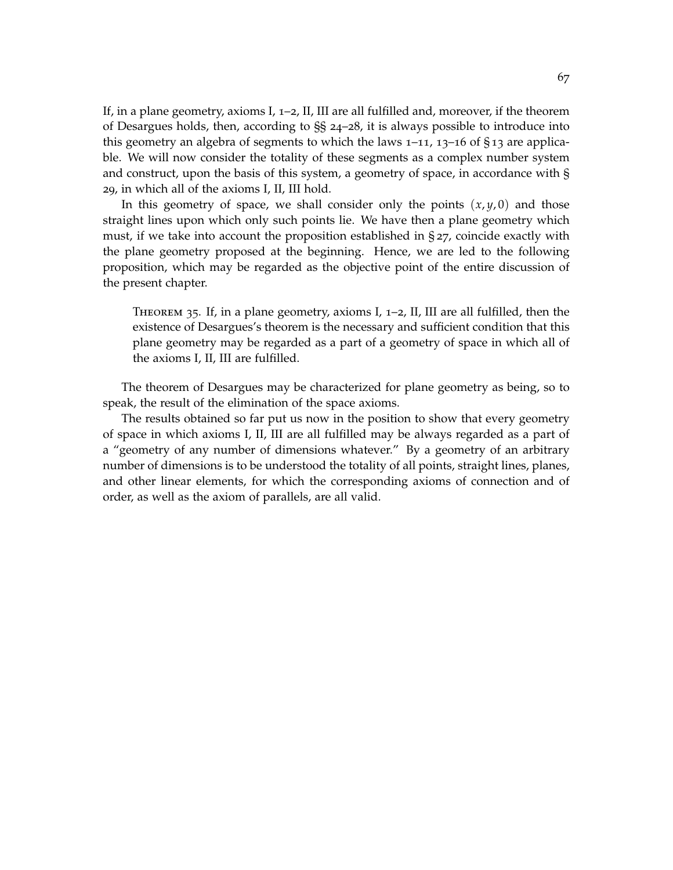If, in a plane geometry, axioms I,  $1-2$ , II, III are all fulfilled and, moreover, if the theorem of Desargues holds, then, according to §§ 24–28, it is always possible to introduce into this geometry an algebra of segments to which the laws  $1-11$ ,  $13-16$  of  $\S$ 13 are applicable. We will now consider the totality of these segments as a complex number system and construct, upon the basis of this system, a geometry of space, in accordance with § 29, in which all of the axioms I, II, III hold.

In this geometry of space, we shall consider only the points  $(x, y, 0)$  and those straight lines upon which only such points lie. We have then a plane geometry which must, if we take into account the proposition established in § 27, coincide exactly with the plane geometry proposed at the beginning. Hence, we are led to the following proposition, which may be regarded as the objective point of the entire discussion of the present chapter.

THEOREM 35. If, in a plane geometry, axioms I,  $1-2$ , II, III are all fulfilled, then the existence of Desargues's theorem is the necessary and sufficient condition that this plane geometry may be regarded as a part of a geometry of space in which all of the axioms I, II, III are fulfilled.

The theorem of Desargues may be characterized for plane geometry as being, so to speak, the result of the elimination of the space axioms.

The results obtained so far put us now in the position to show that every geometry of space in which axioms I, II, III are all fulfilled may be always regarded as a part of a "geometry of any number of dimensions whatever." By a geometry of an arbitrary number of dimensions is to be understood the totality of all points, straight lines, planes, and other linear elements, for which the corresponding axioms of connection and of order, as well as the axiom of parallels, are all valid.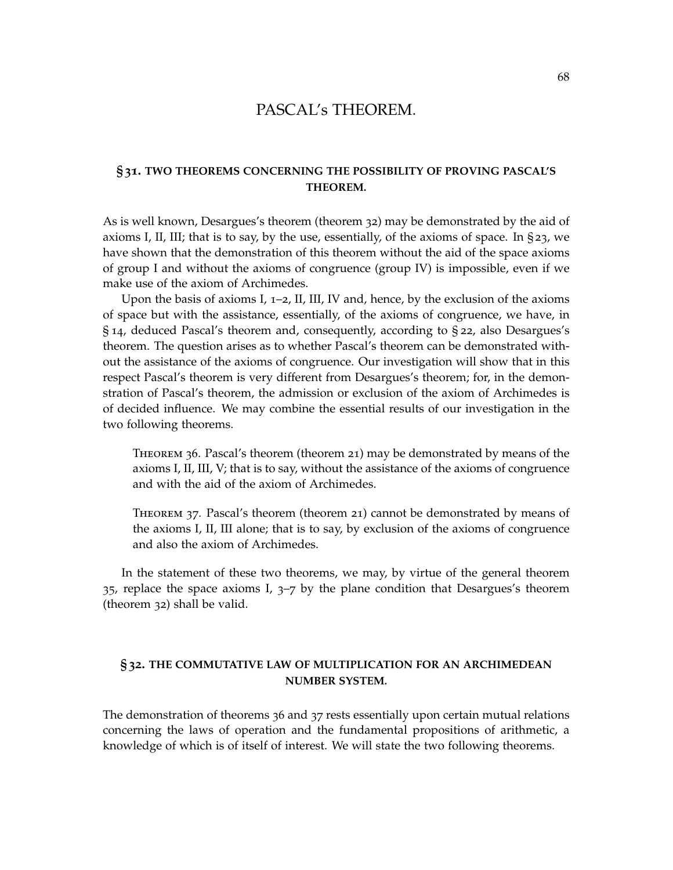# PASCAL's THEOREM.

### **§31. TWO THEOREMS CONCERNING THE POSSIBILITY OF PROVING PASCAL'S THEOREM.**

As is well known, Desargues's theorem (theorem 32) may be demonstrated by the aid of axioms I, II, III; that is to say, by the use, essentially, of the axioms of space. In  $\S$ 23, we have shown that the demonstration of this theorem without the aid of the space axioms of group I and without the axioms of congruence (group IV) is impossible, even if we make use of the axiom of Archimedes.

Upon the basis of axioms I,  $1-2$ , II, III, IV and, hence, by the exclusion of the axioms of space but with the assistance, essentially, of the axioms of congruence, we have, in § 14, deduced Pascal's theorem and, consequently, according to § 22, also Desargues's theorem. The question arises as to whether Pascal's theorem can be demonstrated without the assistance of the axioms of congruence. Our investigation will show that in this respect Pascal's theorem is very different from Desargues's theorem; for, in the demonstration of Pascal's theorem, the admission or exclusion of the axiom of Archimedes is of decided influence. We may combine the essential results of our investigation in the two following theorems.

Theorem 36. Pascal's theorem (theorem 21) may be demonstrated by means of the axioms I, II, III, V; that is to say, without the assistance of the axioms of congruence and with the aid of the axiom of Archimedes.

Theorem 37. Pascal's theorem (theorem 21) cannot be demonstrated by means of the axioms I, II, III alone; that is to say, by exclusion of the axioms of congruence and also the axiom of Archimedes.

In the statement of these two theorems, we may, by virtue of the general theorem 35, replace the space axioms I, 3–7 by the plane condition that Desargues's theorem (theorem 32) shall be valid.

# **§32. THE COMMUTATIVE LAW OF MULTIPLICATION FOR AN ARCHIMEDEAN NUMBER SYSTEM.**

The demonstration of theorems 36 and 37 rests essentially upon certain mutual relations concerning the laws of operation and the fundamental propositions of arithmetic, a knowledge of which is of itself of interest. We will state the two following theorems.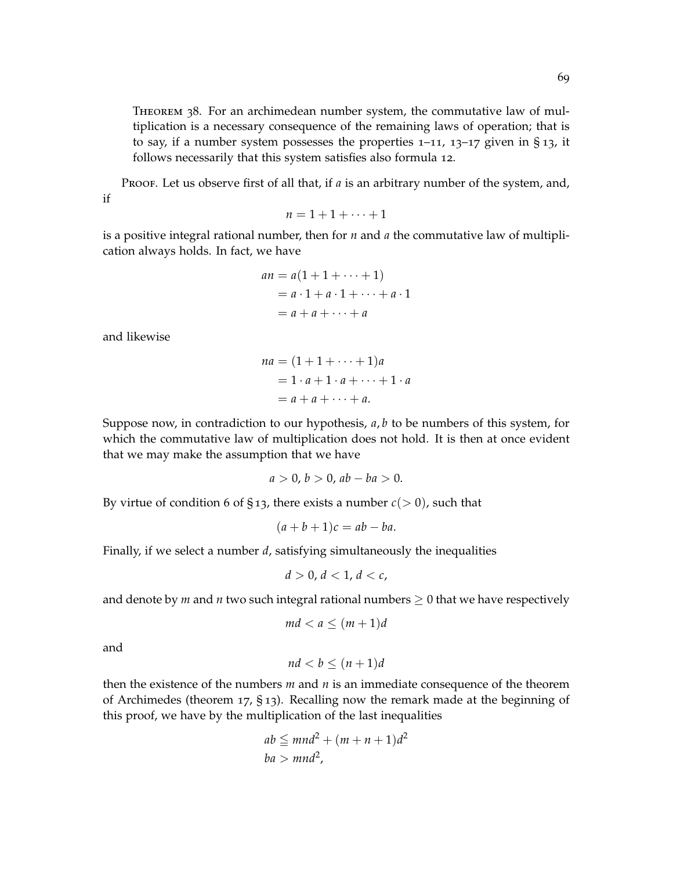Theorem 38. For an archimedean number system, the commutative law of multiplication is a necessary consequence of the remaining laws of operation; that is to say, if a number system possesses the properties  $1-11$ ,  $13-17$  given in § 13, it follows necessarily that this system satisfies also formula 12.

Proof. Let us observe first of all that, if *a* is an arbitrary number of the system, and, if

$$
n=1+1+\cdots+1
$$

is a positive integral rational number, then for *n* and *a* the commutative law of multiplication always holds. In fact, we have

$$
an = a(1+1+\cdots+1)
$$
  
=  $a \cdot 1 + a \cdot 1 + \cdots + a \cdot 1$   
=  $a + a + \cdots + a$ 

and likewise

$$
na = (1+1+\cdots+1)a
$$
  
= 1 \cdot a + 1 \cdot a + \cdots + 1 \cdot a  
= a + a + \cdots + a.

Suppose now, in contradiction to our hypothesis, *a*, *b* to be numbers of this system, for which the commutative law of multiplication does not hold. It is then at once evident that we may make the assumption that we have

$$
a > 0, b > 0, ab - ba > 0.
$$

By virtue of condition 6 of §13, there exists a number  $c(>0)$ , such that

$$
(a+b+1)c = ab - ba.
$$

Finally, if we select a number *d*, satisfying simultaneously the inequalities

$$
d>0, d<1, d
$$

and denote by *m* and *n* two such integral rational numbers  $\geq 0$  that we have respectively

$$
md < a \le (m+1)d
$$

and

*nd*  $$ 

then the existence of the numbers *m* and *n* is an immediate consequence of the theorem of Archimedes (theorem 17, § 13). Recalling now the remark made at the beginning of this proof, we have by the multiplication of the last inequalities

$$
ab \leq mnd^2 + (m+n+1)d^2
$$
  

$$
ba > mnd^2,
$$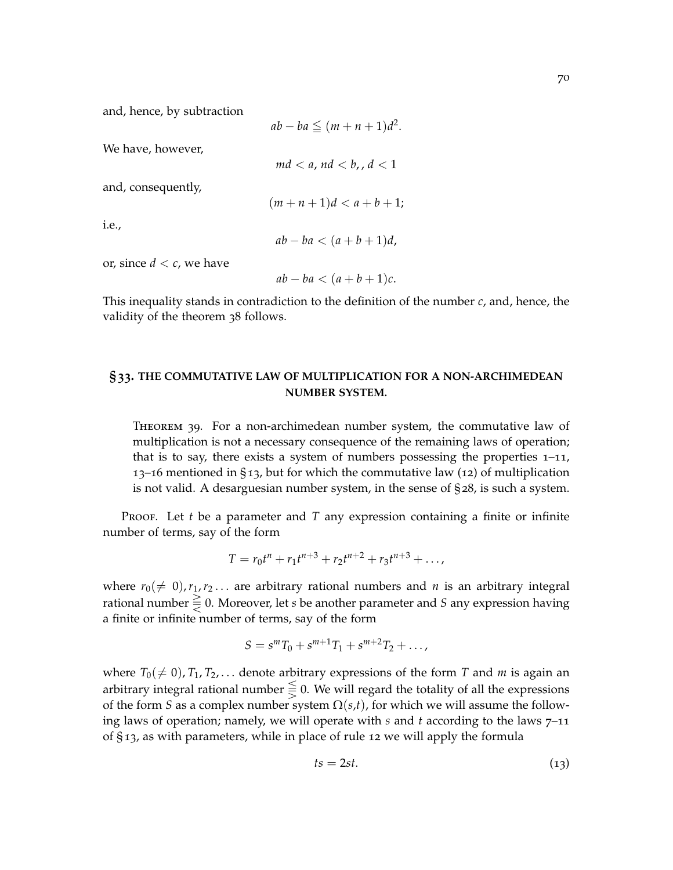and, hence, by subtraction

$$
ab - ba \leq (m+n+1)d^2.
$$

We have, however,

$$
md
$$

and, consequently,

$$
(m+n+1)d < a+b+1;
$$

i.e.,

 $ab - ba < (a + b + 1)d$ ,

or, since *d* < *c*, we have

 $ab - ba < (a + b + 1)c$ .

This inequality stands in contradiction to the definition of the number *c*, and, hence, the validity of the theorem 38 follows.

#### **§33. THE COMMUTATIVE LAW OF MULTIPLICATION FOR A NON-ARCHIMEDEAN NUMBER SYSTEM.**

Theorem 39. For a non-archimedean number system, the commutative law of multiplication is not a necessary consequence of the remaining laws of operation; that is to say, there exists a system of numbers possessing the properties 1–11, 13–16 mentioned in §13, but for which the commutative law (12) of multiplication is not valid. A desarguesian number system, in the sense of §28, is such a system.

Proof. Let *t* be a parameter and *T* any expression containing a finite or infinite number of terms, say of the form

$$
T = r_0 t^n + r_1 t^{n+3} + r_2 t^{n+2} + r_3 t^{n+3} + \dots,
$$

where  $r_0(\neq 0)$ ,  $r_1$ ,  $r_2$ ... are arbitrary rational numbers and *n* is an arbitrary integral rational number  $\geq 0$ . Moreover, let *s* be another parameter and *S* any expression having a finite or infinite number of terms, say of the form

$$
S = s^m T_0 + s^{m+1} T_1 + s^{m+2} T_2 + \dots,
$$

where  $T_0(\neq 0)$ ,  $T_1$ ,  $T_2$ ,... denote arbitrary expressions of the form *T* and *m* is again an arbitrary integral rational number  $\leq 0$ . We will regard the totality of all the expressions of the form *S* as a complex number system  $\Omega(s,t)$ , for which we will assume the following laws of operation; namely, we will operate with *s* and *t* according to the laws 7–11 of §13, as with parameters, while in place of rule 12 we will apply the formula

$$
ts = 2st.\t(13)
$$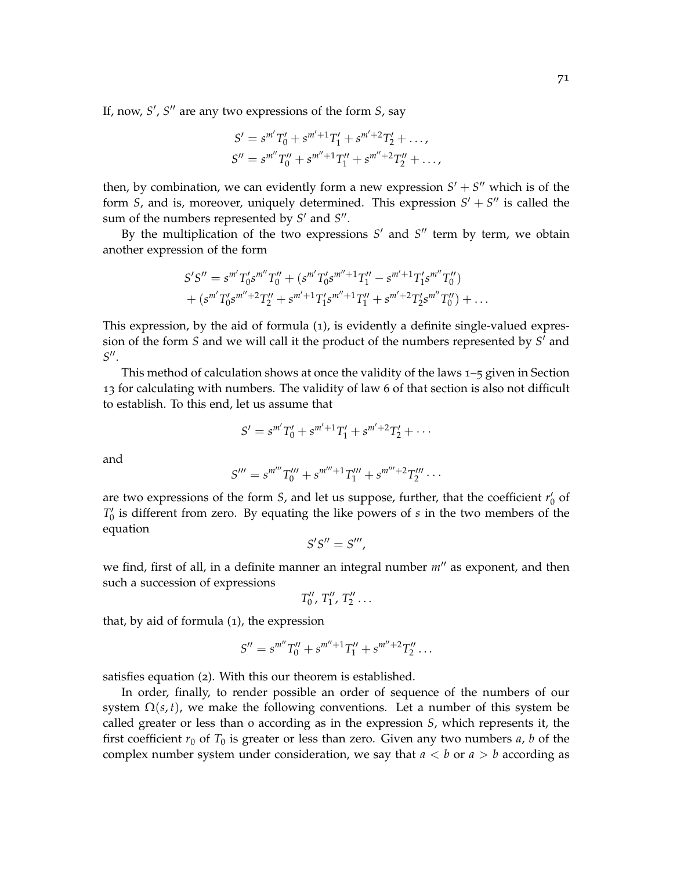If, now, S', S" are any two expressions of the form *S*, say

$$
S' = s^{m'}T'_0 + s^{m'+1}T'_1 + s^{m'+2}T'_2 + \dots,
$$
  
\n
$$
S'' = s^{m''}T''_0 + s^{m''+1}T''_1 + s^{m''+2}T''_2 + \dots,
$$

then, by combination, we can evidently form a new expression  $S' + S''$  which is of the form *S*, and is, moreover, uniquely determined. This expression  $S' + S''$  is called the sum of the numbers represented by S' and S''.

By the multiplication of the two expressions S' and S" term by term, we obtain another expression of the form

$$
S'S'' = s^{m'}T'_0s^{m''}T''_0 + (s^{m'}T'_0s^{m''+1}T''_1 - s^{m'+1}T'_1s^{m''}T''_0)
$$
  
+ 
$$
(s^{m'}T'_0s^{m''+2}T''_2 + s^{m'+1}T'_1s^{m''+1}T''_1 + s^{m'+2}T'_2s^{m''}T''_0) + \dots
$$

This expression, by the aid of formula (1), is evidently a definite single-valued expression of the form *S* and we will call it the product of the numbers represented by *S'* and  $S''$ .

This method of calculation shows at once the validity of the laws 1–5 given in Section 13 for calculating with numbers. The validity of law 6 of that section is also not difficult to establish. To this end, let us assume that

$$
S' = s^{m'}T_0' + s^{m'+1}T_1' + s^{m'+2}T_2' + \cdots
$$

and

$$
S''' = s^{m'''}T_0''' + s^{m''+1}T_1''' + s^{m''+2}T_2''' \cdots
$$

are two expressions of the form  $S$ , and let us suppose, further, that the coefficient  $r'_0$  of *T* 0 0 is different from zero. By equating the like powers of *s* in the two members of the equation

$$
S'S''=S'''
$$

we find, first of all, in a definite manner an integral number  $m<sup>0</sup>$  as exponent, and then such a succession of expressions

$$
T''_0, T''_1, T''_2 \ldots
$$

that, by aid of formula (1), the expression

$$
S'' = s^{m''}T_0'' + s^{m''+1}T_1'' + s^{m''+2}T_2'' \dots
$$

satisfies equation (2). With this our theorem is established.

In order, finally, to render possible an order of sequence of the numbers of our system  $\Omega(s,t)$ , we make the following conventions. Let a number of this system be called greater or less than 0 according as in the expression *S*, which represents it, the first coefficient  $r_0$  of  $T_0$  is greater or less than zero. Given any two numbers  $a$ ,  $b$  of the complex number system under consideration, we say that  $a < b$  or  $a > b$  according as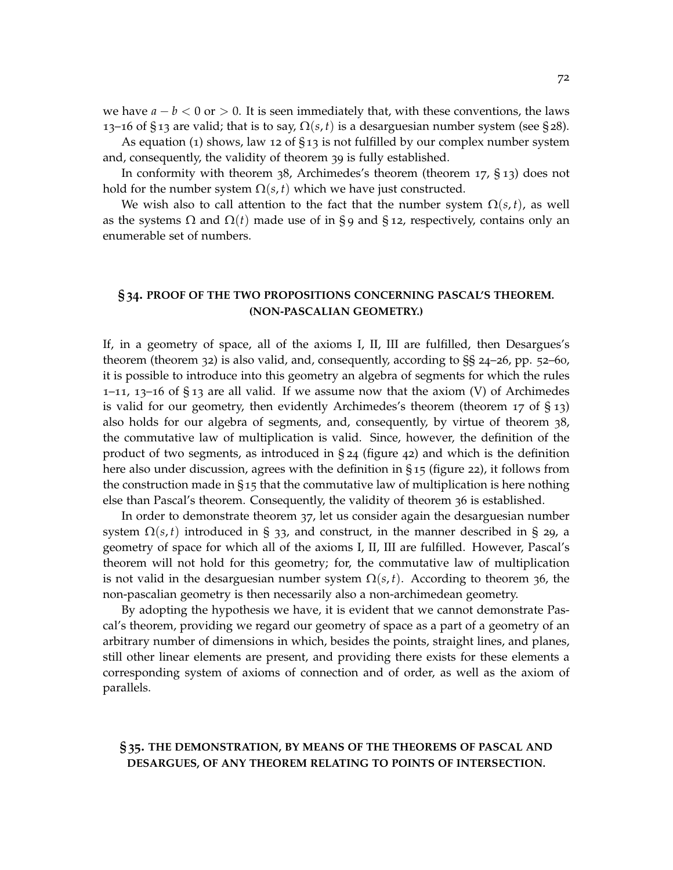we have  $a - b < 0$  or  $> 0$ . It is seen immediately that, with these conventions, the laws 13–16 of §13 are valid; that is to say,  $\Omega(s, t)$  is a desarguesian number system (see §28).

As equation (1) shows, law 12 of  $\S$ 13 is not fulfilled by our complex number system and, consequently, the validity of theorem 39 is fully established.

In conformity with theorem 38, Archimedes's theorem (theorem 17, § 13) does not hold for the number system  $\Omega(s, t)$  which we have just constructed.

We wish also to call attention to the fact that the number system  $\Omega(s,t)$ , as well as the systems  $\Omega$  and  $\Omega(t)$  made use of in §9 and § 12, respectively, contains only an enumerable set of numbers.

# **§34. PROOF OF THE TWO PROPOSITIONS CONCERNING PASCAL'S THEOREM. (NON-PASCALIAN GEOMETRY.)**

If, in a geometry of space, all of the axioms I, II, III are fulfilled, then Desargues's theorem (theorem 32) is also valid, and, consequently, according to §§ 24–26, pp. 52–60, it is possible to introduce into this geometry an algebra of segments for which the rules  $1-11$ ,  $13-16$  of  $\S 13$  are all valid. If we assume now that the axiom (V) of Archimedes is valid for our geometry, then evidently Archimedes's theorem (theorem 17 of  $\S$  13) also holds for our algebra of segments, and, consequently, by virtue of theorem 38, the commutative law of multiplication is valid. Since, however, the definition of the product of two segments, as introduced in  $\S 24$  (figure 42) and which is the definition here also under discussion, agrees with the definition in  $\S$ 15 (figure 22), it follows from the construction made in  $\S$ 15 that the commutative law of multiplication is here nothing else than Pascal's theorem. Consequently, the validity of theorem 36 is established.

In order to demonstrate theorem 37, let us consider again the desarguesian number system  $\Omega(s,t)$  introduced in § 33, and construct, in the manner described in § 29, a geometry of space for which all of the axioms I, II, III are fulfilled. However, Pascal's theorem will not hold for this geometry; for, the commutative law of multiplication is not valid in the desarguesian number system  $\Omega(s,t)$ . According to theorem 36, the non-pascalian geometry is then necessarily also a non-archimedean geometry.

By adopting the hypothesis we have, it is evident that we cannot demonstrate Pascal's theorem, providing we regard our geometry of space as a part of a geometry of an arbitrary number of dimensions in which, besides the points, straight lines, and planes, still other linear elements are present, and providing there exists for these elements a corresponding system of axioms of connection and of order, as well as the axiom of parallels.

#### **§35. THE DEMONSTRATION, BY MEANS OF THE THEOREMS OF PASCAL AND DESARGUES, OF ANY THEOREM RELATING TO POINTS OF INTERSECTION.**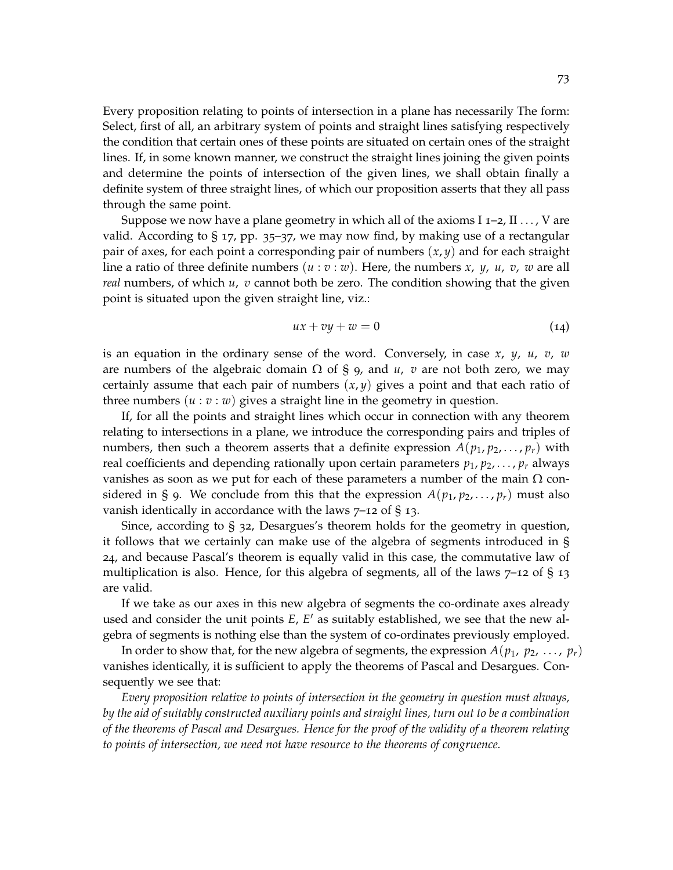Every proposition relating to points of intersection in a plane has necessarily The form: Select, first of all, an arbitrary system of points and straight lines satisfying respectively the condition that certain ones of these points are situated on certain ones of the straight lines. If, in some known manner, we construct the straight lines joining the given points and determine the points of intersection of the given lines, we shall obtain finally a definite system of three straight lines, of which our proposition asserts that they all pass through the same point.

Suppose we now have a plane geometry in which all of the axioms  $I_1\text{-}z, II \ldots, V$  are valid. According to § 17, pp. 35–37, we may now find, by making use of a rectangular pair of axes, for each point a corresponding pair of numbers  $(x, y)$  and for each straight line a ratio of three definite numbers  $(u : v : w)$ . Here, the numbers  $x$ ,  $y$ ,  $u$ ,  $v$ ,  $w$  are all *real* numbers, of which *u*, *v* cannot both be zero. The condition showing that the given point is situated upon the given straight line, viz.:

$$
ux + vy + w = 0 \tag{14}
$$

is an equation in the ordinary sense of the word. Conversely, in case  $x$ ,  $y$ ,  $u$ ,  $v$ ,  $w$ are numbers of the algebraic domain  $\Omega$  of § 9, and *u*, *v* are not both zero, we may certainly assume that each pair of numbers  $(x, y)$  gives a point and that each ratio of three numbers  $(u : v : w)$  gives a straight line in the geometry in question.

If, for all the points and straight lines which occur in connection with any theorem relating to intersections in a plane, we introduce the corresponding pairs and triples of numbers, then such a theorem asserts that a definite expression  $A(p_1, p_2, \ldots, p_r)$  with real coefficients and depending rationally upon certain parameters  $p_1, p_2, \ldots, p_r$  always vanishes as soon as we put for each of these parameters a number of the main  $\Omega$  considered in § 9. We conclude from this that the expression  $A(p_1, p_2, \ldots, p_r)$  must also vanish identically in accordance with the laws  $7-12$  of § 13.

Since, according to § 32, Desargues's theorem holds for the geometry in question, it follows that we certainly can make use of the algebra of segments introduced in § 24, and because Pascal's theorem is equally valid in this case, the commutative law of multiplication is also. Hence, for this algebra of segments, all of the laws  $7-12$  of § 13 are valid.

If we take as our axes in this new algebra of segments the co-ordinate axes already used and consider the unit points *E*, *E'* as suitably established, we see that the new algebra of segments is nothing else than the system of co-ordinates previously employed.

In order to show that, for the new algebra of segments, the expression  $A(p_1, p_2, \ldots, p_r)$ vanishes identically, it is sufficient to apply the theorems of Pascal and Desargues. Consequently we see that:

*Every proposition relative to points of intersection in the geometry in question must always, by the aid of suitably constructed auxiliary points and straight lines, turn out to be a combination of the theorems of Pascal and Desargues. Hence for the proof of the validity of a theorem relating to points of intersection, we need not have resource to the theorems of congruence.*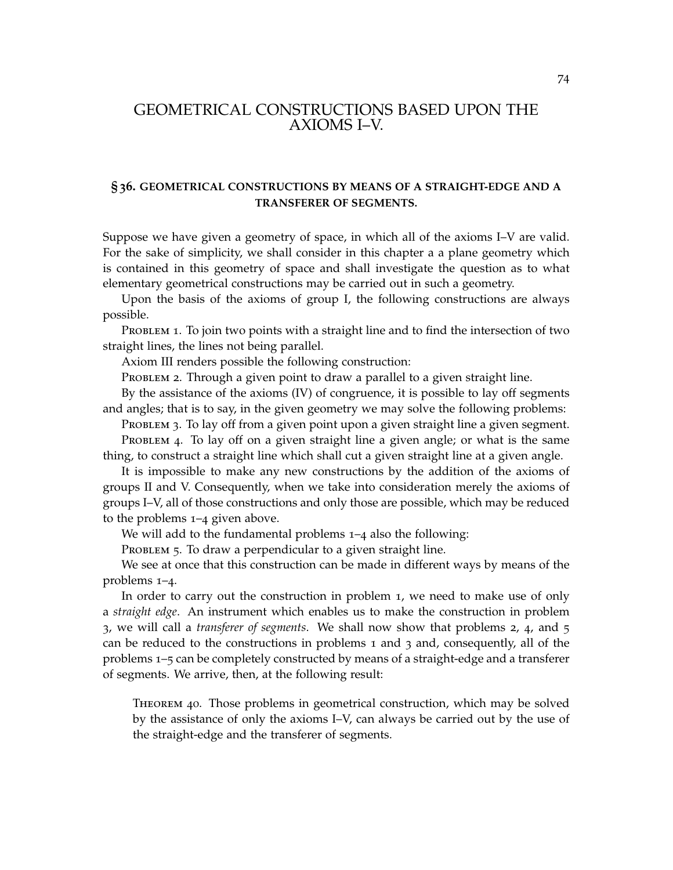# GEOMETRICAL CONSTRUCTIONS BASED UPON THE AXIOMS I–V.

# **§36. GEOMETRICAL CONSTRUCTIONS BY MEANS OF A STRAIGHT-EDGE AND A TRANSFERER OF SEGMENTS.**

Suppose we have given a geometry of space, in which all of the axioms I–V are valid. For the sake of simplicity, we shall consider in this chapter a a plane geometry which is contained in this geometry of space and shall investigate the question as to what elementary geometrical constructions may be carried out in such a geometry.

Upon the basis of the axioms of group I, the following constructions are always possible.

PROBLEM 1. To join two points with a straight line and to find the intersection of two straight lines, the lines not being parallel.

Axiom III renders possible the following construction:

PROBLEM 2. Through a given point to draw a parallel to a given straight line.

By the assistance of the axioms (IV) of congruence, it is possible to lay off segments and angles; that is to say, in the given geometry we may solve the following problems:

PROBLEM 3. To lay off from a given point upon a given straight line a given segment.

PROBLEM 4. To lay off on a given straight line a given angle; or what is the same thing, to construct a straight line which shall cut a given straight line at a given angle.

It is impossible to make any new constructions by the addition of the axioms of groups II and V. Consequently, when we take into consideration merely the axioms of groups I–V, all of those constructions and only those are possible, which may be reduced to the problems 1–4 given above.

We will add to the fundamental problems 1–4 also the following:

PROBLEM 5. To draw a perpendicular to a given straight line.

We see at once that this construction can be made in different ways by means of the problems 1–4.

In order to carry out the construction in problem 1, we need to make use of only a *straight edge*. An instrument which enables us to make the construction in problem 3, we will call a *transferer of segments*. We shall now show that problems 2, 4, and 5 can be reduced to the constructions in problems 1 and 3 and, consequently, all of the problems 1–5 can be completely constructed by means of a straight-edge and a transferer of segments. We arrive, then, at the following result:

Theorem 40. Those problems in geometrical construction, which may be solved by the assistance of only the axioms I–V, can always be carried out by the use of the straight-edge and the transferer of segments.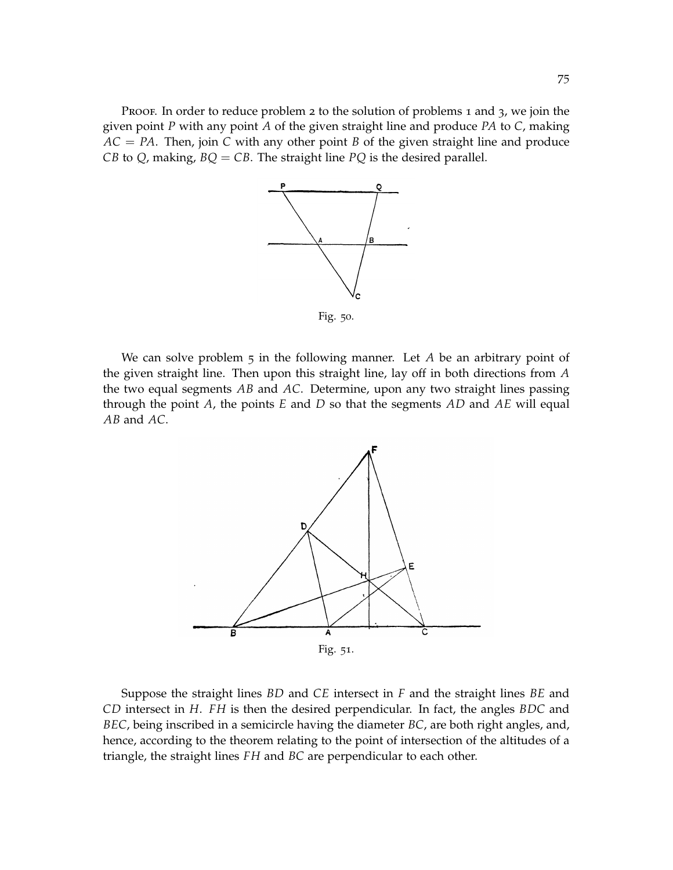Proof. In order to reduce problem 2 to the solution of problems 1 and 3, we join the given point *P* with any point *A* of the given straight line and produce *PA* to *C*, making *AC* = *PA*. Then, join *C* with any other point *B* of the given straight line and produce *CB* to *Q*, making,  $BQ = CB$ . The straight line *PQ* is the desired parallel.



Fig. 50.

We can solve problem 5 in the following manner. Let *A* be an arbitrary point of the given straight line. Then upon this straight line, lay off in both directions from *A* the two equal segments *AB* and *AC*. Determine, upon any two straight lines passing through the point *A*, the points *E* and *D* so that the segments *AD* and *AE* will equal *AB* and *AC*.



Suppose the straight lines *BD* and *CE* intersect in *F* and the straight lines *BE* and *CD* intersect in *H*. *FH* is then the desired perpendicular. In fact, the angles *BDC* and *BEC*, being inscribed in a semicircle having the diameter *BC*, are both right angles, and, hence, according to the theorem relating to the point of intersection of the altitudes of a triangle, the straight lines *FH* and *BC* are perpendicular to each other.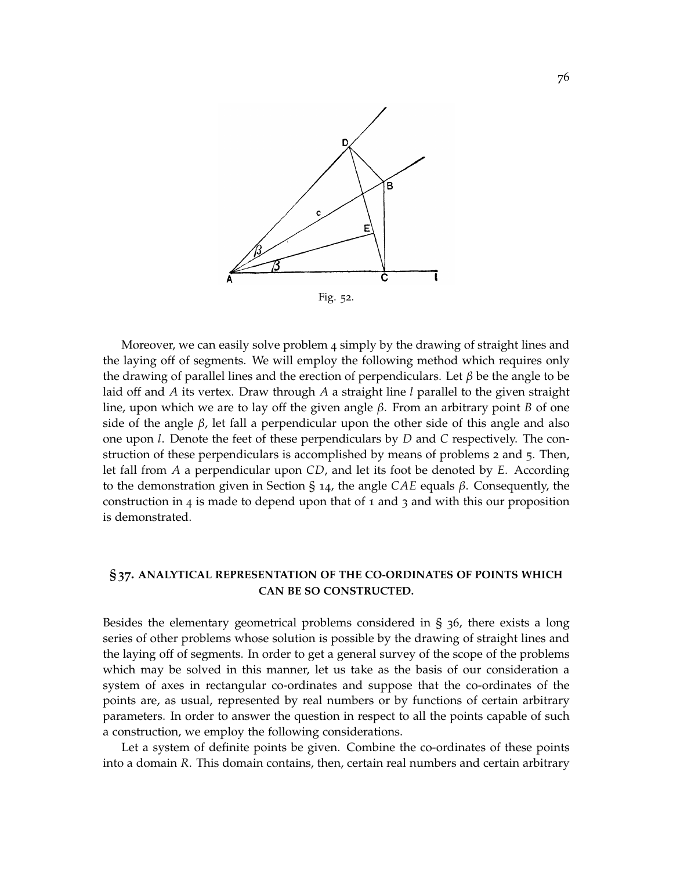

Moreover, we can easily solve problem 4 simply by the drawing of straight lines and the laying off of segments. We will employ the following method which requires only the drawing of parallel lines and the erection of perpendiculars. Let *β* be the angle to be laid off and *A* its vertex. Draw through *A* a straight line *l* parallel to the given straight line, upon which we are to lay off the given angle *β*. From an arbitrary point *B* of one side of the angle  $\beta$ , let fall a perpendicular upon the other side of this angle and also one upon *l*. Denote the feet of these perpendiculars by *D* and *C* respectively. The construction of these perpendiculars is accomplished by means of problems 2 and 5. Then, let fall from *A* a perpendicular upon *CD*, and let its foot be denoted by *E*. According to the demonstration given in Section § 14, the angle *CAE* equals *β*. Consequently, the construction in  $4$  is made to depend upon that of 1 and 3 and with this our proposition is demonstrated.

# **§37. ANALYTICAL REPRESENTATION OF THE CO-ORDINATES OF POINTS WHICH CAN BE SO CONSTRUCTED.**

Besides the elementary geometrical problems considered in § 36, there exists a long series of other problems whose solution is possible by the drawing of straight lines and the laying off of segments. In order to get a general survey of the scope of the problems which may be solved in this manner, let us take as the basis of our consideration a system of axes in rectangular co-ordinates and suppose that the co-ordinates of the points are, as usual, represented by real numbers or by functions of certain arbitrary parameters. In order to answer the question in respect to all the points capable of such a construction, we employ the following considerations.

Let a system of definite points be given. Combine the co-ordinates of these points into a domain *R*. This domain contains, then, certain real numbers and certain arbitrary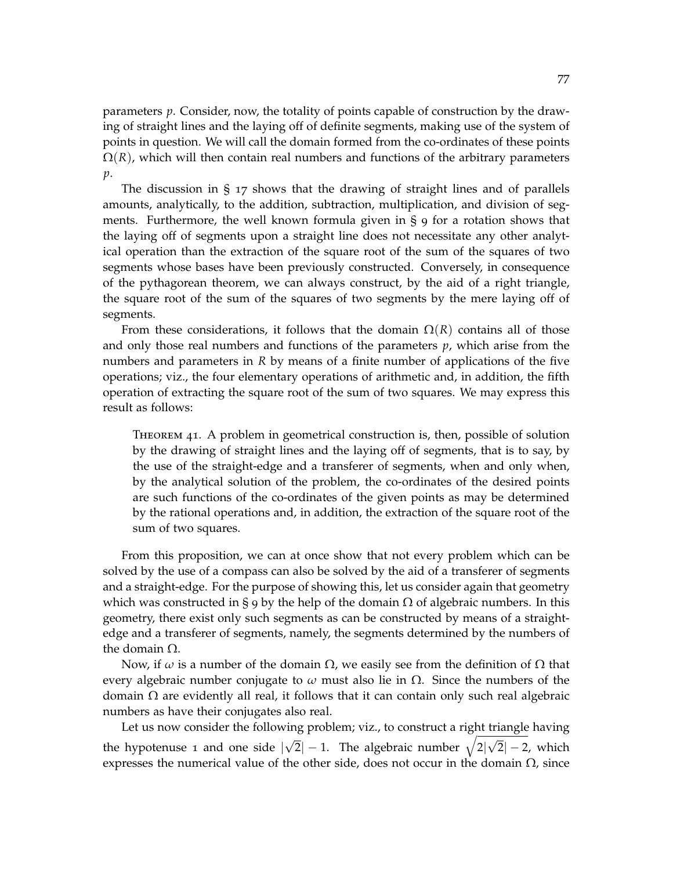parameters *p*. Consider, now, the totality of points capable of construction by the drawing of straight lines and the laying off of definite segments, making use of the system of points in question. We will call the domain formed from the co-ordinates of these points  $\Omega(R)$ , which will then contain real numbers and functions of the arbitrary parameters *p*.

The discussion in § 17 shows that the drawing of straight lines and of parallels amounts, analytically, to the addition, subtraction, multiplication, and division of segments. Furthermore, the well known formula given in § 9 for a rotation shows that the laying off of segments upon a straight line does not necessitate any other analytical operation than the extraction of the square root of the sum of the squares of two segments whose bases have been previously constructed. Conversely, in consequence of the pythagorean theorem, we can always construct, by the aid of a right triangle, the square root of the sum of the squares of two segments by the mere laying off of segments.

From these considerations, it follows that the domain  $\Omega(R)$  contains all of those and only those real numbers and functions of the parameters  $p$ , which arise from the numbers and parameters in *R* by means of a finite number of applications of the five operations; viz., the four elementary operations of arithmetic and, in addition, the fifth operation of extracting the square root of the sum of two squares. We may express this result as follows:

Theorem 41. A problem in geometrical construction is, then, possible of solution by the drawing of straight lines and the laying off of segments, that is to say, by the use of the straight-edge and a transferer of segments, when and only when, by the analytical solution of the problem, the co-ordinates of the desired points are such functions of the co-ordinates of the given points as may be determined by the rational operations and, in addition, the extraction of the square root of the sum of two squares.

From this proposition, we can at once show that not every problem which can be solved by the use of a compass can also be solved by the aid of a transferer of segments and a straight-edge. For the purpose of showing this, let us consider again that geometry which was constructed in § 9 by the help of the domain  $\Omega$  of algebraic numbers. In this geometry, there exist only such segments as can be constructed by means of a straightedge and a transferer of segments, namely, the segments determined by the numbers of the domain Ω.

Now, if  $ω$  is a number of the domain  $Ω$ , we easily see from the definition of  $Ω$  that every algebraic number conjugate to  $\omega$  must also lie in  $\Omega$ . Since the numbers of the domain  $Ω$  are evidently all real, it follows that it can contain only such real algebraic numbers as have their conjugates also real.

Let us now consider the following problem; viz., to construct a right triangle having the hypotenuse 1 and one side  $|\sqrt{2}| - 1$ . The algebraic number  $\sqrt{2|}$ √  $|2| - 2$ , which expresses the numerical value of the other side, does not occur in the domain  $\Omega$ , since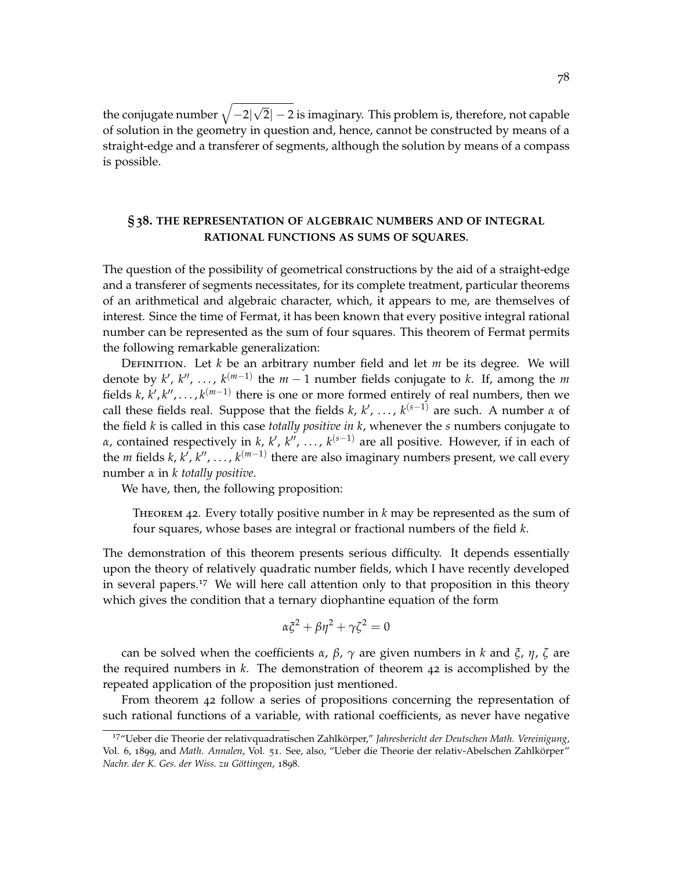the conjugate number  $\sqrt{-2\vert}$ √ 2| − 2 is imaginary. This problem is, therefore, not capable of solution in the geometry in question and, hence, cannot be constructed by means of a straight-edge and a transferer of segments, although the solution by means of a compass is possible.

# **§38. THE REPRESENTATION OF ALGEBRAIC NUMBERS AND OF INTEGRAL RATIONAL FUNCTIONS AS SUMS OF SQUARES.**

The question of the possibility of geometrical constructions by the aid of a straight-edge and a transferer of segments necessitates, for its complete treatment, particular theorems of an arithmetical and algebraic character, which, it appears to me, are themselves of interest. Since the time of Fermat, it has been known that every positive integral rational number can be represented as the sum of four squares. This theorem of Fermat permits the following remarkable generalization:

DEFINITION. Let *k* be an arbitrary number field and let *m* be its degree. We will denote by  $k'$ ,  $k''$ , ...,  $k^{(m-1)}$  the  $m-1$  number fields conjugate to  $k$ . If, among the  $m$ fields  $k$ ,  $k'$ ,  $k''$ , . . . ,  $k^{(m-1)}$  there is one or more formed entirely of real numbers, then we call these fields real. Suppose that the fields *k*, *k* 0 , . . . , *k* (*s*−1) are such. A number *α* of the field *k* is called in this case *totally positive in k*, whenever the *s* numbers conjugate to *α*, contained respectively in *k*, *k'*, *k''*, ..., *k*<sup>(s-1)</sup> are all positive. However, if in each of the *m* fields *k*, *k'*, *k''*, . . . , *k*<sup>(*m*−1)</sup> there are also imaginary numbers present, we call every number *α* in *k totally positive*.

We have, then, the following proposition:

Theorem 42. Every totally positive number in *k* may be represented as the sum of four squares, whose bases are integral or fractional numbers of the field *k*.

The demonstration of this theorem presents serious difficulty. It depends essentially upon the theory of relatively quadratic number fields, which I have recently developed in several papers.<sup>17</sup> We will here call attention only to that proposition in this theory which gives the condition that a ternary diophantine equation of the form

$$
\alpha \xi^2 + \beta \eta^2 + \gamma \xi^2 = 0
$$

can be solved when the coefficients *α*, *β*, *γ* are given numbers in *k* and *ξ*, *η*, *ζ* are the required numbers in *k*. The demonstration of theorem 42 is accomplished by the repeated application of the proposition just mentioned.

From theorem 42 follow a series of propositions concerning the representation of such rational functions of a variable, with rational coefficients, as never have negative

<sup>17</sup>"Ueber die Theorie der relativquadratischen Zahlkörper," *Jahresbericht der Deutschen Math. Vereinigung*, Vol. 6, 1899, and *Math. Annalen*, Vol. 51. See, also, "Ueber die Theorie der relativ-Abelschen Zahlkörper" *Nachr. der K. Ges. der Wiss. zu Göttingen*, 1898.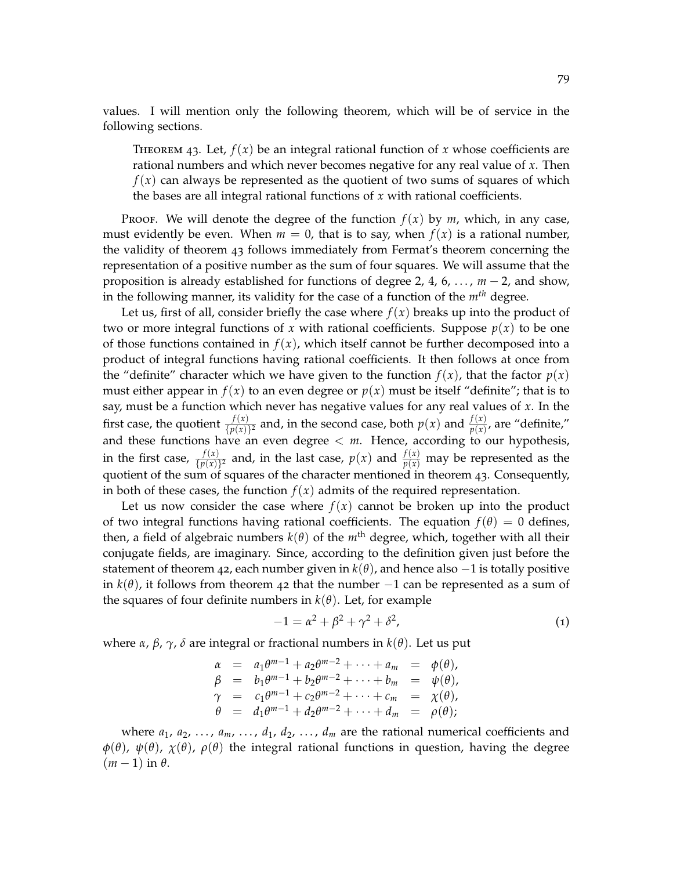values. I will mention only the following theorem, which will be of service in the following sections.

THEOREM 43. Let,  $f(x)$  be an integral rational function of x whose coefficients are rational numbers and which never becomes negative for any real value of *x*. Then  $f(x)$  can always be represented as the quotient of two sums of squares of which the bases are all integral rational functions of *x* with rational coefficients.

Proof. We will denote the degree of the function  $f(x)$  by  $m$ , which, in any case, must evidently be even. When  $m = 0$ , that is to say, when  $f(x)$  is a rational number, the validity of theorem 43 follows immediately from Fermat's theorem concerning the representation of a positive number as the sum of four squares. We will assume that the proposition is already established for functions of degree 2, 4, 6, ...,  $m-2$ , and show, in the following manner, its validity for the case of a function of the *mth* degree.

Let us, first of all, consider briefly the case where  $f(x)$  breaks up into the product of two or more integral functions of *x* with rational coefficients. Suppose  $p(x)$  to be one of those functions contained in  $f(x)$ , which itself cannot be further decomposed into a product of integral functions having rational coefficients. It then follows at once from the "definite" character which we have given to the function  $f(x)$ , that the factor  $p(x)$ must either appear in  $f(x)$  to an even degree or  $p(x)$  must be itself "definite"; that is to say, must be a function which never has negative values for any real values of *x*. In the first case, the quotient  $\frac{f(x)}{\{p(x)\}^2}$  and, in the second case, both  $p(x)$  and  $\frac{f(x)}{p(x)}$ , are "definite," and these functions have an even degree < *m*. Hence, according to our hypothesis, in the first case,  $\frac{f(x)}{\{p(x)\}^2}$  and, in the last case,  $p(x)$  and  $\frac{f(x)}{p(x)}$  may be represented as the quotient of the sum of squares of the character mentioned in theorem 43. Consequently, in both of these cases, the function  $f(x)$  admits of the required representation.

Let us now consider the case where  $f(x)$  cannot be broken up into the product of two integral functions having rational coefficients. The equation  $f(\theta) = 0$  defines, then, a field of algebraic numbers  $k(\theta)$  of the  $m<sup>th</sup>$  degree, which, together with all their conjugate fields, are imaginary. Since, according to the definition given just before the statement of theorem 42, each number given in  $k(\theta)$ , and hence also  $-1$  is totally positive in  $k(\theta)$ , it follows from theorem 42 that the number  $-1$  can be represented as a sum of the squares of four definite numbers in *k*(*θ*). Let, for example

$$
-1 = \alpha^2 + \beta^2 + \gamma^2 + \delta^2,
$$
 (1)

where *α*, *β*, *γ*, *δ* are integral or fractional numbers in *k*(*θ*). Let us put

$$
\alpha = a_1 \theta^{m-1} + a_2 \theta^{m-2} + \cdots + a_m = \phi(\theta), \n\beta = b_1 \theta^{m-1} + b_2 \theta^{m-2} + \cdots + b_m = \psi(\theta), \n\gamma = c_1 \theta^{m-1} + c_2 \theta^{m-2} + \cdots + c_m = \chi(\theta), \n\theta = d_1 \theta^{m-1} + d_2 \theta^{m-2} + \cdots + d_m = \rho(\theta);
$$

where  $a_1, a_2, \ldots, a_m, \ldots, d_1, d_2, \ldots, d_m$  are the rational numerical coefficients and *φ*(*θ*), *ψ*(*θ*), *χ*(*θ*), *ρ*(*θ*) the integral rational functions in question, having the degree  $(m-1)$  in  $\theta$ .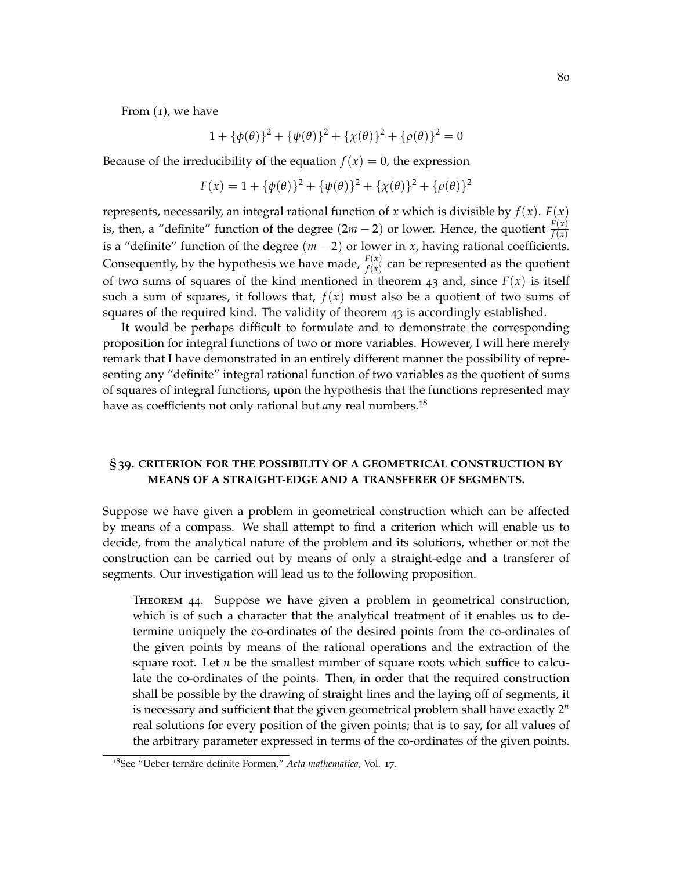From (1), we have

$$
1 + {\phi(\theta)}^2 + {\psi(\theta)}^2 + {\chi(\theta)}^2 + {\rho(\theta)}^2 = 0
$$

Because of the irreducibility of the equation  $f(x) = 0$ , the expression

$$
F(x) = 1 + {\phi(\theta)}^2 + {\psi(\theta)}^2 + {\chi(\theta)}^2 + {\rho(\theta)}^2
$$

represents, necessarily, an integral rational function of *x* which is divisible by  $f(x)$ .  $F(x)$ is, then, a "definite" function of the degree  $(2m - 2)$  or lower. Hence, the quotient  $\frac{F(x)}{f(x)}$ is a "definite" function of the degree  $(m - 2)$  or lower in *x*, having rational coefficients. Consequently, by the hypothesis we have made,  $\frac{F(x)}{f(x)}$  can be represented as the quotient of two sums of squares of the kind mentioned in theorem 43 and, since  $F(x)$  is itself such a sum of squares, it follows that,  $f(x)$  must also be a quotient of two sums of squares of the required kind. The validity of theorem 43 is accordingly established.

It would be perhaps difficult to formulate and to demonstrate the corresponding proposition for integral functions of two or more variables. However, I will here merely remark that I have demonstrated in an entirely different manner the possibility of representing any "definite" integral rational function of two variables as the quotient of sums of squares of integral functions, upon the hypothesis that the functions represented may have as coefficients not only rational but *a*ny real numbers.<sup>18</sup>

# **§39. CRITERION FOR THE POSSIBILITY OF A GEOMETRICAL CONSTRUCTION BY MEANS OF A STRAIGHT-EDGE AND A TRANSFERER OF SEGMENTS.**

Suppose we have given a problem in geometrical construction which can be affected by means of a compass. We shall attempt to find a criterion which will enable us to decide, from the analytical nature of the problem and its solutions, whether or not the construction can be carried out by means of only a straight-edge and a transferer of segments. Our investigation will lead us to the following proposition.

Theorem 44. Suppose we have given a problem in geometrical construction, which is of such a character that the analytical treatment of it enables us to determine uniquely the co-ordinates of the desired points from the co-ordinates of the given points by means of the rational operations and the extraction of the square root. Let *n* be the smallest number of square roots which suffice to calculate the co-ordinates of the points. Then, in order that the required construction shall be possible by the drawing of straight lines and the laying off of segments, it is necessary and sufficient that the given geometrical problem shall have exactly 2*<sup>n</sup>* real solutions for every position of the given points; that is to say, for all values of the arbitrary parameter expressed in terms of the co-ordinates of the given points.

<sup>18</sup>See "Ueber ternäre definite Formen," *Acta mathematica*, Vol. 17.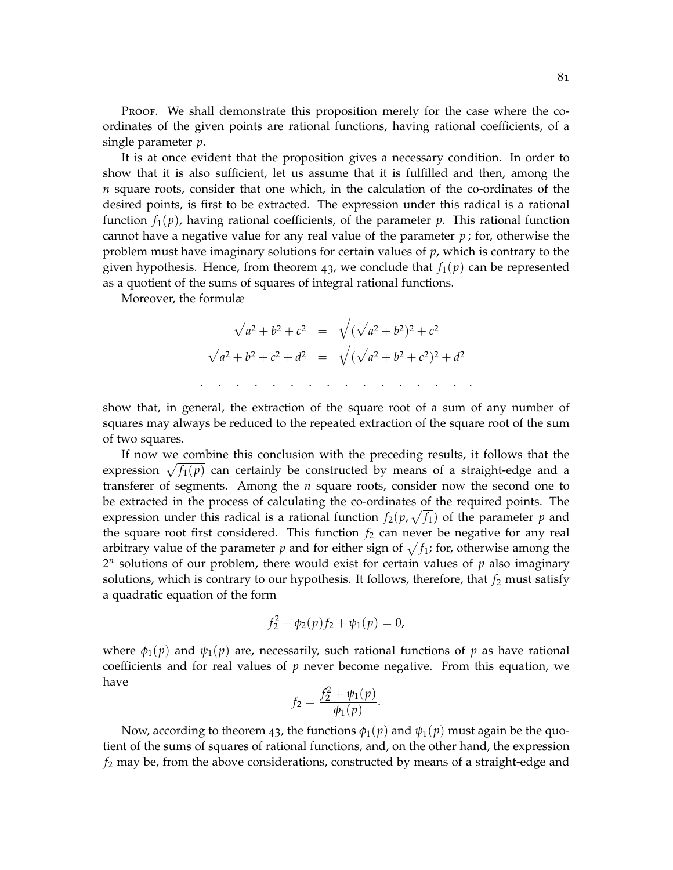Proof. We shall demonstrate this proposition merely for the case where the coordinates of the given points are rational functions, having rational coefficients, of a single parameter *p*.

It is at once evident that the proposition gives a necessary condition. In order to show that it is also sufficient, let us assume that it is fulfilled and then, among the *n* square roots, consider that one which, in the calculation of the co-ordinates of the desired points, is first to be extracted. The expression under this radical is a rational function  $f_1(p)$ , having rational coefficients, of the parameter  $p$ . This rational function cannot have a negative value for any real value of the parameter  $p$ ; for, otherwise the problem must have imaginary solutions for certain values of *p*, which is contrary to the given hypothesis. Hence, from theorem 43, we conclude that  $f_1(p)$  can be represented as a quotient of the sums of squares of integral rational functions.

Moreover, the formulæ

$$
\sqrt{a^2 + b^2 + c^2} = \sqrt{(\sqrt{a^2 + b^2})^2 + c^2}
$$
  

$$
\sqrt{a^2 + b^2 + c^2 + d^2} = \sqrt{(\sqrt{a^2 + b^2 + c^2})^2 + d^2}
$$

show that, in general, the extraction of the square root of a sum of any number of squares may always be reduced to the repeated extraction of the square root of the sum of two squares.

If now we combine this conclusion with the preceding results, it follows that the expression  $\sqrt{f_1(p)}$  can certainly be constructed by means of a straight-edge and a transferer of segments. Among the *n* square roots, consider now the second one to be extracted in the process of calculating the co-ordinates of the required points. The expression under this radical is a rational function  $f_2(p, \sqrt{f_1})$  of the parameter  $p$  and the square root first considered. This function  $f_2$  can never be negative for any real arbitrary value of the parameter  $p$  and for either sign of  $\sqrt{f_1}$ ; for, otherwise among the 2 *n* solutions of our problem, there would exist for certain values of *p* also imaginary solutions, which is contrary to our hypothesis. It follows, therefore, that  $f_2$  must satisfy a quadratic equation of the form

$$
f_2^2 - \phi_2(p)f_2 + \psi_1(p) = 0,
$$

where  $\phi_1(p)$  and  $\psi_1(p)$  are, necessarily, such rational functions of p as have rational coefficients and for real values of  $p$  never become negative. From this equation, we have

$$
f_2 = \frac{f_2^2 + \psi_1(p)}{\phi_1(p)}.
$$

Now, according to theorem 43, the functions  $\phi_1(p)$  and  $\psi_1(p)$  must again be the quotient of the sums of squares of rational functions, and, on the other hand, the expression *f*<sup>2</sup> may be, from the above considerations, constructed by means of a straight-edge and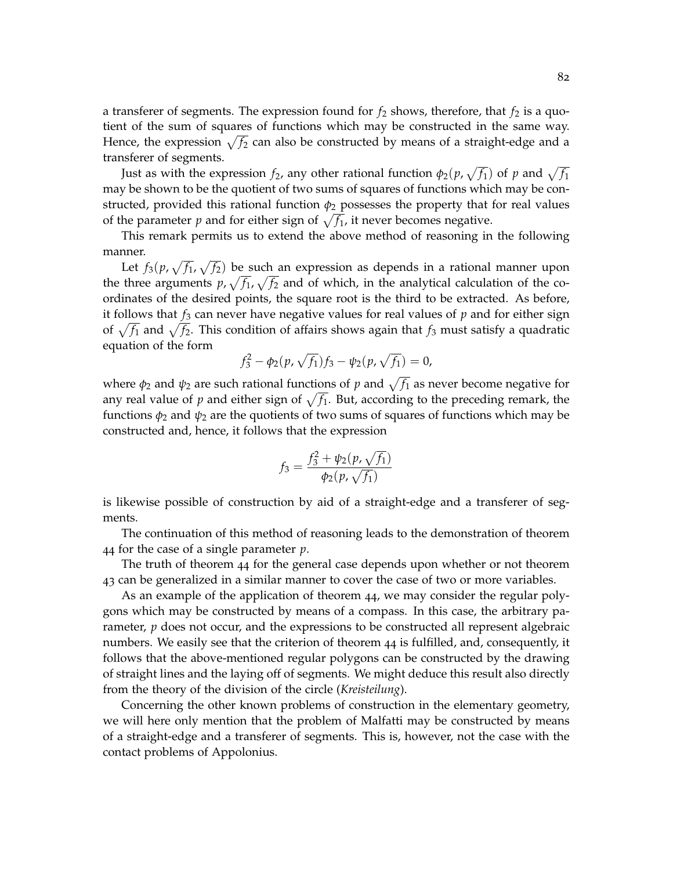a transferer of segments. The expression found for  $f_2$  shows, therefore, that  $f_2$  is a quotient of the sum of squares of functions which may be constructed in the same way. Hence, the expression  $\sqrt{f_2}$  can also be constructed by means of a straight-edge and a transferer of segments.

Just as with the expression  $f_2$ , any other rational function  $\phi_2(p,\sqrt{f_1})$  of  $p$  and  $\sqrt{f_1}$ may be shown to be the quotient of two sums of squares of functions which may be constructed, provided this rational function  $\phi_2$  possesses the property that for real values of the parameter  $p$  and for either sign of  $\sqrt{f_1}$ , it never becomes negative.

This remark permits us to extend the above method of reasoning in the following manner.

Let  $f_3(p,\sqrt{f_1},\sqrt{f_2})$  be such an expression as depends in a rational manner upon the three arguments  $p$ ,  $\sqrt{f_1}$ ,  $\sqrt{f_2}$  and of which, in the analytical calculation of the coordinates of the desired points, the square root is the third to be extracted. As before, it follows that  $f_3$  can never have negative values for real values of  $p$  and for either sign of  $\sqrt{f_1}$  and  $\sqrt{f_2}$ . This condition of affairs shows again that  $f_3$  must satisfy a quadratic equation of the form

$$
f_3^2 - \phi_2(p, \sqrt{f_1})f_3 - \psi_2(p, \sqrt{f_1}) = 0,
$$

where  $\phi_2$  and  $\psi_2$  are such rational functions of  $p$  and  $\sqrt{f_1}$  as never become negative for any real value of  $p$  and either sign of  $\sqrt{f_1}$ . But, according to the preceding remark, the functions *φ*<sup>2</sup> and *ψ*<sup>2</sup> are the quotients of two sums of squares of functions which may be constructed and, hence, it follows that the expression

$$
f_3 = \frac{f_3^2 + \psi_2(p, \sqrt{f_1})}{\phi_2(p, \sqrt{f_1})}
$$

is likewise possible of construction by aid of a straight-edge and a transferer of segments.

The continuation of this method of reasoning leads to the demonstration of theorem 44 for the case of a single parameter *p*.

The truth of theorem 44 for the general case depends upon whether or not theorem 43 can be generalized in a similar manner to cover the case of two or more variables.

As an example of the application of theorem 44, we may consider the regular polygons which may be constructed by means of a compass. In this case, the arbitrary parameter, *p* does not occur, and the expressions to be constructed all represent algebraic numbers. We easily see that the criterion of theorem 44 is fulfilled, and, consequently, it follows that the above-mentioned regular polygons can be constructed by the drawing of straight lines and the laying off of segments. We might deduce this result also directly from the theory of the division of the circle (*Kreisteilung*).

Concerning the other known problems of construction in the elementary geometry, we will here only mention that the problem of Malfatti may be constructed by means of a straight-edge and a transferer of segments. This is, however, not the case with the contact problems of Appolonius.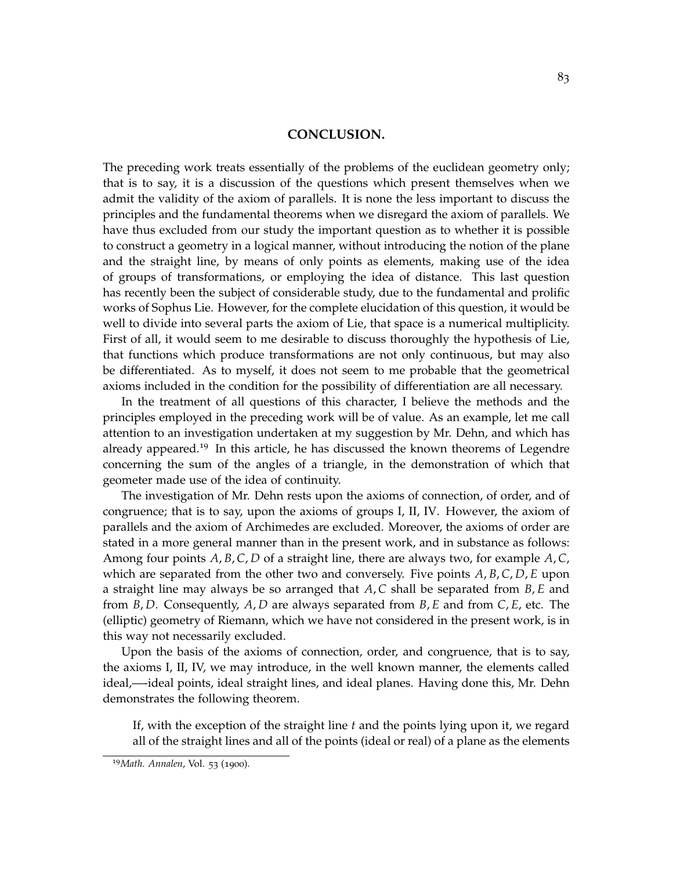#### **CONCLUSION.**

The preceding work treats essentially of the problems of the euclidean geometry only; that is to say, it is a discussion of the questions which present themselves when we admit the validity of the axiom of parallels. It is none the less important to discuss the principles and the fundamental theorems when we disregard the axiom of parallels. We have thus excluded from our study the important question as to whether it is possible to construct a geometry in a logical manner, without introducing the notion of the plane and the straight line, by means of only points as elements, making use of the idea of groups of transformations, or employing the idea of distance. This last question has recently been the subject of considerable study, due to the fundamental and prolific works of Sophus Lie. However, for the complete elucidation of this question, it would be well to divide into several parts the axiom of Lie, that space is a numerical multiplicity. First of all, it would seem to me desirable to discuss thoroughly the hypothesis of Lie, that functions which produce transformations are not only continuous, but may also be differentiated. As to myself, it does not seem to me probable that the geometrical axioms included in the condition for the possibility of differentiation are all necessary.

In the treatment of all questions of this character, I believe the methods and the principles employed in the preceding work will be of value. As an example, let me call attention to an investigation undertaken at my suggestion by Mr. Dehn, and which has already appeared.<sup>19</sup> In this article, he has discussed the known theorems of Legendre concerning the sum of the angles of a triangle, in the demonstration of which that geometer made use of the idea of continuity.

The investigation of Mr. Dehn rests upon the axioms of connection, of order, and of congruence; that is to say, upon the axioms of groups I, II, IV. However, the axiom of parallels and the axiom of Archimedes are excluded. Moreover, the axioms of order are stated in a more general manner than in the present work, and in substance as follows: Among four points *A*, *B*, *C*, *D* of a straight line, there are always two, for example *A*, *C*, which are separated from the other two and conversely. Five points *A*, *B*, *C*, *D*, *E* upon a straight line may always be so arranged that *A*, *C* shall be separated from *B*, *E* and from *B*, *D*. Consequently, *A*, *D* are always separated from *B*, *E* and from *C*, *E*, etc. The (elliptic) geometry of Riemann, which we have not considered in the present work, is in this way not necessarily excluded.

Upon the basis of the axioms of connection, order, and congruence, that is to say, the axioms I, II, IV, we may introduce, in the well known manner, the elements called ideal,—-ideal points, ideal straight lines, and ideal planes. Having done this, Mr. Dehn demonstrates the following theorem.

If, with the exception of the straight line *t* and the points lying upon it, we regard all of the straight lines and all of the points (ideal or real) of a plane as the elements

<sup>19</sup>*Math. Annalen*, Vol. 53 (1900).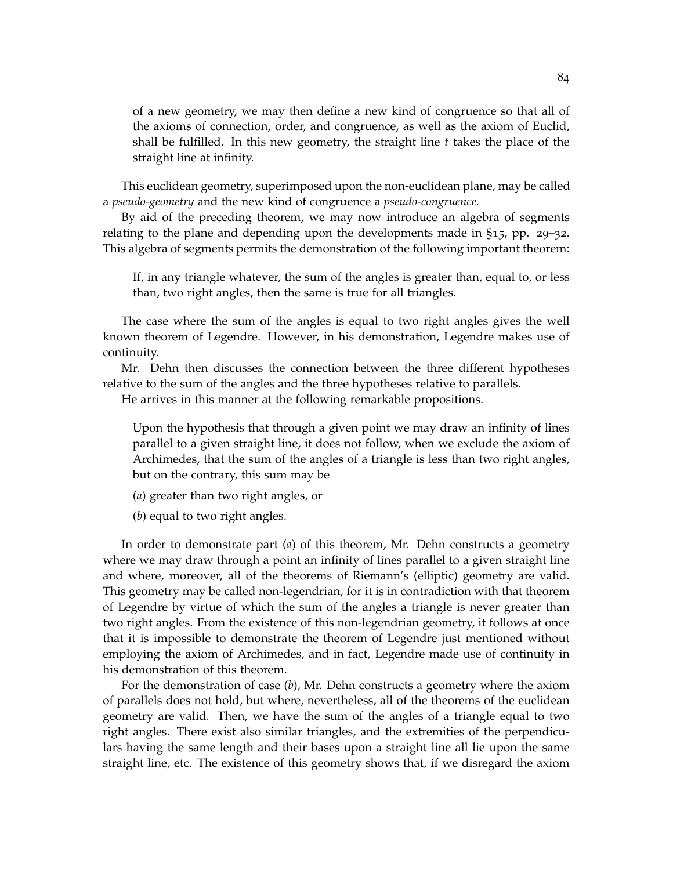of a new geometry, we may then define a new kind of congruence so that all of the axioms of connection, order, and congruence, as well as the axiom of Euclid, shall be fulfilled. In this new geometry, the straight line *t* takes the place of the straight line at infinity.

This euclidean geometry, superimposed upon the non-euclidean plane, may be called a *pseudo-geometry* and the new kind of congruence a *pseudo-congruence.*

By aid of the preceding theorem, we may now introduce an algebra of segments relating to the plane and depending upon the developments made in §15, pp. 29–32. This algebra of segments permits the demonstration of the following important theorem:

If, in any triangle whatever, the sum of the angles is greater than, equal to, or less than, two right angles, then the same is true for all triangles.

The case where the sum of the angles is equal to two right angles gives the well known theorem of Legendre. However, in his demonstration, Legendre makes use of continuity.

Mr. Dehn then discusses the connection between the three different hypotheses relative to the sum of the angles and the three hypotheses relative to parallels.

He arrives in this manner at the following remarkable propositions.

Upon the hypothesis that through a given point we may draw an infinity of lines parallel to a given straight line, it does not follow, when we exclude the axiom of Archimedes, that the sum of the angles of a triangle is less than two right angles, but on the contrary, this sum may be

(*a*) greater than two right angles, or

(*b*) equal to two right angles.

In order to demonstrate part (*a*) of this theorem, Mr. Dehn constructs a geometry where we may draw through a point an infinity of lines parallel to a given straight line and where, moreover, all of the theorems of Riemann's (elliptic) geometry are valid. This geometry may be called non-legendrian, for it is in contradiction with that theorem of Legendre by virtue of which the sum of the angles a triangle is never greater than two right angles. From the existence of this non-legendrian geometry, it follows at once that it is impossible to demonstrate the theorem of Legendre just mentioned without employing the axiom of Archimedes, and in fact, Legendre made use of continuity in his demonstration of this theorem.

For the demonstration of case (*b*), Mr. Dehn constructs a geometry where the axiom of parallels does not hold, but where, nevertheless, all of the theorems of the euclidean geometry are valid. Then, we have the sum of the angles of a triangle equal to two right angles. There exist also similar triangles, and the extremities of the perpendiculars having the same length and their bases upon a straight line all lie upon the same straight line, etc. The existence of this geometry shows that, if we disregard the axiom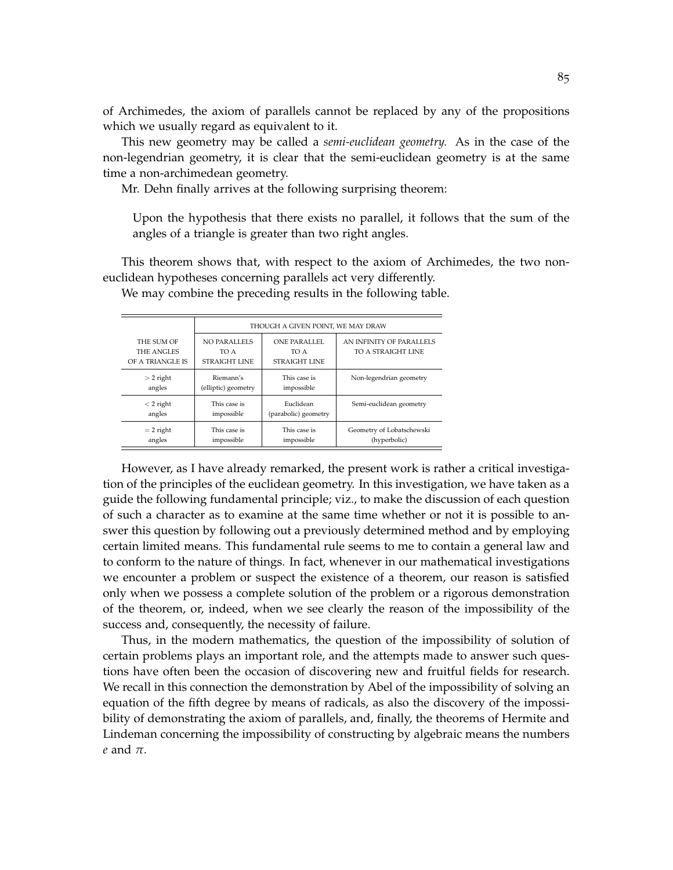of Archimedes, the axiom of parallels cannot be replaced by any of the propositions which we usually regard as equivalent to it.

This new geometry may be called a *semi-euclidean geometry.* As in the case of the non-legendrian geometry, it is clear that the semi-euclidean geometry is at the same time a non-archimedean geometry.

Mr. Dehn finally arrives at the following surprising theorem:

Upon the hypothesis that there exists no parallel, it follows that the sum of the angles of a triangle is greater than two right angles.

This theorem shows that, with respect to the axiom of Archimedes, the two noneuclidean hypotheses concerning parallels act very differently.

|                                              | THOUGH A GIVEN POINT, WE MAY DRAW            |                                              |                                                |
|----------------------------------------------|----------------------------------------------|----------------------------------------------|------------------------------------------------|
| THE SUM OF<br>THE ANGLES<br>OF A TRIANGLE IS | NO PARALLELS<br>TO A<br><b>STRAIGHT LINE</b> | ONE PARALLEL<br>TO A<br><b>STRAIGHT LINE</b> | AN INFINITY OF PARALLELS<br>TO A STRAIGHT LINE |
| $> 2$ right                                  | Riemann's                                    | This case is                                 | Non-legendrian geometry                        |
| angles                                       | (elliptic) geometry                          | impossible                                   |                                                |
| $<$ 2 right                                  | This case is                                 | Euclidean                                    | Semi-euclidean geometry                        |
| angles                                       | impossible                                   | (parabolic) geometry                         |                                                |
| $= 2$ right                                  | This case is                                 | This case is                                 | Geometry of Lobatschewski                      |
| angles                                       | impossible                                   | impossible                                   | (hyperbolic)                                   |

We may combine the preceding results in the following table.

However, as I have already remarked, the present work is rather a critical investigation of the principles of the euclidean geometry. In this investigation, we have taken as a guide the following fundamental principle; viz., to make the discussion of each question of such a character as to examine at the same time whether or not it is possible to answer this question by following out a previously determined method and by employing certain limited means. This fundamental rule seems to me to contain a general law and to conform to the nature of things. In fact, whenever in our mathematical investigations we encounter a problem or suspect the existence of a theorem, our reason is satisfied only when we possess a complete solution of the problem or a rigorous demonstration of the theorem, or, indeed, when we see clearly the reason of the impossibility of the success and, consequently, the necessity of failure.

Thus, in the modern mathematics, the question of the impossibility of solution of certain problems plays an important role, and the attempts made to answer such questions have often been the occasion of discovering new and fruitful fields for research. We recall in this connection the demonstration by Abel of the impossibility of solving an equation of the fifth degree by means of radicals, as also the discovery of the impossibility of demonstrating the axiom of parallels, and, finally, the theorems of Hermite and Lindeman concerning the impossibility of constructing by algebraic means the numbers *e* and *π*.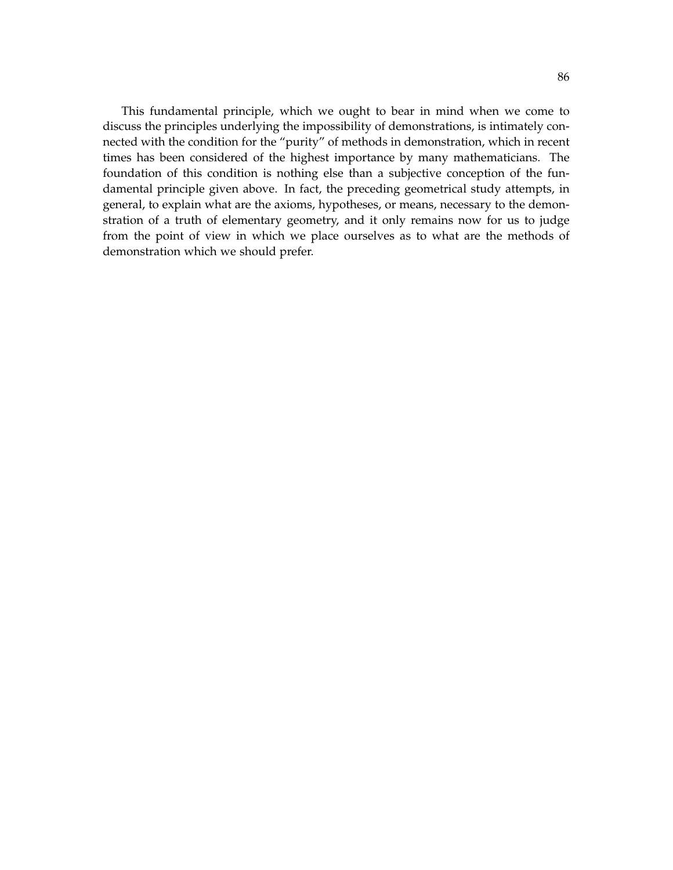This fundamental principle, which we ought to bear in mind when we come to discuss the principles underlying the impossibility of demonstrations, is intimately connected with the condition for the "purity" of methods in demonstration, which in recent times has been considered of the highest importance by many mathematicians. The foundation of this condition is nothing else than a subjective conception of the fundamental principle given above. In fact, the preceding geometrical study attempts, in general, to explain what are the axioms, hypotheses, or means, necessary to the demonstration of a truth of elementary geometry, and it only remains now for us to judge from the point of view in which we place ourselves as to what are the methods of demonstration which we should prefer.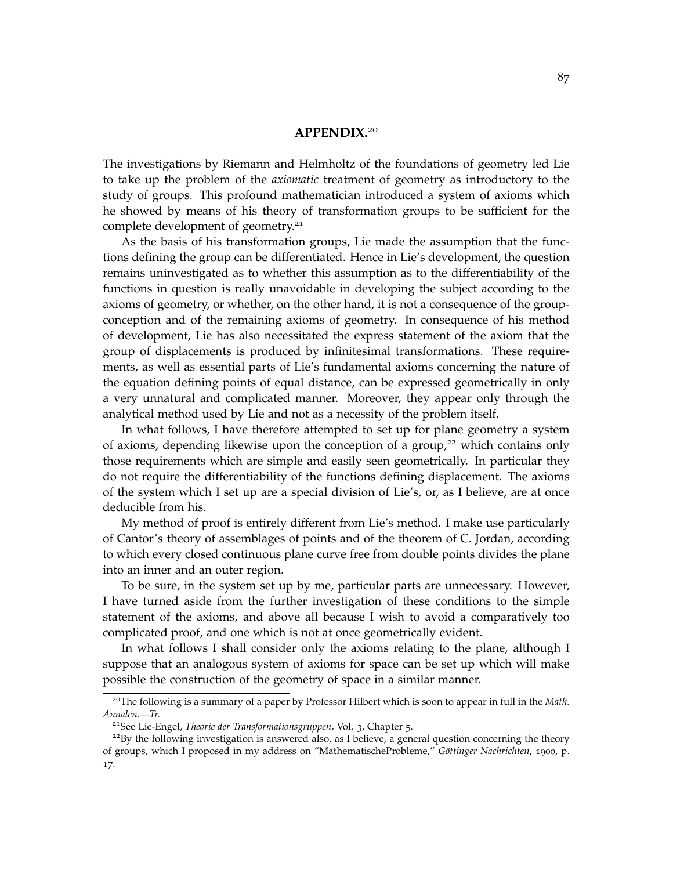#### **APPENDIX.**<sup>20</sup>

The investigations by Riemann and Helmholtz of the foundations of geometry led Lie to take up the problem of the *axiomatic* treatment of geometry as introductory to the study of groups. This profound mathematician introduced a system of axioms which he showed by means of his theory of transformation groups to be sufficient for the complete development of geometry.<sup>21</sup>

As the basis of his transformation groups, Lie made the assumption that the functions defining the group can be differentiated. Hence in Lie's development, the question remains uninvestigated as to whether this assumption as to the differentiability of the functions in question is really unavoidable in developing the subject according to the axioms of geometry, or whether, on the other hand, it is not a consequence of the groupconception and of the remaining axioms of geometry. In consequence of his method of development, Lie has also necessitated the express statement of the axiom that the group of displacements is produced by infinitesimal transformations. These requirements, as well as essential parts of Lie's fundamental axioms concerning the nature of the equation defining points of equal distance, can be expressed geometrically in only a very unnatural and complicated manner. Moreover, they appear only through the analytical method used by Lie and not as a necessity of the problem itself.

In what follows, I have therefore attempted to set up for plane geometry a system of axioms, depending likewise upon the conception of a group, $2<sup>2</sup>$  which contains only those requirements which are simple and easily seen geometrically. In particular they do not require the differentiability of the functions defining displacement. The axioms of the system which I set up are a special division of Lie's, or, as I believe, are at once deducible from his.

My method of proof is entirely different from Lie's method. I make use particularly of Cantor's theory of assemblages of points and of the theorem of C. Jordan, according to which every closed continuous plane curve free from double points divides the plane into an inner and an outer region.

To be sure, in the system set up by me, particular parts are unnecessary. However, I have turned aside from the further investigation of these conditions to the simple statement of the axioms, and above all because I wish to avoid a comparatively too complicated proof, and one which is not at once geometrically evident.

In what follows I shall consider only the axioms relating to the plane, although I suppose that an analogous system of axioms for space can be set up which will make possible the construction of the geometry of space in a similar manner.

<sup>20</sup>The following is a summary of a paper by Professor Hilbert which is soon to appear in full in the *Math. Annalen.—Tr.*

<sup>21</sup>See Lie-Engel, *Theorie der Transformationsgruppen*, Vol. 3, Chapter 5.

<sup>&</sup>lt;sup>22</sup>By the following investigation is answered also, as I believe, a general question concerning the theory of groups, which I proposed in my address on "MathematischeProbleme," *Göttinger Nachrichten*, 1900, p. 17.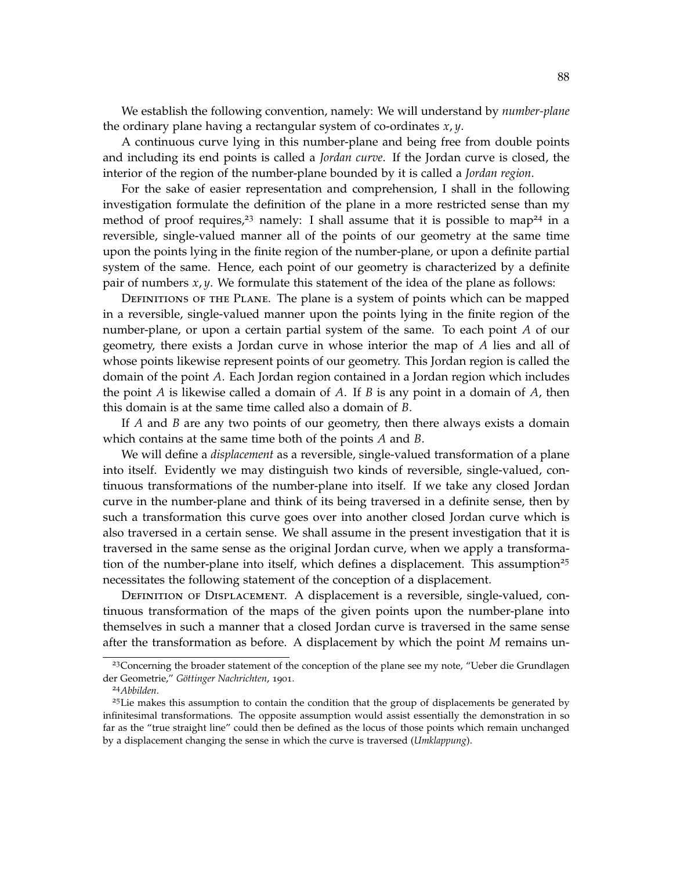We establish the following convention, namely: We will understand by *number-plane* the ordinary plane having a rectangular system of co-ordinates *x*, *y*.

A continuous curve lying in this number-plane and being free from double points and including its end points is called a *Jordan curve*. If the Jordan curve is closed, the interior of the region of the number-plane bounded by it is called a *Jordan region*.

For the sake of easier representation and comprehension, I shall in the following investigation formulate the definition of the plane in a more restricted sense than my method of proof requires,<sup>23</sup> namely: I shall assume that it is possible to map<sup>24</sup> in a reversible, single-valued manner all of the points of our geometry at the same time upon the points lying in the finite region of the number-plane, or upon a definite partial system of the same. Hence, each point of our geometry is characterized by a definite pair of numbers *x*, *y*. We formulate this statement of the idea of the plane as follows:

Definitions of the Plane. The plane is a system of points which can be mapped in a reversible, single-valued manner upon the points lying in the finite region of the number-plane, or upon a certain partial system of the same. To each point *A* of our geometry, there exists a Jordan curve in whose interior the map of *A* lies and all of whose points likewise represent points of our geometry. This Jordan region is called the domain of the point *A*. Each Jordan region contained in a Jordan region which includes the point *A* is likewise called a domain of *A*. If *B* is any point in a domain of *A*, then this domain is at the same time called also a domain of *B*.

If *A* and *B* are any two points of our geometry, then there always exists a domain which contains at the same time both of the points *A* and *B*.

We will define a *displacement* as a reversible, single-valued transformation of a plane into itself. Evidently we may distinguish two kinds of reversible, single-valued, continuous transformations of the number-plane into itself. If we take any closed Jordan curve in the number-plane and think of its being traversed in a definite sense, then by such a transformation this curve goes over into another closed Jordan curve which is also traversed in a certain sense. We shall assume in the present investigation that it is traversed in the same sense as the original Jordan curve, when we apply a transformation of the number-plane into itself, which defines a displacement. This assumption<sup>25</sup> necessitates the following statement of the conception of a displacement.

Definition of Displacement. A displacement is a reversible, single-valued, continuous transformation of the maps of the given points upon the number-plane into themselves in such a manner that a closed Jordan curve is traversed in the same sense after the transformation as before. A displacement by which the point *M* remains un-

<sup>&</sup>lt;sup>23</sup>Concerning the broader statement of the conception of the plane see my note, "Ueber die Grundlagen der Geometrie," *Göttinger Nachrichten*, 1901.

<sup>24</sup>*Abbilden*.

 $25$ Lie makes this assumption to contain the condition that the group of displacements be generated by infinitesimal transformations. The opposite assumption would assist essentially the demonstration in so far as the "true straight line" could then be defined as the locus of those points which remain unchanged by a displacement changing the sense in which the curve is traversed (*Umklappung*).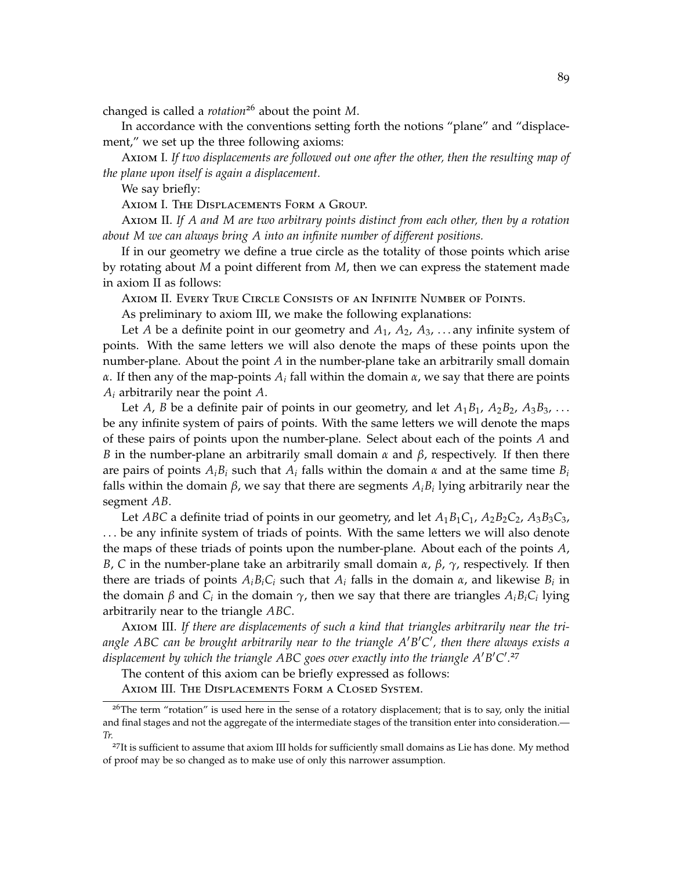changed is called a *rotation*<sup>26</sup> about the point *M*.

In accordance with the conventions setting forth the notions "plane" and "displacement," we set up the three following axioms:

Axiom I. *If two displacements are followed out one after the other, then the resulting map of the plane upon itself is again a displacement.*

We say briefly:

Axiom I. The Displacements Form a Group.

Axiom II. *If A and M are two arbitrary points distinct from each other, then by a rotation about M we can always bring A into an infinite number of different positions.*

If in our geometry we define a true circle as the totality of those points which arise by rotating about *M* a point different from *M*, then we can express the statement made in axiom II as follows:

Axiom II. Every True Circle Consists of an Infinite Number of Points.

As preliminary to axiom III, we make the following explanations:

Let *A* be a definite point in our geometry and *A*1, *A*2, *A*3, . . . any infinite system of points. With the same letters we will also denote the maps of these points upon the number-plane. About the point *A* in the number-plane take an arbitrarily small domain *α*. If then any of the map-points *A<sup>i</sup>* fall within the domain *α*, we say that there are points *A<sup>i</sup>* arbitrarily near the point *A*.

Let *A*, *B* be a definite pair of points in our geometry, and let  $A_1B_1$ ,  $A_2B_2$ ,  $A_3B_3$ , ... be any infinite system of pairs of points. With the same letters we will denote the maps of these pairs of points upon the number-plane. Select about each of the points *A* and *B* in the number-plane an arbitrarily small domain *α* and *β*, respectively. If then there are pairs of points  $A_i B_i$  such that  $A_i$  falls within the domain  $\alpha$  and at the same time  $B_i$ falls within the domain *β*, we say that there are segments *AiB<sup>i</sup>* lying arbitrarily near the segment *AB*.

Let *ABC* a definite triad of points in our geometry, and let  $A_1B_1C_1$ ,  $A_2B_2C_2$ ,  $A_3B_3C_3$ , . . . be any infinite system of triads of points. With the same letters we will also denote the maps of these triads of points upon the number-plane. About each of the points *A*, *B*, *C* in the number-plane take an arbitrarily small domain *α*, *β*, *γ*, respectively. If then there are triads of points  $A_iB_iC_i$  such that  $A_i$  falls in the domain  $\alpha$ , and likewise  $B_i$  in the domain *β* and  $C_i$  in the domain  $γ$ , then we say that there are triangles  $A_iB_iC_i$  lying arbitrarily near to the triangle *ABC*.

Axiom III. *If there are displacements of such a kind that triangles arbitrarily near the tri*angle ABC can be brought arbitrarily near to the triangle A'B'C', then there always exists a displacement by which the triangle ABC goes over exactly into the triangle A'B'C'.<sup>27</sup>

The content of this axiom can be briefly expressed as follows:

Axiom III. The Displacements Form a Closed System.

<sup>&</sup>lt;sup>26</sup>The term "rotation" is used here in the sense of a rotatory displacement; that is to say, only the initial and final stages and not the aggregate of the intermediate stages of the transition enter into consideration.— *Tr.*

<sup>27</sup>It is sufficient to assume that axiom III holds for sufficiently small domains as Lie has done. My method of proof may be so changed as to make use of only this narrower assumption.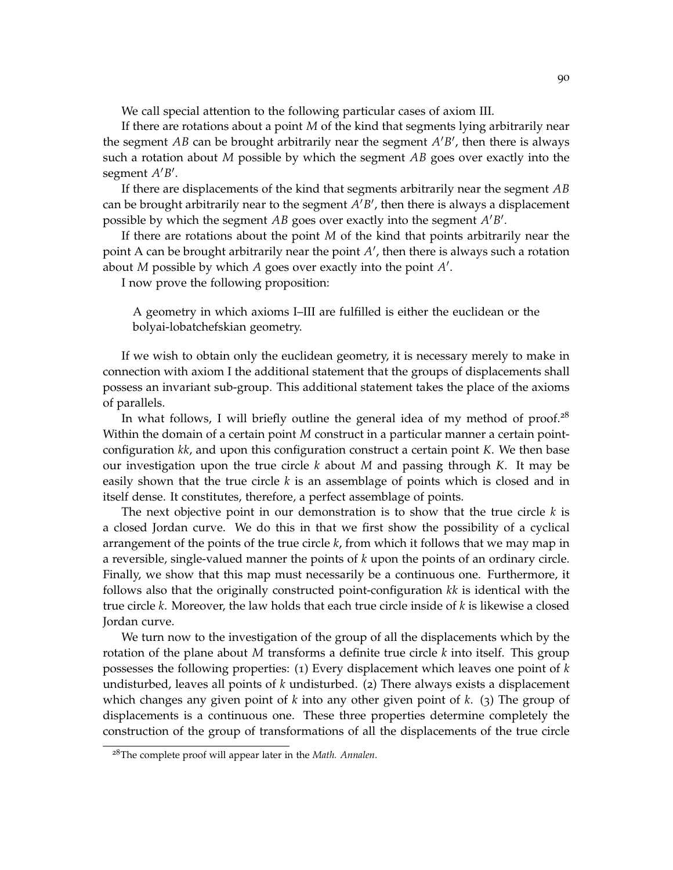We call special attention to the following particular cases of axiom III.

If there are rotations about a point *M* of the kind that segments lying arbitrarily near the segment  $\overline{AB}$  can be brought arbitrarily near the segment  $\overline{A'B'}$ , then there is always such a rotation about *M* possible by which the segment *AB* goes over exactly into the segment  $A'B'$ .

If there are displacements of the kind that segments arbitrarily near the segment *AB* can be brought arbitrarily near to the segment  $A'B'$ , then there is always a displacement possible by which the segment AB goes over exactly into the segment  $A'B'$ .

If there are rotations about the point *M* of the kind that points arbitrarily near the point A can be brought arbitrarily near the point  $A'$ , then there is always such a rotation about *M* possible by which *A* goes over exactly into the point *A'*.

I now prove the following proposition:

A geometry in which axioms I–III are fulfilled is either the euclidean or the bolyai-lobatchefskian geometry.

If we wish to obtain only the euclidean geometry, it is necessary merely to make in connection with axiom I the additional statement that the groups of displacements shall possess an invariant sub-group. This additional statement takes the place of the axioms of parallels.

In what follows, I will briefly outline the general idea of my method of proof.<sup>28</sup> Within the domain of a certain point *M* construct in a particular manner a certain pointconfiguration *kk*, and upon this configuration construct a certain point *K*. We then base our investigation upon the true circle *k* about *M* and passing through *K*. It may be easily shown that the true circle *k* is an assemblage of points which is closed and in itself dense. It constitutes, therefore, a perfect assemblage of points.

The next objective point in our demonstration is to show that the true circle *k* is a closed Jordan curve. We do this in that we first show the possibility of a cyclical arrangement of the points of the true circle *k*, from which it follows that we may map in a reversible, single-valued manner the points of *k* upon the points of an ordinary circle. Finally, we show that this map must necessarily be a continuous one. Furthermore, it follows also that the originally constructed point-configuration *kk* is identical with the true circle *k*. Moreover, the law holds that each true circle inside of *k* is likewise a closed Jordan curve.

We turn now to the investigation of the group of all the displacements which by the rotation of the plane about *M* transforms a definite true circle *k* into itself. This group possesses the following properties: (1) Every displacement which leaves one point of *k* undisturbed, leaves all points of *k* undisturbed. (2) There always exists a displacement which changes any given point of *k* into any other given point of *k*. (3) The group of displacements is a continuous one. These three properties determine completely the construction of the group of transformations of all the displacements of the true circle

<sup>28</sup>The complete proof will appear later in the *Math. Annalen*.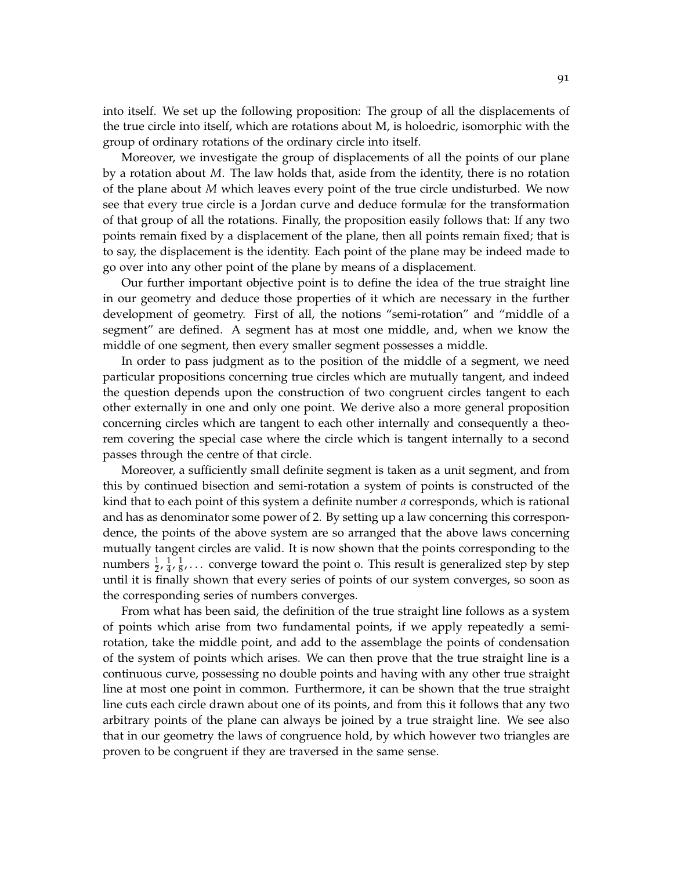into itself. We set up the following proposition: The group of all the displacements of the true circle into itself, which are rotations about M, is holoedric, isomorphic with the group of ordinary rotations of the ordinary circle into itself.

Moreover, we investigate the group of displacements of all the points of our plane by a rotation about *M*. The law holds that, aside from the identity, there is no rotation of the plane about *M* which leaves every point of the true circle undisturbed. We now see that every true circle is a Jordan curve and deduce formulæ for the transformation of that group of all the rotations. Finally, the proposition easily follows that: If any two points remain fixed by a displacement of the plane, then all points remain fixed; that is to say, the displacement is the identity. Each point of the plane may be indeed made to go over into any other point of the plane by means of a displacement.

Our further important objective point is to define the idea of the true straight line in our geometry and deduce those properties of it which are necessary in the further development of geometry. First of all, the notions "semi-rotation" and "middle of a segment" are defined. A segment has at most one middle, and, when we know the middle of one segment, then every smaller segment possesses a middle.

In order to pass judgment as to the position of the middle of a segment, we need particular propositions concerning true circles which are mutually tangent, and indeed the question depends upon the construction of two congruent circles tangent to each other externally in one and only one point. We derive also a more general proposition concerning circles which are tangent to each other internally and consequently a theorem covering the special case where the circle which is tangent internally to a second passes through the centre of that circle.

Moreover, a sufficiently small definite segment is taken as a unit segment, and from this by continued bisection and semi-rotation a system of points is constructed of the kind that to each point of this system a definite number *a* corresponds, which is rational and has as denominator some power of 2. By setting up a law concerning this correspondence, the points of the above system are so arranged that the above laws concerning mutually tangent circles are valid. It is now shown that the points corresponding to the numbers  $\frac{1}{2}$ ,  $\frac{1}{4}$  $\frac{1}{4}$ ,  $\frac{1}{8}$  $\frac{1}{8}$ ,... converge toward the point o. This result is generalized step by step until it is finally shown that every series of points of our system converges, so soon as the corresponding series of numbers converges.

From what has been said, the definition of the true straight line follows as a system of points which arise from two fundamental points, if we apply repeatedly a semirotation, take the middle point, and add to the assemblage the points of condensation of the system of points which arises. We can then prove that the true straight line is a continuous curve, possessing no double points and having with any other true straight line at most one point in common. Furthermore, it can be shown that the true straight line cuts each circle drawn about one of its points, and from this it follows that any two arbitrary points of the plane can always be joined by a true straight line. We see also that in our geometry the laws of congruence hold, by which however two triangles are proven to be congruent if they are traversed in the same sense.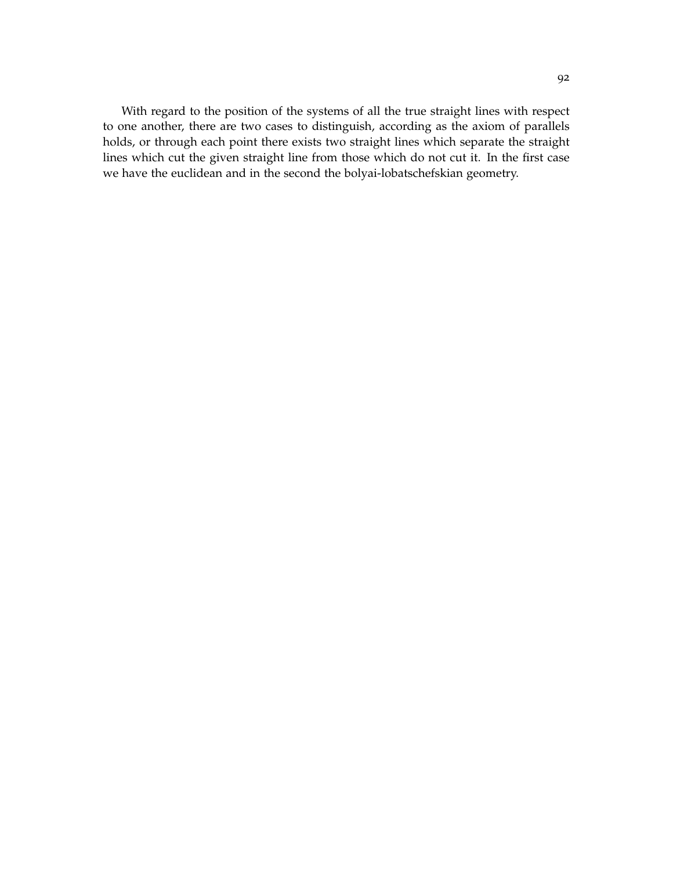With regard to the position of the systems of all the true straight lines with respect to one another, there are two cases to distinguish, according as the axiom of parallels holds, or through each point there exists two straight lines which separate the straight lines which cut the given straight line from those which do not cut it. In the first case we have the euclidean and in the second the bolyai-lobatschefskian geometry.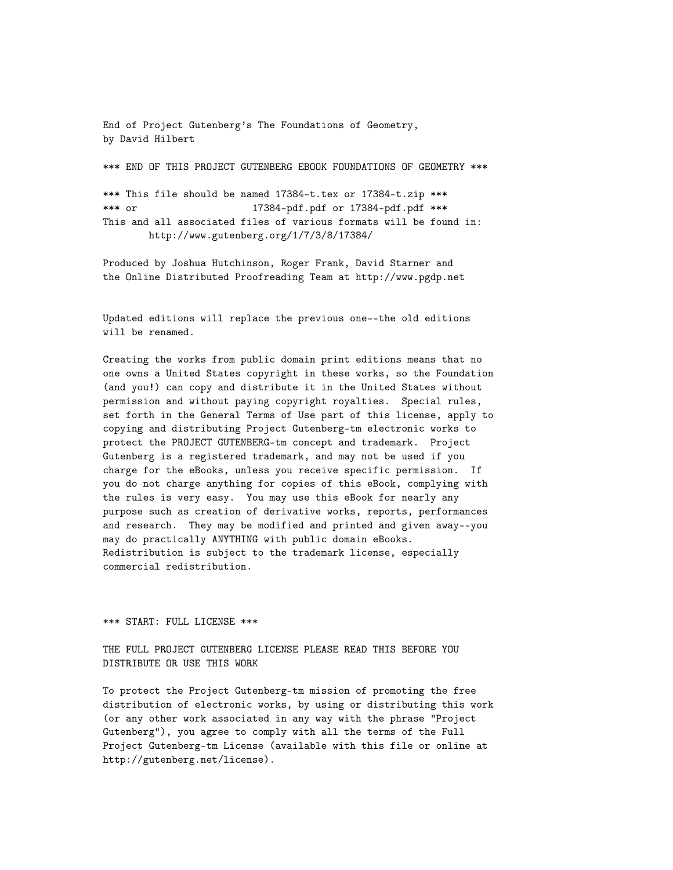End of Project Gutenberg's The Foundations of Geometry, by David Hilbert

\*\*\* END OF THIS PROJECT GUTENBERG EBOOK FOUNDATIONS OF GEOMETRY \*\*\*

\*\*\* This file should be named 17384-t.tex or 17384-t.zip \*\*\* \*\*\* or 17384-pdf.pdf or 17384-pdf.pdf \*\*\* This and all associated files of various formats will be found in: http://www.gutenberg.org/1/7/3/8/17384/

Produced by Joshua Hutchinson, Roger Frank, David Starner and the Online Distributed Proofreading Team at http://www.pgdp.net

Updated editions will replace the previous one--the old editions will be renamed.

Creating the works from public domain print editions means that no one owns a United States copyright in these works, so the Foundation (and you!) can copy and distribute it in the United States without permission and without paying copyright royalties. Special rules, set forth in the General Terms of Use part of this license, apply to copying and distributing Project Gutenberg-tm electronic works to protect the PROJECT GUTENBERG-tm concept and trademark. Project Gutenberg is a registered trademark, and may not be used if you charge for the eBooks, unless you receive specific permission. If you do not charge anything for copies of this eBook, complying with the rules is very easy. You may use this eBook for nearly any purpose such as creation of derivative works, reports, performances and research. They may be modified and printed and given away--you may do practically ANYTHING with public domain eBooks. Redistribution is subject to the trademark license, especially commercial redistribution.

#### \*\*\* START: FULL LICENSE \*\*\*

THE FULL PROJECT GUTENBERG LICENSE PLEASE READ THIS BEFORE YOU DISTRIBUTE OR USE THIS WORK

To protect the Project Gutenberg-tm mission of promoting the free distribution of electronic works, by using or distributing this work (or any other work associated in any way with the phrase "Project Gutenberg"), you agree to comply with all the terms of the Full Project Gutenberg-tm License (available with this file or online at http://gutenberg.net/license).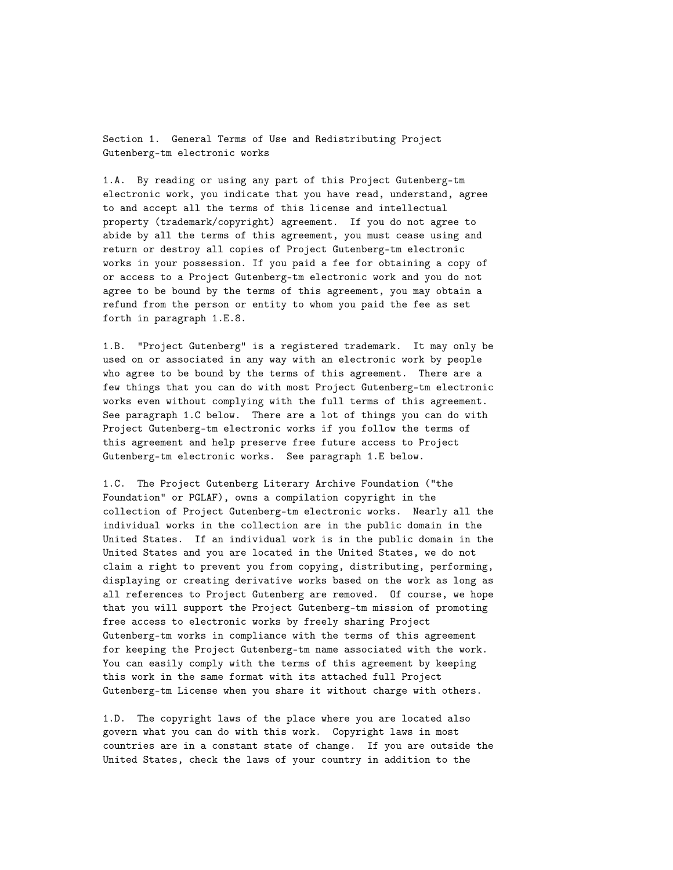Section 1. General Terms of Use and Redistributing Project Gutenberg-tm electronic works

1.A. By reading or using any part of this Project Gutenberg-tm electronic work, you indicate that you have read, understand, agree to and accept all the terms of this license and intellectual property (trademark/copyright) agreement. If you do not agree to abide by all the terms of this agreement, you must cease using and return or destroy all copies of Project Gutenberg-tm electronic works in your possession. If you paid a fee for obtaining a copy of or access to a Project Gutenberg-tm electronic work and you do not agree to be bound by the terms of this agreement, you may obtain a refund from the person or entity to whom you paid the fee as set forth in paragraph 1.E.8.

1.B. "Project Gutenberg" is a registered trademark. It may only be used on or associated in any way with an electronic work by people who agree to be bound by the terms of this agreement. There are a few things that you can do with most Project Gutenberg-tm electronic works even without complying with the full terms of this agreement. See paragraph 1.C below. There are a lot of things you can do with Project Gutenberg-tm electronic works if you follow the terms of this agreement and help preserve free future access to Project Gutenberg-tm electronic works. See paragraph 1.E below.

1.C. The Project Gutenberg Literary Archive Foundation ("the Foundation" or PGLAF), owns a compilation copyright in the collection of Project Gutenberg-tm electronic works. Nearly all the individual works in the collection are in the public domain in the United States. If an individual work is in the public domain in the United States and you are located in the United States, we do not claim a right to prevent you from copying, distributing, performing, displaying or creating derivative works based on the work as long as all references to Project Gutenberg are removed. Of course, we hope that you will support the Project Gutenberg-tm mission of promoting free access to electronic works by freely sharing Project Gutenberg-tm works in compliance with the terms of this agreement for keeping the Project Gutenberg-tm name associated with the work. You can easily comply with the terms of this agreement by keeping this work in the same format with its attached full Project Gutenberg-tm License when you share it without charge with others.

1.D. The copyright laws of the place where you are located also govern what you can do with this work. Copyright laws in most countries are in a constant state of change. If you are outside the United States, check the laws of your country in addition to the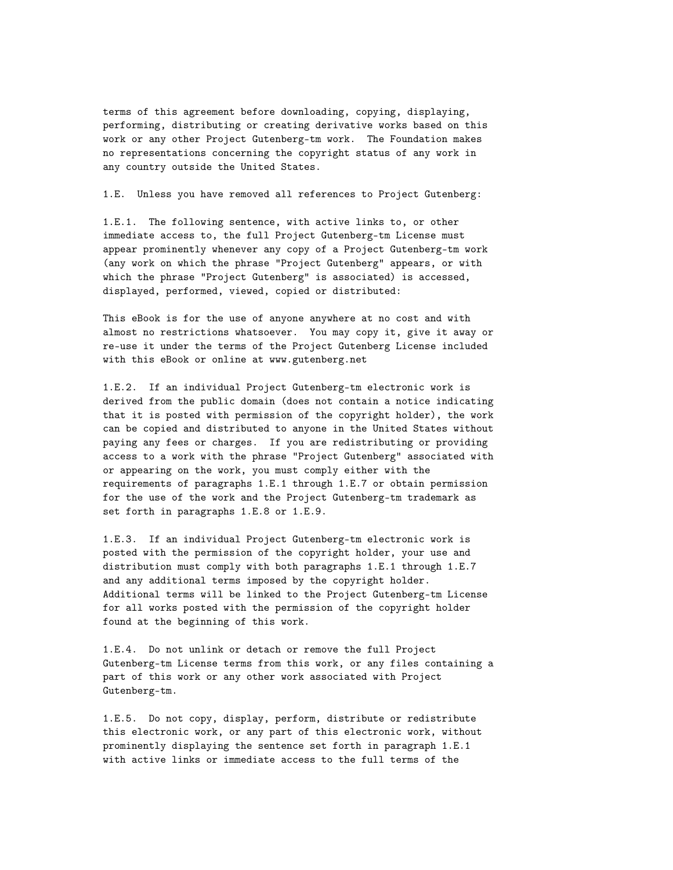terms of this agreement before downloading, copying, displaying, performing, distributing or creating derivative works based on this work or any other Project Gutenberg-tm work. The Foundation makes no representations concerning the copyright status of any work in any country outside the United States.

1.E. Unless you have removed all references to Project Gutenberg:

1.E.1. The following sentence, with active links to, or other immediate access to, the full Project Gutenberg-tm License must appear prominently whenever any copy of a Project Gutenberg-tm work (any work on which the phrase "Project Gutenberg" appears, or with which the phrase "Project Gutenberg" is associated) is accessed, displayed, performed, viewed, copied or distributed:

This eBook is for the use of anyone anywhere at no cost and with almost no restrictions whatsoever. You may copy it, give it away or re-use it under the terms of the Project Gutenberg License included with this eBook or online at www.gutenberg.net

1.E.2. If an individual Project Gutenberg-tm electronic work is derived from the public domain (does not contain a notice indicating that it is posted with permission of the copyright holder), the work can be copied and distributed to anyone in the United States without paying any fees or charges. If you are redistributing or providing access to a work with the phrase "Project Gutenberg" associated with or appearing on the work, you must comply either with the requirements of paragraphs 1.E.1 through 1.E.7 or obtain permission for the use of the work and the Project Gutenberg-tm trademark as set forth in paragraphs 1.E.8 or 1.E.9.

1.E.3. If an individual Project Gutenberg-tm electronic work is posted with the permission of the copyright holder, your use and distribution must comply with both paragraphs 1.E.1 through 1.E.7 and any additional terms imposed by the copyright holder. Additional terms will be linked to the Project Gutenberg-tm License for all works posted with the permission of the copyright holder found at the beginning of this work.

1.E.4. Do not unlink or detach or remove the full Project Gutenberg-tm License terms from this work, or any files containing a part of this work or any other work associated with Project Gutenberg-tm.

1.E.5. Do not copy, display, perform, distribute or redistribute this electronic work, or any part of this electronic work, without prominently displaying the sentence set forth in paragraph 1.E.1 with active links or immediate access to the full terms of the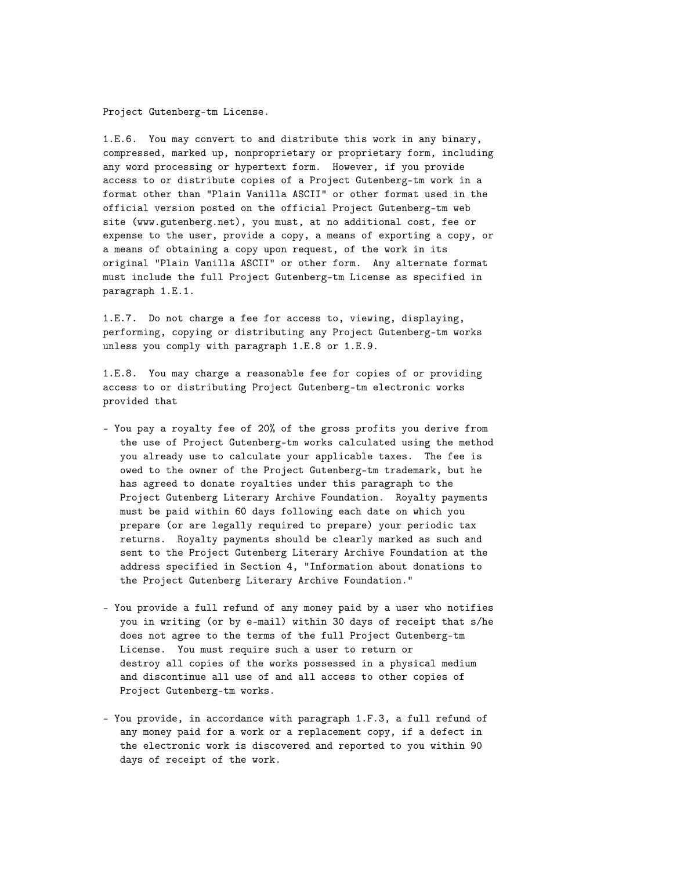Project Gutenberg-tm License.

1.E.6. You may convert to and distribute this work in any binary, compressed, marked up, nonproprietary or proprietary form, including any word processing or hypertext form. However, if you provide access to or distribute copies of a Project Gutenberg-tm work in a format other than "Plain Vanilla ASCII" or other format used in the official version posted on the official Project Gutenberg-tm web site (www.gutenberg.net), you must, at no additional cost, fee or expense to the user, provide a copy, a means of exporting a copy, or a means of obtaining a copy upon request, of the work in its original "Plain Vanilla ASCII" or other form. Any alternate format must include the full Project Gutenberg-tm License as specified in paragraph 1.E.1.

1.E.7. Do not charge a fee for access to, viewing, displaying, performing, copying or distributing any Project Gutenberg-tm works unless you comply with paragraph 1.E.8 or 1.E.9.

1.E.8. You may charge a reasonable fee for copies of or providing access to or distributing Project Gutenberg-tm electronic works provided that

- You pay a royalty fee of 20% of the gross profits you derive from the use of Project Gutenberg-tm works calculated using the method you already use to calculate your applicable taxes. The fee is owed to the owner of the Project Gutenberg-tm trademark, but he has agreed to donate royalties under this paragraph to the Project Gutenberg Literary Archive Foundation. Royalty payments must be paid within 60 days following each date on which you prepare (or are legally required to prepare) your periodic tax returns. Royalty payments should be clearly marked as such and sent to the Project Gutenberg Literary Archive Foundation at the address specified in Section 4, "Information about donations to the Project Gutenberg Literary Archive Foundation."
- You provide a full refund of any money paid by a user who notifies you in writing (or by e-mail) within 30 days of receipt that s/he does not agree to the terms of the full Project Gutenberg-tm License. You must require such a user to return or destroy all copies of the works possessed in a physical medium and discontinue all use of and all access to other copies of Project Gutenberg-tm works.
- You provide, in accordance with paragraph 1.F.3, a full refund of any money paid for a work or a replacement copy, if a defect in the electronic work is discovered and reported to you within 90 days of receipt of the work.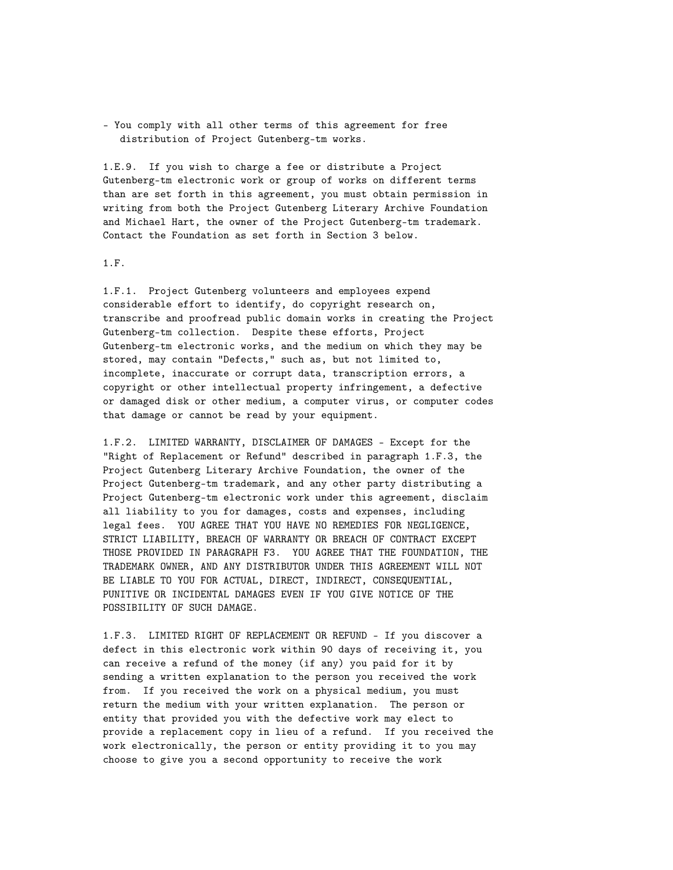- You comply with all other terms of this agreement for free distribution of Project Gutenberg-tm works.

1.E.9. If you wish to charge a fee or distribute a Project Gutenberg-tm electronic work or group of works on different terms than are set forth in this agreement, you must obtain permission in writing from both the Project Gutenberg Literary Archive Foundation and Michael Hart, the owner of the Project Gutenberg-tm trademark. Contact the Foundation as set forth in Section 3 below.

#### 1.F.

1.F.1. Project Gutenberg volunteers and employees expend considerable effort to identify, do copyright research on, transcribe and proofread public domain works in creating the Project Gutenberg-tm collection. Despite these efforts, Project Gutenberg-tm electronic works, and the medium on which they may be stored, may contain "Defects," such as, but not limited to, incomplete, inaccurate or corrupt data, transcription errors, a copyright or other intellectual property infringement, a defective or damaged disk or other medium, a computer virus, or computer codes that damage or cannot be read by your equipment.

1.F.2. LIMITED WARRANTY, DISCLAIMER OF DAMAGES - Except for the "Right of Replacement or Refund" described in paragraph 1.F.3, the Project Gutenberg Literary Archive Foundation, the owner of the Project Gutenberg-tm trademark, and any other party distributing a Project Gutenberg-tm electronic work under this agreement, disclaim all liability to you for damages, costs and expenses, including legal fees. YOU AGREE THAT YOU HAVE NO REMEDIES FOR NEGLIGENCE, STRICT LIABILITY, BREACH OF WARRANTY OR BREACH OF CONTRACT EXCEPT THOSE PROVIDED IN PARAGRAPH F3. YOU AGREE THAT THE FOUNDATION, THE TRADEMARK OWNER, AND ANY DISTRIBUTOR UNDER THIS AGREEMENT WILL NOT BE LIABLE TO YOU FOR ACTUAL, DIRECT, INDIRECT, CONSEQUENTIAL, PUNITIVE OR INCIDENTAL DAMAGES EVEN IF YOU GIVE NOTICE OF THE POSSIBILITY OF SUCH DAMAGE.

1.F.3. LIMITED RIGHT OF REPLACEMENT OR REFUND - If you discover a defect in this electronic work within 90 days of receiving it, you can receive a refund of the money (if any) you paid for it by sending a written explanation to the person you received the work from. If you received the work on a physical medium, you must return the medium with your written explanation. The person or entity that provided you with the defective work may elect to provide a replacement copy in lieu of a refund. If you received the work electronically, the person or entity providing it to you may choose to give you a second opportunity to receive the work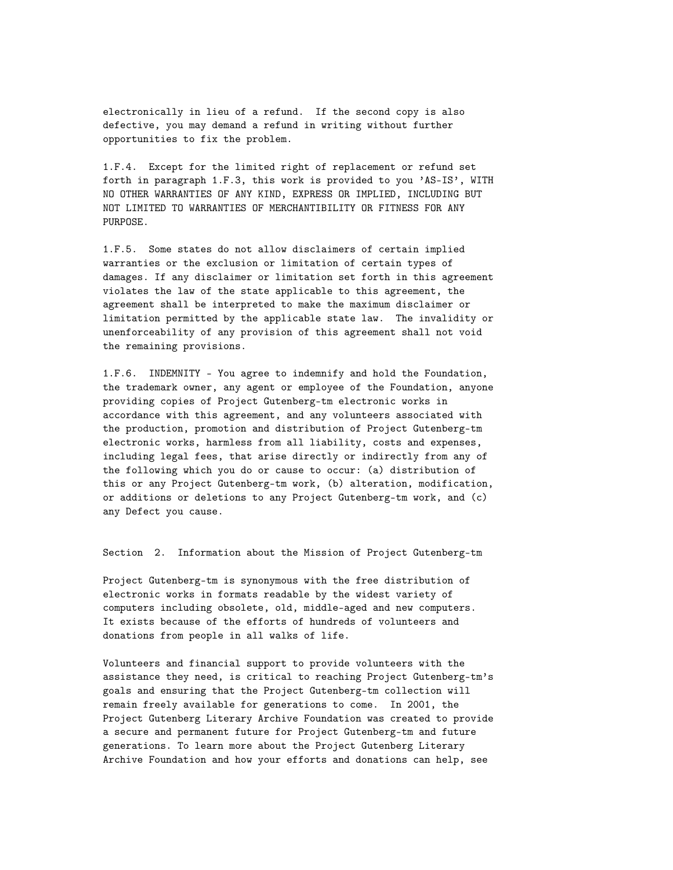electronically in lieu of a refund. If the second copy is also defective, you may demand a refund in writing without further opportunities to fix the problem.

1.F.4. Except for the limited right of replacement or refund set forth in paragraph 1.F.3, this work is provided to you 'AS-IS', WITH NO OTHER WARRANTIES OF ANY KIND, EXPRESS OR IMPLIED, INCLUDING BUT NOT LIMITED TO WARRANTIES OF MERCHANTIBILITY OR FITNESS FOR ANY PURPOSE.

1.F.5. Some states do not allow disclaimers of certain implied warranties or the exclusion or limitation of certain types of damages. If any disclaimer or limitation set forth in this agreement violates the law of the state applicable to this agreement, the agreement shall be interpreted to make the maximum disclaimer or limitation permitted by the applicable state law. The invalidity or unenforceability of any provision of this agreement shall not void the remaining provisions.

1.F.6. INDEMNITY - You agree to indemnify and hold the Foundation, the trademark owner, any agent or employee of the Foundation, anyone providing copies of Project Gutenberg-tm electronic works in accordance with this agreement, and any volunteers associated with the production, promotion and distribution of Project Gutenberg-tm electronic works, harmless from all liability, costs and expenses, including legal fees, that arise directly or indirectly from any of the following which you do or cause to occur: (a) distribution of this or any Project Gutenberg-tm work, (b) alteration, modification, or additions or deletions to any Project Gutenberg-tm work, and (c) any Defect you cause.

Section 2. Information about the Mission of Project Gutenberg-tm

Project Gutenberg-tm is synonymous with the free distribution of electronic works in formats readable by the widest variety of computers including obsolete, old, middle-aged and new computers. It exists because of the efforts of hundreds of volunteers and donations from people in all walks of life.

Volunteers and financial support to provide volunteers with the assistance they need, is critical to reaching Project Gutenberg-tm's goals and ensuring that the Project Gutenberg-tm collection will remain freely available for generations to come. In 2001, the Project Gutenberg Literary Archive Foundation was created to provide a secure and permanent future for Project Gutenberg-tm and future generations. To learn more about the Project Gutenberg Literary Archive Foundation and how your efforts and donations can help, see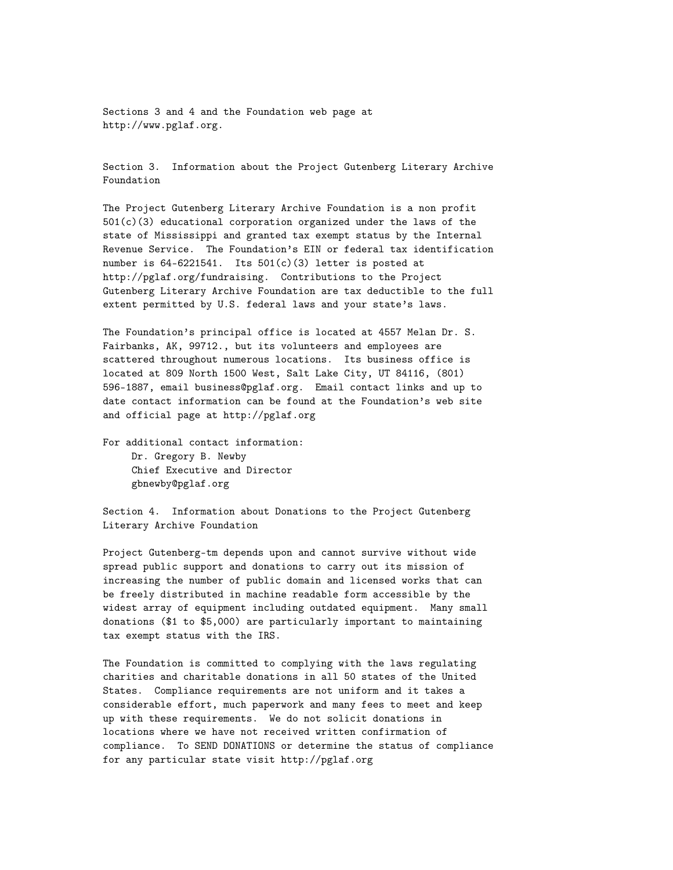Sections 3 and 4 and the Foundation web page at http://www.pglaf.org.

Section 3. Information about the Project Gutenberg Literary Archive Foundation

The Project Gutenberg Literary Archive Foundation is a non profit 501(c)(3) educational corporation organized under the laws of the state of Mississippi and granted tax exempt status by the Internal Revenue Service. The Foundation's EIN or federal tax identification number is  $64-6221541$ . Its  $501(c)(3)$  letter is posted at http://pglaf.org/fundraising. Contributions to the Project Gutenberg Literary Archive Foundation are tax deductible to the full extent permitted by U.S. federal laws and your state's laws.

The Foundation's principal office is located at 4557 Melan Dr. S. Fairbanks, AK, 99712., but its volunteers and employees are scattered throughout numerous locations. Its business office is located at 809 North 1500 West, Salt Lake City, UT 84116, (801) 596-1887, email business@pglaf.org. Email contact links and up to date contact information can be found at the Foundation's web site and official page at http://pglaf.org

For additional contact information: Dr. Gregory B. Newby Chief Executive and Director gbnewby@pglaf.org

Section 4. Information about Donations to the Project Gutenberg Literary Archive Foundation

Project Gutenberg-tm depends upon and cannot survive without wide spread public support and donations to carry out its mission of increasing the number of public domain and licensed works that can be freely distributed in machine readable form accessible by the widest array of equipment including outdated equipment. Many small donations (\$1 to \$5,000) are particularly important to maintaining tax exempt status with the IRS.

The Foundation is committed to complying with the laws regulating charities and charitable donations in all 50 states of the United States. Compliance requirements are not uniform and it takes a considerable effort, much paperwork and many fees to meet and keep up with these requirements. We do not solicit donations in locations where we have not received written confirmation of compliance. To SEND DONATIONS or determine the status of compliance for any particular state visit http://pglaf.org